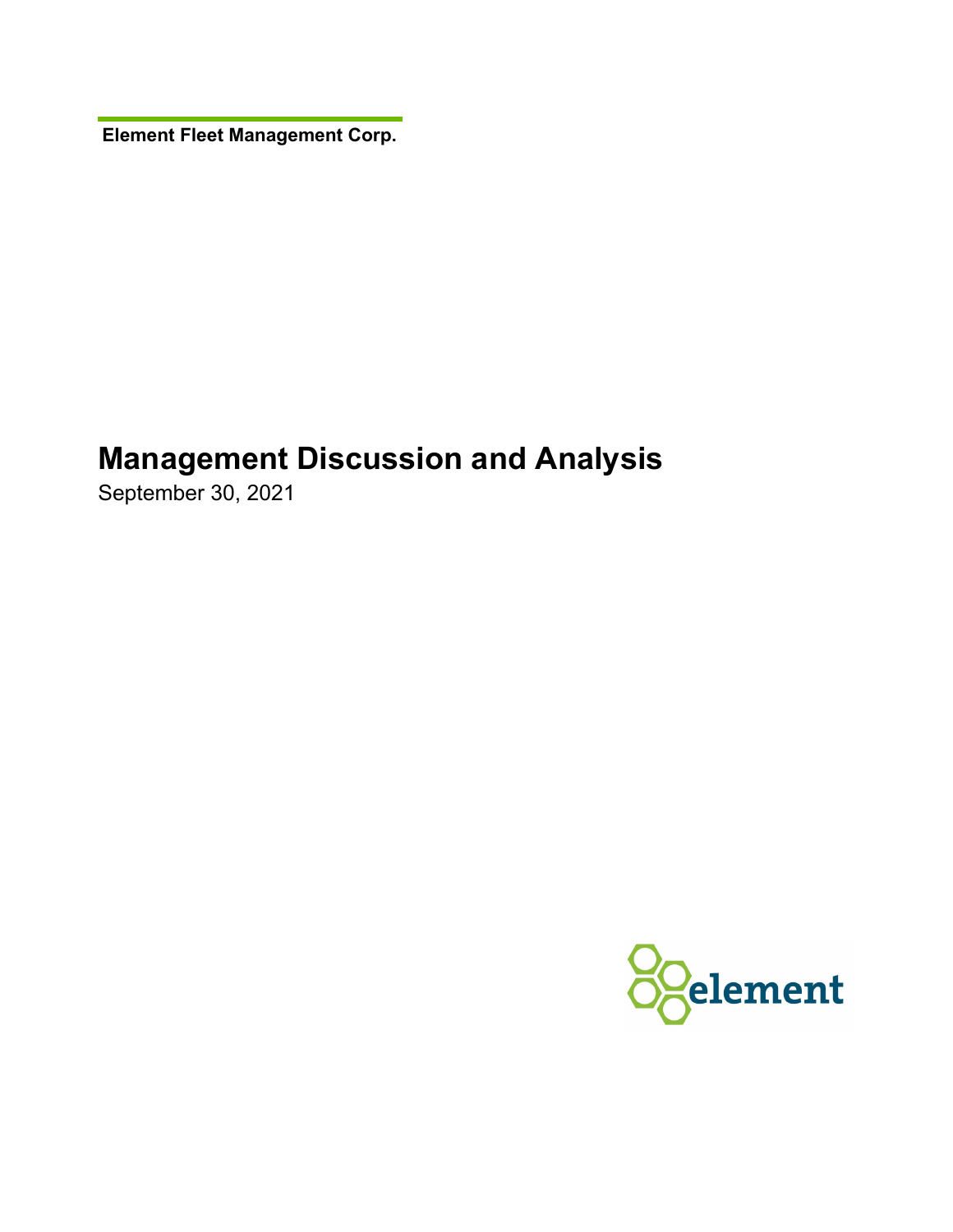**Element Fleet Management Corp.** 

# **Management Discussion and Analysis**

September 30, 2021

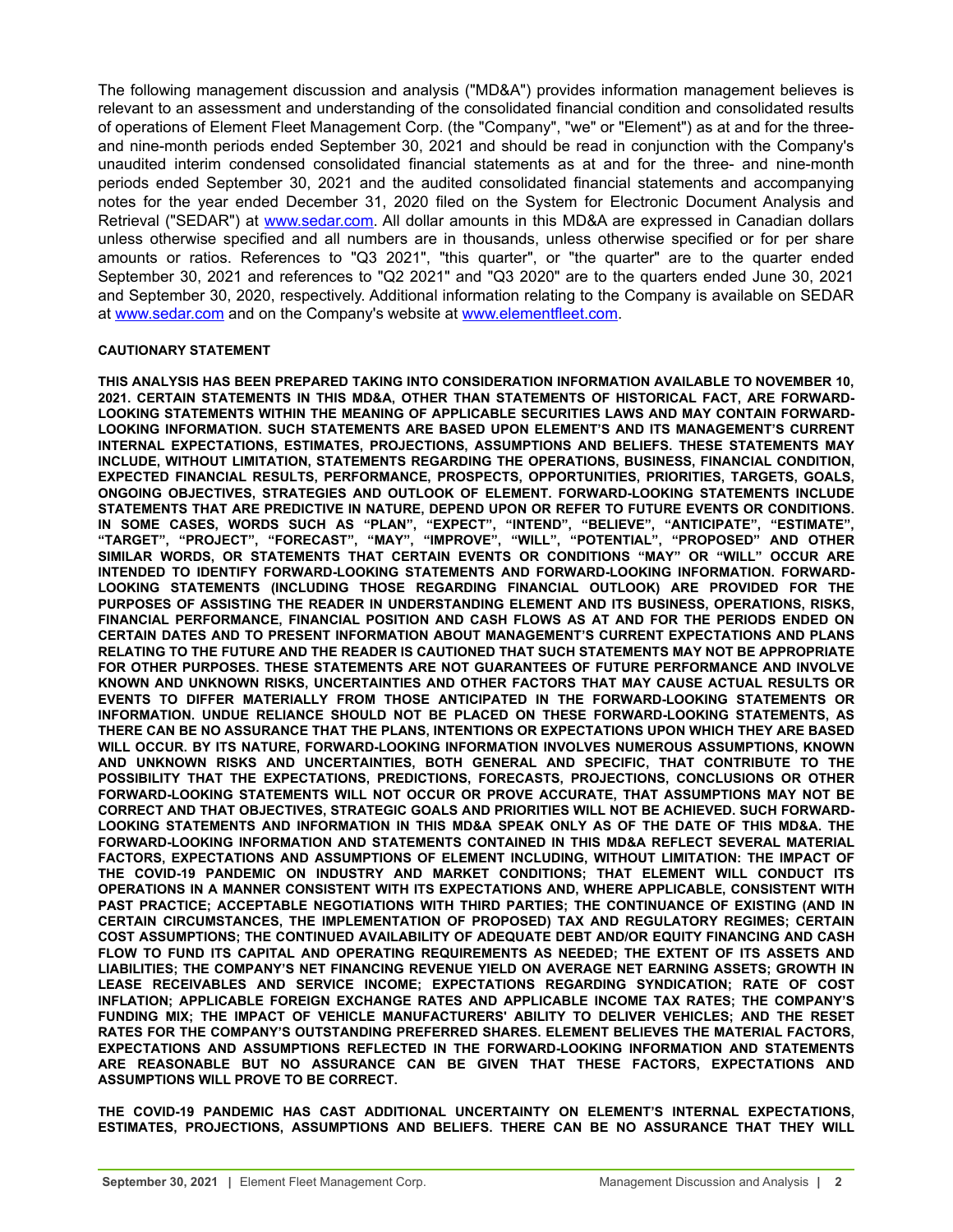The following management discussion and analysis ("MD&A") provides information management believes is relevant to an assessment and understanding of the consolidated financial condition and consolidated results of operations of Element Fleet Management Corp. (the "Company", "we" or "Element") as at and for the threeand nine-month periods ended September 30, 2021 and should be read in conjunction with the Company's unaudited interim condensed consolidated financial statements as at and for the three- and nine-month periods ended September 30, 2021 and the audited consolidated financial statements and accompanying notes for the year ended December 31, 2020 filed on the System for Electronic Document Analysis and Retrieval ("SEDAR") at [www.sedar.com.](http://www.sedar.com) All dollar amounts in this MD&A are expressed in Canadian dollars unless otherwise specified and all numbers are in thousands, unless otherwise specified or for per share amounts or ratios. References to "Q3 2021", "this quarter", or "the quarter" are to the quarter ended September 30, 2021 and references to "Q2 2021" and "Q3 2020" are to the quarters ended June 30, 2021 and September 30, 2020, respectively. Additional information relating to the Company is available on SEDAR at [www.sedar.com](http://www.sedar.com) and on the Company's website at [www.elementfleet.com.](http://www.elementfleet.com)

#### **CAUTIONARY STATEMENT**

**THIS ANALYSIS HAS BEEN PREPARED TAKING INTO CONSIDERATION INFORMATION AVAILABLE TO NOVEMBER 10, 2021. CERTAIN STATEMENTS IN THIS MD&A, OTHER THAN STATEMENTS OF HISTORICAL FACT, ARE FORWARD-LOOKING STATEMENTS WITHIN THE MEANING OF APPLICABLE SECURITIES LAWS AND MAY CONTAIN FORWARD-LOOKING INFORMATION. SUCH STATEMENTS ARE BASED UPON ELEMENT'S AND ITS MANAGEMENT'S CURRENT INTERNAL EXPECTATIONS, ESTIMATES, PROJECTIONS, ASSUMPTIONS AND BELIEFS. THESE STATEMENTS MAY INCLUDE, WITHOUT LIMITATION, STATEMENTS REGARDING THE OPERATIONS, BUSINESS, FINANCIAL CONDITION, EXPECTED FINANCIAL RESULTS, PERFORMANCE, PROSPECTS, OPPORTUNITIES, PRIORITIES, TARGETS, GOALS, ONGOING OBJECTIVES, STRATEGIES AND OUTLOOK OF ELEMENT. FORWARD-LOOKING STATEMENTS INCLUDE STATEMENTS THAT ARE PREDICTIVE IN NATURE, DEPEND UPON OR REFER TO FUTURE EVENTS OR CONDITIONS. IN SOME CASES, WORDS SUCH AS "PLAN", "EXPECT", "INTEND", "BELIEVE", "ANTICIPATE", "ESTIMATE", "TARGET", "PROJECT", "FORECAST", "MAY", "IMPROVE", "WILL", "POTENTIAL", "PROPOSED" AND OTHER SIMILAR WORDS, OR STATEMENTS THAT CERTAIN EVENTS OR CONDITIONS "MAY" OR "WILL" OCCUR ARE INTENDED TO IDENTIFY FORWARD-LOOKING STATEMENTS AND FORWARD-LOOKING INFORMATION. FORWARD-LOOKING STATEMENTS (INCLUDING THOSE REGARDING FINANCIAL OUTLOOK) ARE PROVIDED FOR THE PURPOSES OF ASSISTING THE READER IN UNDERSTANDING ELEMENT AND ITS BUSINESS, OPERATIONS, RISKS, FINANCIAL PERFORMANCE, FINANCIAL POSITION AND CASH FLOWS AS AT AND FOR THE PERIODS ENDED ON CERTAIN DATES AND TO PRESENT INFORMATION ABOUT MANAGEMENT'S CURRENT EXPECTATIONS AND PLANS RELATING TO THE FUTURE AND THE READER IS CAUTIONED THAT SUCH STATEMENTS MAY NOT BE APPROPRIATE FOR OTHER PURPOSES. THESE STATEMENTS ARE NOT GUARANTEES OF FUTURE PERFORMANCE AND INVOLVE KNOWN AND UNKNOWN RISKS, UNCERTAINTIES AND OTHER FACTORS THAT MAY CAUSE ACTUAL RESULTS OR EVENTS TO DIFFER MATERIALLY FROM THOSE ANTICIPATED IN THE FORWARD-LOOKING STATEMENTS OR INFORMATION. UNDUE RELIANCE SHOULD NOT BE PLACED ON THESE FORWARD-LOOKING STATEMENTS, AS THERE CAN BE NO ASSURANCE THAT THE PLANS, INTENTIONS OR EXPECTATIONS UPON WHICH THEY ARE BASED WILL OCCUR. BY ITS NATURE, FORWARD-LOOKING INFORMATION INVOLVES NUMEROUS ASSUMPTIONS, KNOWN AND UNKNOWN RISKS AND UNCERTAINTIES, BOTH GENERAL AND SPECIFIC, THAT CONTRIBUTE TO THE POSSIBILITY THAT THE EXPECTATIONS, PREDICTIONS, FORECASTS, PROJECTIONS, CONCLUSIONS OR OTHER FORWARD-LOOKING STATEMENTS WILL NOT OCCUR OR PROVE ACCURATE, THAT ASSUMPTIONS MAY NOT BE CORRECT AND THAT OBJECTIVES, STRATEGIC GOALS AND PRIORITIES WILL NOT BE ACHIEVED. SUCH FORWARD-LOOKING STATEMENTS AND INFORMATION IN THIS MD&A SPEAK ONLY AS OF THE DATE OF THIS MD&A. THE FORWARD-LOOKING INFORMATION AND STATEMENTS CONTAINED IN THIS MD&A REFLECT SEVERAL MATERIAL FACTORS, EXPECTATIONS AND ASSUMPTIONS OF ELEMENT INCLUDING, WITHOUT LIMITATION: THE IMPACT OF THE COVID-19 PANDEMIC ON INDUSTRY AND MARKET CONDITIONS; THAT ELEMENT WILL CONDUCT ITS OPERATIONS IN A MANNER CONSISTENT WITH ITS EXPECTATIONS AND, WHERE APPLICABLE, CONSISTENT WITH PAST PRACTICE; ACCEPTABLE NEGOTIATIONS WITH THIRD PARTIES; THE CONTINUANCE OF EXISTING (AND IN CERTAIN CIRCUMSTANCES, THE IMPLEMENTATION OF PROPOSED) TAX AND REGULATORY REGIMES; CERTAIN COST ASSUMPTIONS; THE CONTINUED AVAILABILITY OF ADEQUATE DEBT AND/OR EQUITY FINANCING AND CASH FLOW TO FUND ITS CAPITAL AND OPERATING REQUIREMENTS AS NEEDED; THE EXTENT OF ITS ASSETS AND LIABILITIES; THE COMPANY'S NET FINANCING REVENUE YIELD ON AVERAGE NET EARNING ASSETS; GROWTH IN LEASE RECEIVABLES AND SERVICE INCOME; EXPECTATIONS REGARDING SYNDICATION; RATE OF COST INFLATION; APPLICABLE FOREIGN EXCHANGE RATES AND APPLICABLE INCOME TAX RATES; THE COMPANY'S FUNDING MIX; THE IMPACT OF VEHICLE MANUFACTURERS' ABILITY TO DELIVER VEHICLES; AND THE RESET RATES FOR THE COMPANY'S OUTSTANDING PREFERRED SHARES. ELEMENT BELIEVES THE MATERIAL FACTORS, EXPECTATIONS AND ASSUMPTIONS REFLECTED IN THE FORWARD-LOOKING INFORMATION AND STATEMENTS ARE REASONABLE BUT NO ASSURANCE CAN BE GIVEN THAT THESE FACTORS, EXPECTATIONS AND ASSUMPTIONS WILL PROVE TO BE CORRECT.**

**THE COVID-19 PANDEMIC HAS CAST ADDITIONAL UNCERTAINTY ON ELEMENT'S INTERNAL EXPECTATIONS, ESTIMATES, PROJECTIONS, ASSUMPTIONS AND BELIEFS. THERE CAN BE NO ASSURANCE THAT THEY WILL**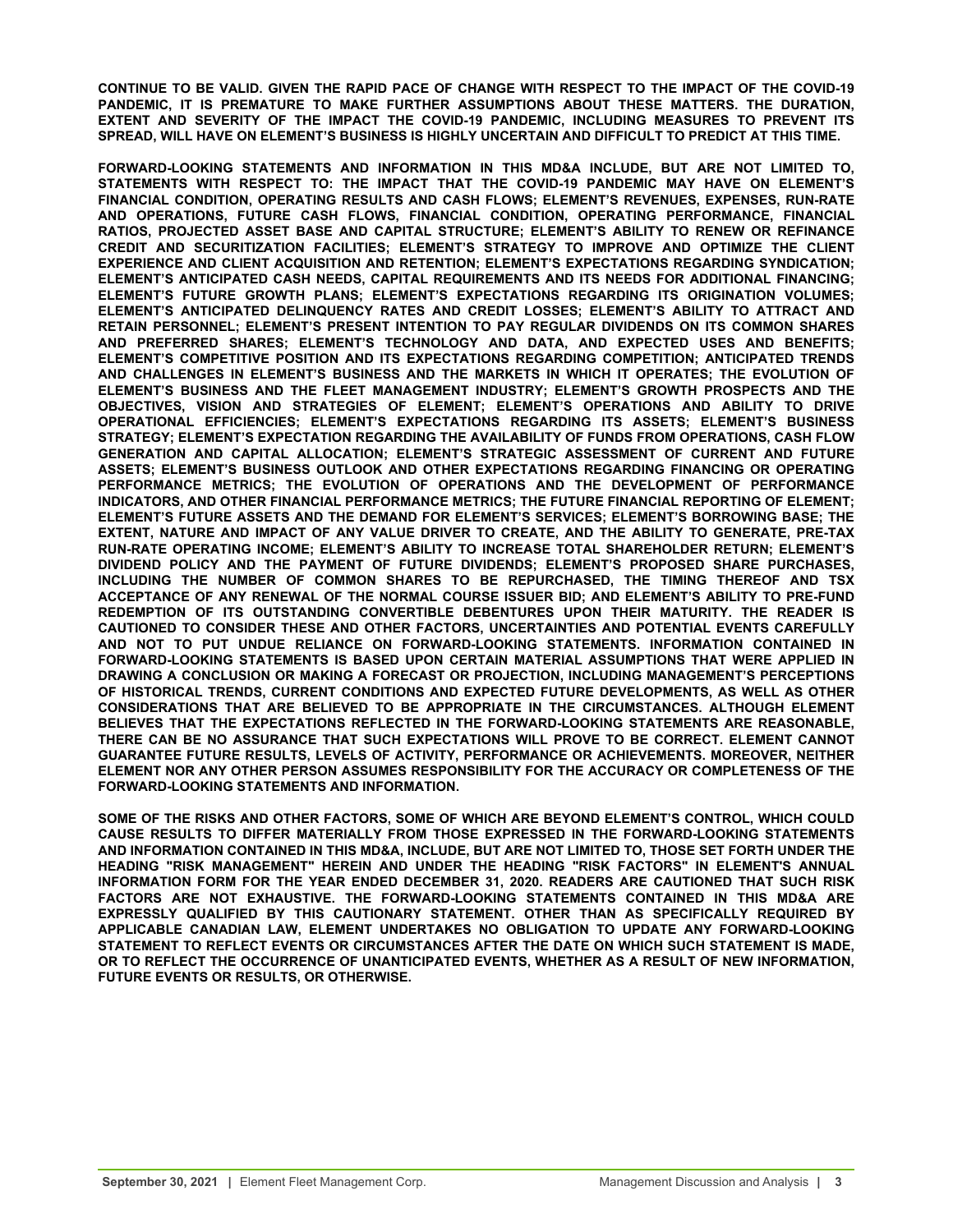**CONTINUE TO BE VALID. GIVEN THE RAPID PACE OF CHANGE WITH RESPECT TO THE IMPACT OF THE COVID-19 PANDEMIC, IT IS PREMATURE TO MAKE FURTHER ASSUMPTIONS ABOUT THESE MATTERS. THE DURATION, EXTENT AND SEVERITY OF THE IMPACT THE COVID-19 PANDEMIC, INCLUDING MEASURES TO PREVENT ITS SPREAD, WILL HAVE ON ELEMENT'S BUSINESS IS HIGHLY UNCERTAIN AND DIFFICULT TO PREDICT AT THIS TIME.**

**FORWARD-LOOKING STATEMENTS AND INFORMATION IN THIS MD&A INCLUDE, BUT ARE NOT LIMITED TO, STATEMENTS WITH RESPECT TO: THE IMPACT THAT THE COVID-19 PANDEMIC MAY HAVE ON ELEMENT'S FINANCIAL CONDITION, OPERATING RESULTS AND CASH FLOWS; ELEMENT'S REVENUES, EXPENSES, RUN-RATE AND OPERATIONS, FUTURE CASH FLOWS, FINANCIAL CONDITION, OPERATING PERFORMANCE, FINANCIAL RATIOS, PROJECTED ASSET BASE AND CAPITAL STRUCTURE; ELEMENT'S ABILITY TO RENEW OR REFINANCE CREDIT AND SECURITIZATION FACILITIES; ELEMENT'S STRATEGY TO IMPROVE AND OPTIMIZE THE CLIENT EXPERIENCE AND CLIENT ACQUISITION AND RETENTION; ELEMENT'S EXPECTATIONS REGARDING SYNDICATION; ELEMENT'S ANTICIPATED CASH NEEDS, CAPITAL REQUIREMENTS AND ITS NEEDS FOR ADDITIONAL FINANCING; ELEMENT'S FUTURE GROWTH PLANS; ELEMENT'S EXPECTATIONS REGARDING ITS ORIGINATION VOLUMES; ELEMENT'S ANTICIPATED DELINQUENCY RATES AND CREDIT LOSSES; ELEMENT'S ABILITY TO ATTRACT AND RETAIN PERSONNEL; ELEMENT'S PRESENT INTENTION TO PAY REGULAR DIVIDENDS ON ITS COMMON SHARES AND PREFERRED SHARES; ELEMENT'S TECHNOLOGY AND DATA, AND EXPECTED USES AND BENEFITS; ELEMENT'S COMPETITIVE POSITION AND ITS EXPECTATIONS REGARDING COMPETITION; ANTICIPATED TRENDS AND CHALLENGES IN ELEMENT'S BUSINESS AND THE MARKETS IN WHICH IT OPERATES; THE EVOLUTION OF ELEMENT'S BUSINESS AND THE FLEET MANAGEMENT INDUSTRY; ELEMENT'S GROWTH PROSPECTS AND THE OBJECTIVES, VISION AND STRATEGIES OF ELEMENT; ELEMENT'S OPERATIONS AND ABILITY TO DRIVE OPERATIONAL EFFICIENCIES; ELEMENT'S EXPECTATIONS REGARDING ITS ASSETS; ELEMENT'S BUSINESS STRATEGY; ELEMENT'S EXPECTATION REGARDING THE AVAILABILITY OF FUNDS FROM OPERATIONS, CASH FLOW GENERATION AND CAPITAL ALLOCATION; ELEMENT'S STRATEGIC ASSESSMENT OF CURRENT AND FUTURE ASSETS; ELEMENT'S BUSINESS OUTLOOK AND OTHER EXPECTATIONS REGARDING FINANCING OR OPERATING PERFORMANCE METRICS; THE EVOLUTION OF OPERATIONS AND THE DEVELOPMENT OF PERFORMANCE INDICATORS, AND OTHER FINANCIAL PERFORMANCE METRICS; THE FUTURE FINANCIAL REPORTING OF ELEMENT; ELEMENT'S FUTURE ASSETS AND THE DEMAND FOR ELEMENT'S SERVICES; ELEMENT'S BORROWING BASE; THE EXTENT, NATURE AND IMPACT OF ANY VALUE DRIVER TO CREATE, AND THE ABILITY TO GENERATE, PRE-TAX RUN-RATE OPERATING INCOME; ELEMENT'S ABILITY TO INCREASE TOTAL SHAREHOLDER RETURN; ELEMENT'S DIVIDEND POLICY AND THE PAYMENT OF FUTURE DIVIDENDS; ELEMENT'S PROPOSED SHARE PURCHASES, INCLUDING THE NUMBER OF COMMON SHARES TO BE REPURCHASED, THE TIMING THEREOF AND TSX ACCEPTANCE OF ANY RENEWAL OF THE NORMAL COURSE ISSUER BID; AND ELEMENT'S ABILITY TO PRE-FUND REDEMPTION OF ITS OUTSTANDING CONVERTIBLE DEBENTURES UPON THEIR MATURITY. THE READER IS CAUTIONED TO CONSIDER THESE AND OTHER FACTORS, UNCERTAINTIES AND POTENTIAL EVENTS CAREFULLY AND NOT TO PUT UNDUE RELIANCE ON FORWARD-LOOKING STATEMENTS. INFORMATION CONTAINED IN FORWARD-LOOKING STATEMENTS IS BASED UPON CERTAIN MATERIAL ASSUMPTIONS THAT WERE APPLIED IN DRAWING A CONCLUSION OR MAKING A FORECAST OR PROJECTION, INCLUDING MANAGEMENT'S PERCEPTIONS OF HISTORICAL TRENDS, CURRENT CONDITIONS AND EXPECTED FUTURE DEVELOPMENTS, AS WELL AS OTHER CONSIDERATIONS THAT ARE BELIEVED TO BE APPROPRIATE IN THE CIRCUMSTANCES. ALTHOUGH ELEMENT BELIEVES THAT THE EXPECTATIONS REFLECTED IN THE FORWARD-LOOKING STATEMENTS ARE REASONABLE, THERE CAN BE NO ASSURANCE THAT SUCH EXPECTATIONS WILL PROVE TO BE CORRECT. ELEMENT CANNOT GUARANTEE FUTURE RESULTS, LEVELS OF ACTIVITY, PERFORMANCE OR ACHIEVEMENTS. MOREOVER, NEITHER ELEMENT NOR ANY OTHER PERSON ASSUMES RESPONSIBILITY FOR THE ACCURACY OR COMPLETENESS OF THE FORWARD-LOOKING STATEMENTS AND INFORMATION.** 

**SOME OF THE RISKS AND OTHER FACTORS, SOME OF WHICH ARE BEYOND ELEMENT'S CONTROL, WHICH COULD CAUSE RESULTS TO DIFFER MATERIALLY FROM THOSE EXPRESSED IN THE FORWARD-LOOKING STATEMENTS AND INFORMATION CONTAINED IN THIS MD&A, INCLUDE, BUT ARE NOT LIMITED TO, THOSE SET FORTH UNDER THE HEADING "RISK MANAGEMENT" HEREIN AND UNDER THE HEADING "RISK FACTORS" IN ELEMENT'S ANNUAL INFORMATION FORM FOR THE YEAR ENDED DECEMBER 31, 2020. READERS ARE CAUTIONED THAT SUCH RISK FACTORS ARE NOT EXHAUSTIVE. THE FORWARD-LOOKING STATEMENTS CONTAINED IN THIS MD&A ARE EXPRESSLY QUALIFIED BY THIS CAUTIONARY STATEMENT. OTHER THAN AS SPECIFICALLY REQUIRED BY APPLICABLE CANADIAN LAW, ELEMENT UNDERTAKES NO OBLIGATION TO UPDATE ANY FORWARD-LOOKING STATEMENT TO REFLECT EVENTS OR CIRCUMSTANCES AFTER THE DATE ON WHICH SUCH STATEMENT IS MADE, OR TO REFLECT THE OCCURRENCE OF UNANTICIPATED EVENTS, WHETHER AS A RESULT OF NEW INFORMATION, FUTURE EVENTS OR RESULTS, OR OTHERWISE.**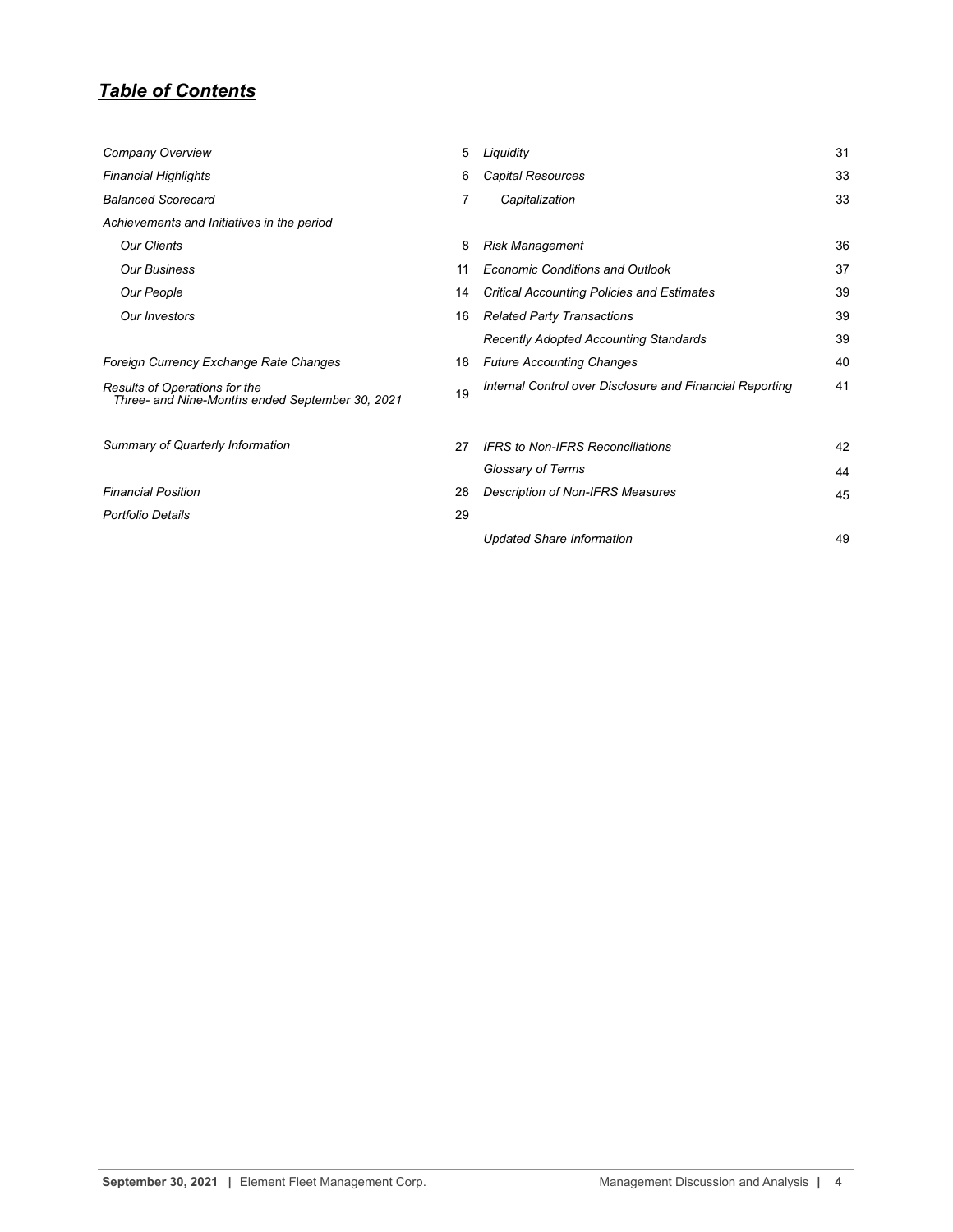## *Table of Contents*

| Company Overview                                                                 | 5  | Liquidity                                                | 31 |
|----------------------------------------------------------------------------------|----|----------------------------------------------------------|----|
| <b>Financial Highlights</b>                                                      | 6  | Capital Resources                                        | 33 |
| <b>Balanced Scorecard</b>                                                        | 7  | Capitalization                                           | 33 |
| Achievements and Initiatives in the period                                       |    |                                                          |    |
| <b>Our Clients</b>                                                               | 8  | <b>Risk Management</b>                                   | 36 |
| <b>Our Business</b>                                                              | 11 | <b>Economic Conditions and Outlook</b>                   | 37 |
| Our People                                                                       | 14 | Critical Accounting Policies and Estimates               | 39 |
| Our Investors                                                                    | 16 | <b>Related Party Transactions</b>                        | 39 |
|                                                                                  |    | <b>Recently Adopted Accounting Standards</b>             | 39 |
| Foreign Currency Exchange Rate Changes                                           | 18 | <b>Future Accounting Changes</b>                         | 40 |
| Results of Operations for the<br>Three- and Nine-Months ended September 30, 2021 | 19 | Internal Control over Disclosure and Financial Reporting | 41 |
| Summary of Quarterly Information                                                 | 27 | <b>IFRS</b> to Non-IFRS Reconciliations                  | 42 |
|                                                                                  |    | Glossary of Terms                                        | 44 |
| <b>Financial Position</b>                                                        | 28 | Description of Non-IFRS Measures                         | 45 |
| <b>Portfolio Details</b>                                                         | 29 |                                                          |    |
|                                                                                  |    | <b>Updated Share Information</b>                         | 49 |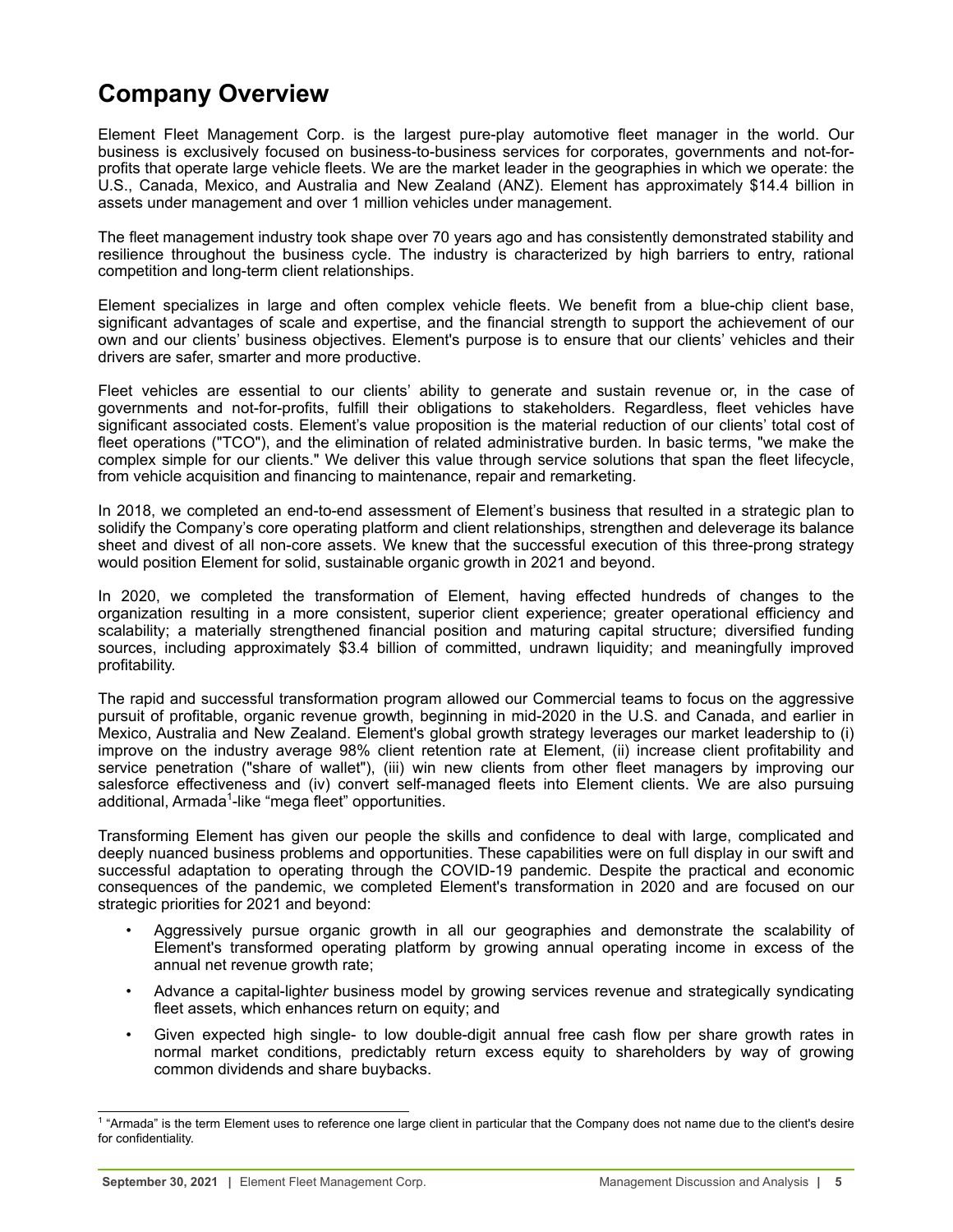# <span id="page-4-0"></span>**Company Overview**

Element Fleet Management Corp. is the largest pure-play automotive fleet manager in the world. Our business is exclusively focused on business-to-business services for corporates, governments and not-forprofits that operate large vehicle fleets. We are the market leader in the geographies in which we operate: the U.S., Canada, Mexico, and Australia and New Zealand (ANZ). Element has approximately \$14.4 billion in assets under management and over 1 million vehicles under management.

The fleet management industry took shape over 70 years ago and has consistently demonstrated stability and resilience throughout the business cycle. The industry is characterized by high barriers to entry, rational competition and long-term client relationships.

Element specializes in large and often complex vehicle fleets. We benefit from a blue-chip client base, significant advantages of scale and expertise, and the financial strength to support the achievement of our own and our clients' business objectives. Element's purpose is to ensure that our clients' vehicles and their drivers are safer, smarter and more productive.

Fleet vehicles are essential to our clients' ability to generate and sustain revenue or, in the case of governments and not-for-profits, fulfill their obligations to stakeholders. Regardless, fleet vehicles have significant associated costs. Element's value proposition is the material reduction of our clients' total cost of fleet operations ("TCO"), and the elimination of related administrative burden. In basic terms, "we make the complex simple for our clients." We deliver this value through service solutions that span the fleet lifecycle, from vehicle acquisition and financing to maintenance, repair and remarketing.

In 2018, we completed an end-to-end assessment of Element's business that resulted in a strategic plan to solidify the Company's core operating platform and client relationships, strengthen and deleverage its balance sheet and divest of all non-core assets. We knew that the successful execution of this three-prong strategy would position Element for solid, sustainable organic growth in 2021 and beyond.

In 2020, we completed the transformation of Element, having effected hundreds of changes to the organization resulting in a more consistent, superior client experience; greater operational efficiency and scalability; a materially strengthened financial position and maturing capital structure; diversified funding sources, including approximately \$3.4 billion of committed, undrawn liquidity; and meaningfully improved profitability.

The rapid and successful transformation program allowed our Commercial teams to focus on the aggressive pursuit of profitable, organic revenue growth, beginning in mid-2020 in the U.S. and Canada, and earlier in Mexico, Australia and New Zealand. Element's global growth strategy leverages our market leadership to (i) improve on the industry average 98% client retention rate at Element, (ii) increase client profitability and service penetration ("share of wallet"), (iii) win new clients from other fleet managers by improving our salesforce effectiveness and (iv) convert self-managed fleets into Element clients. We are also pursuing additional, Armada<sup>1</sup>-like "mega fleet" opportunities.

Transforming Element has given our people the skills and confidence to deal with large, complicated and deeply nuanced business problems and opportunities. These capabilities were on full display in our swift and successful adaptation to operating through the COVID-19 pandemic. Despite the practical and economic consequences of the pandemic, we completed Element's transformation in 2020 and are focused on our strategic priorities for 2021 and beyond:

- Aggressively pursue organic growth in all our geographies and demonstrate the scalability of Element's transformed operating platform by growing annual operating income in excess of the annual net revenue growth rate;
- Advance a capital-light*er* business model by growing services revenue and strategically syndicating fleet assets, which enhances return on equity; and
- Given expected high single- to low double-digit annual free cash flow per share growth rates in normal market conditions, predictably return excess equity to shareholders by way of growing common dividends and share buybacks.

<sup>&</sup>lt;sup>1</sup> "Armada" is the term Element uses to reference one large client in particular that the Company does not name due to the client's desire for confidentiality.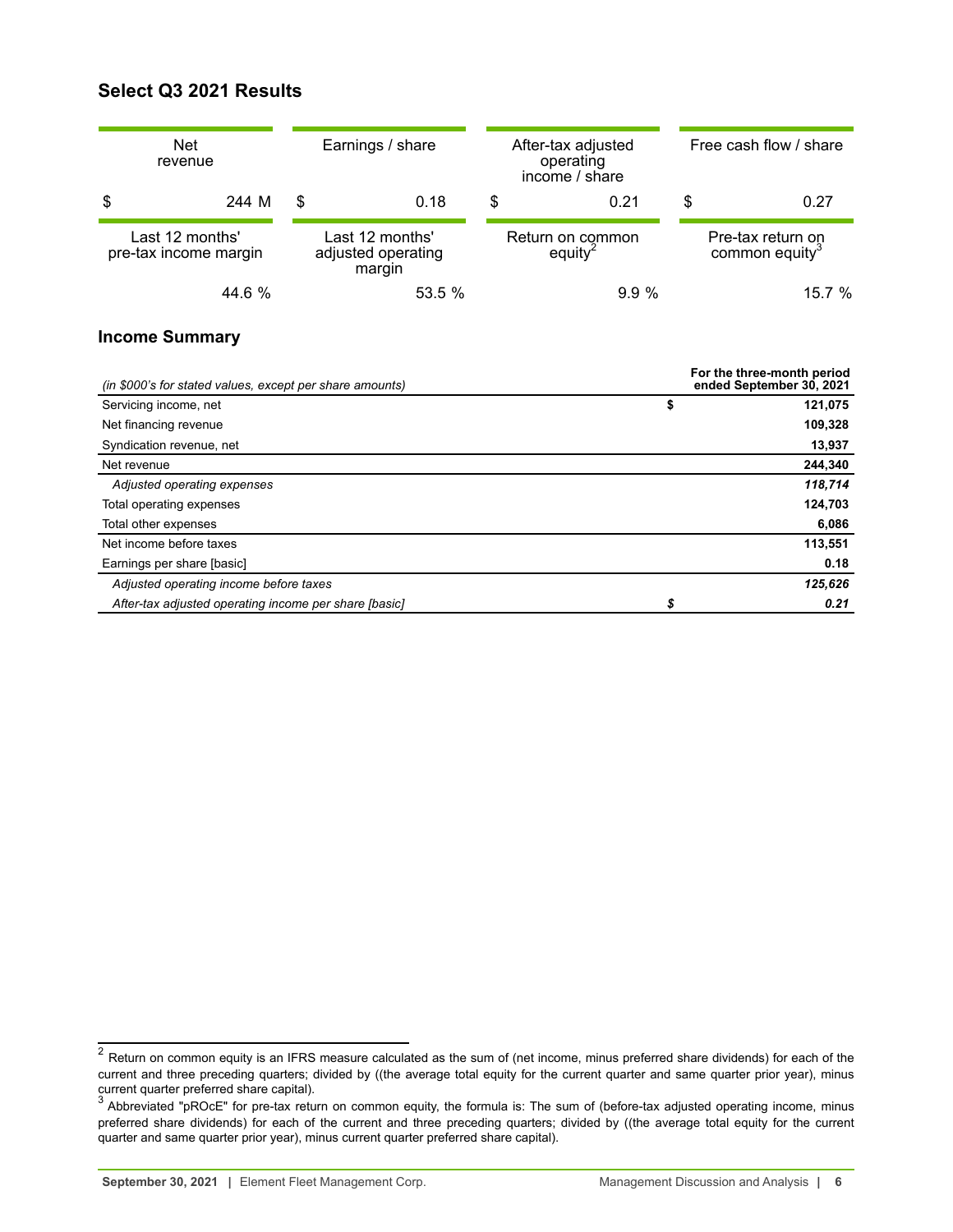## <span id="page-5-0"></span>**Select Q3 2021 Results**

| <b>Net</b><br>revenue                    | Earnings / share |                                                 | After-tax adjusted<br>operating<br>income / share |                                         | Free cash flow / share                          |
|------------------------------------------|------------------|-------------------------------------------------|---------------------------------------------------|-----------------------------------------|-------------------------------------------------|
| \$<br>244 M                              | \$               | 0.18                                            | S<br>0.21                                         |                                         | \$<br>0.27                                      |
| Last 12 months'<br>pre-tax income margin |                  | Last 12 months'<br>adjusted operating<br>margin |                                                   | Return on common<br>equity <sup>2</sup> | Pre-tax return on<br>common equity <sup>3</sup> |
| 44.6 %                                   |                  | 53.5 %                                          |                                                   | 9.9%                                    | 15.7%                                           |

## **Income Summary**

| (in \$000's for stated values, except per share amounts) | For the three-month period<br>ended September 30, 2021 |
|----------------------------------------------------------|--------------------------------------------------------|
| Servicing income, net                                    | \$<br>121,075                                          |
| Net financing revenue                                    | 109,328                                                |
| Syndication revenue, net                                 | 13,937                                                 |
| Net revenue                                              | 244,340                                                |
| Adjusted operating expenses                              | 118,714                                                |
| Total operating expenses                                 | 124,703                                                |
| Total other expenses                                     | 6,086                                                  |
| Net income before taxes                                  | 113,551                                                |
| Earnings per share [basic]                               | 0.18                                                   |
| Adjusted operating income before taxes                   | 125,626                                                |
| After-tax adjusted operating income per share [basic]    | \$<br>0.21                                             |

 $^2$  Return on common equity is an IFRS measure calculated as the sum of (net income, minus preferred share dividends) for each of the current and three preceding quarters; divided by ((the average total equity for the current quarter and same quarter prior year), minus current quarter preferred share capital).

 $^3$  Abbreviated "pROcE" for pre-tax return on common equity, the formula is: The sum of (before-tax adjusted operating income, minus preferred share dividends) for each of the current and three preceding quarters; divided by ((the average total equity for the current quarter and same quarter prior year), minus current quarter preferred share capital).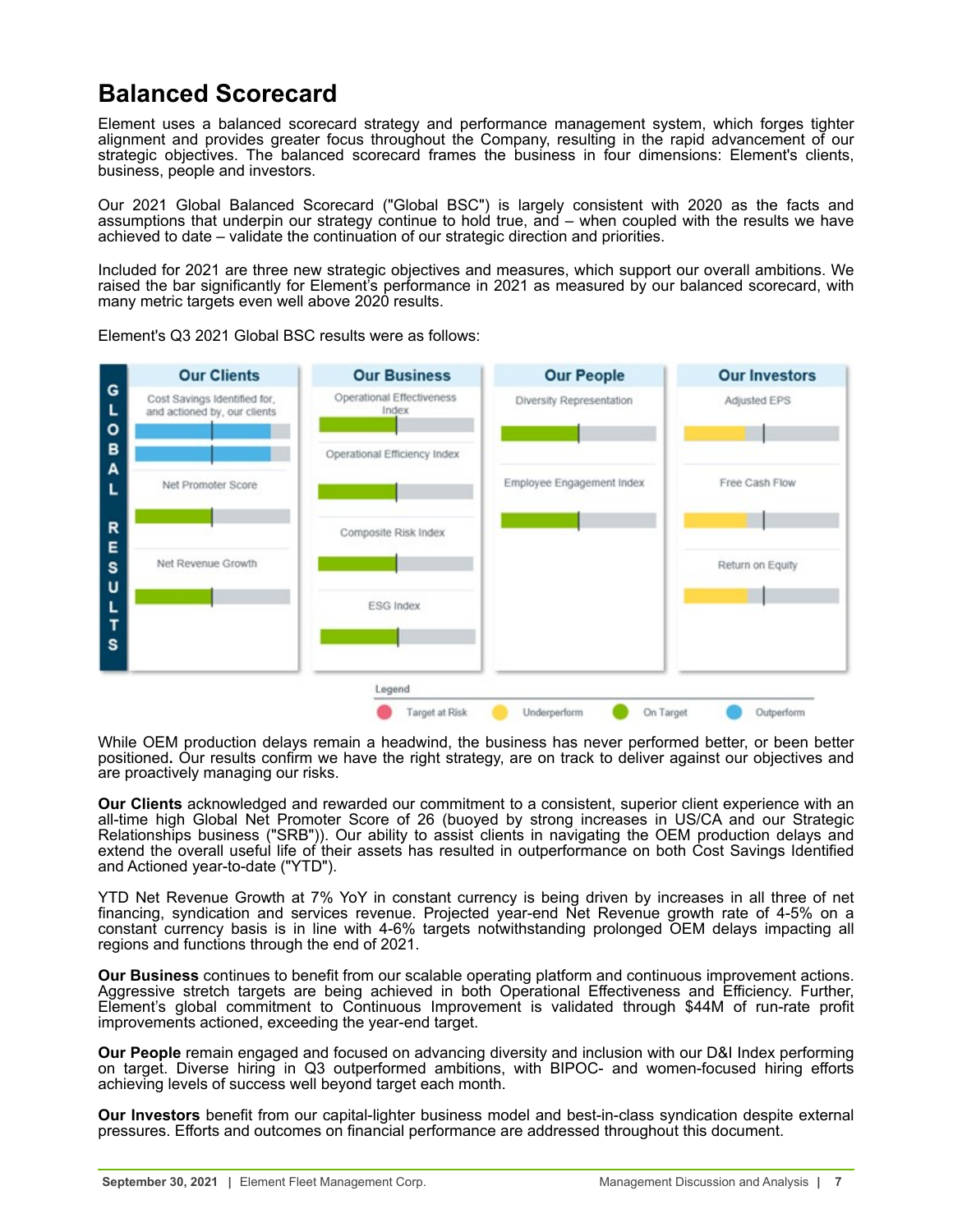# <span id="page-6-0"></span>**Balanced Scorecard**

Element uses a balanced scorecard strategy and performance management system, which forges tighter alignment and provides greater focus throughout the Company, resulting in the rapid advancement of our strategic objectives. The balanced scorecard frames the business in four dimensions: Element's clients, business, people and investors.

Our 2021 Global Balanced Scorecard ("Global BSC") is largely consistent with 2020 as the facts and assumptions that underpin our strategy continue to hold true, and – when coupled with the results we have achieved to date – validate the continuation of our strategic direction and priorities.

Included for 2021 are three new strategic objectives and measures, which support our overall ambitions. We raised the bar significantly for Element's performance in 2021 as measured by our balanced scorecard, with many metric targets even well above 2020 results.



Element's Q3 2021 Global BSC results were as follows:

While OEM production delays remain a headwind, the business has never performed better, or been better positioned**.** Our results confirm we have the right strategy, are on track to deliver against our objectives and are proactively managing our risks.

**Our Clients** acknowledged and rewarded our commitment to a consistent, superior client experience with an all-time high Global Net Promoter Score of 26 (buoyed by strong increases in US/CA and our Strategic Relationships business ("SRB")). Our ability to assist clients in navigating the OEM production delays and extend the overall useful life of their assets has resulted in outperformance on both Cost Savings Identified and Actioned year-to-date ("YTD").

YTD Net Revenue Growth at 7% YoY in constant currency is being driven by increases in all three of net financing, syndication and services revenue. Projected year-end Net Revenue growth rate of 4-5% on a constant currency basis is in line with 4-6% targets notwithstanding prolonged OEM delays impacting all regions and functions through the end of 2021.

**Our Business** continues to benefit from our scalable operating platform and continuous improvement actions. Aggressive stretch targets are being achieved in both Operational Effectiveness and Efficiency. Further, Element's global commitment to Continuous Improvement is validated through \$44M of run-rate profit improvements actioned, exceeding the year-end target.

**Our People** remain engaged and focused on advancing diversity and inclusion with our D&I Index performing on target. Diverse hiring in Q3 outperformed ambitions, with BIPOC- and women-focused hiring efforts achieving levels of success well beyond target each month.

**Our Investors** benefit from our capital-lighter business model and best-in-class syndication despite external pressures. Efforts and outcomes on financial performance are addressed throughout this document.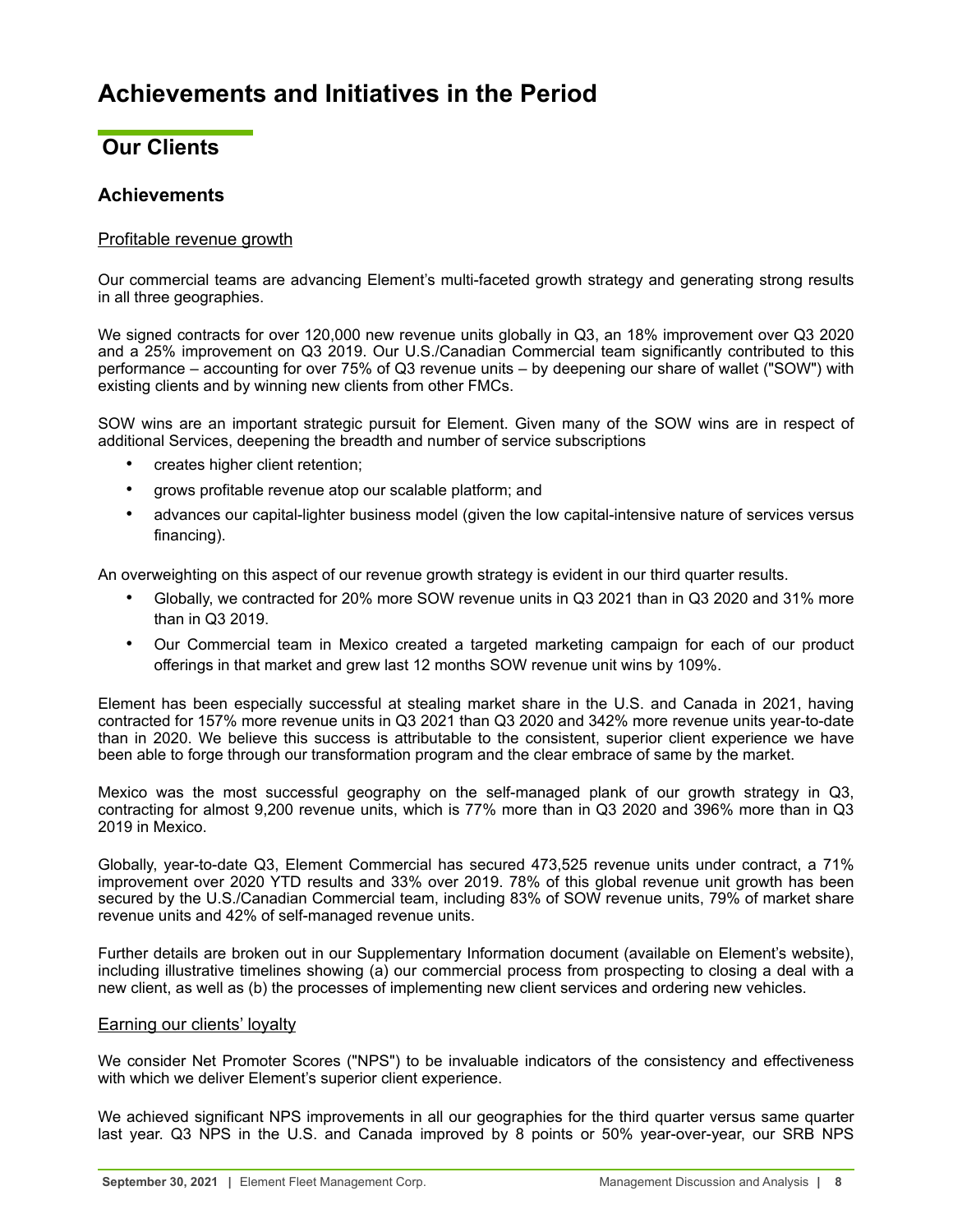# <span id="page-7-0"></span>**Achievements and Initiatives in the Period**

## **Our Clients**

## **Achievements**

## Profitable revenue growth

Our commercial teams are advancing Element's multi-faceted growth strategy and generating strong results in all three geographies.

We signed contracts for over 120,000 new revenue units globally in Q3, an 18% improvement over Q3 2020 and a 25% improvement on Q3 2019. Our U.S./Canadian Commercial team significantly contributed to this performance – accounting for over 75% of Q3 revenue units – by deepening our share of wallet ("SOW") with existing clients and by winning new clients from other FMCs.

SOW wins are an important strategic pursuit for Element. Given many of the SOW wins are in respect of additional Services, deepening the breadth and number of service subscriptions

- creates higher client retention:
- grows profitable revenue atop our scalable platform; and
- advances our capital-lighter business model (given the low capital-intensive nature of services versus financing).

An overweighting on this aspect of our revenue growth strategy is evident in our third quarter results.

- Globally, we contracted for 20% more SOW revenue units in Q3 2021 than in Q3 2020 and 31% more than in Q3 2019.
- Our Commercial team in Mexico created a targeted marketing campaign for each of our product offerings in that market and grew last 12 months SOW revenue unit wins by 109%.

Element has been especially successful at stealing market share in the U.S. and Canada in 2021, having contracted for 157% more revenue units in Q3 2021 than Q3 2020 and 342% more revenue units year-to-date than in 2020. We believe this success is attributable to the consistent, superior client experience we have been able to forge through our transformation program and the clear embrace of same by the market.

Mexico was the most successful geography on the self-managed plank of our growth strategy in Q3, contracting for almost 9,200 revenue units, which is 77% more than in Q3 2020 and 396% more than in Q3 2019 in Mexico.

Globally, year-to-date Q3, Element Commercial has secured 473,525 revenue units under contract, a 71% improvement over 2020 YTD results and 33% over 2019. 78% of this global revenue unit growth has been secured by the U.S./Canadian Commercial team, including 83% of SOW revenue units, 79% of market share revenue units and 42% of self-managed revenue units.

Further details are broken out in our Supplementary Information document (available on Element's website), including illustrative timelines showing (a) our commercial process from prospecting to closing a deal with a new client, as well as (b) the processes of implementing new client services and ordering new vehicles.

## Earning our clients' loyalty

We consider Net Promoter Scores ("NPS") to be invaluable indicators of the consistency and effectiveness with which we deliver Element's superior client experience.

We achieved significant NPS improvements in all our geographies for the third quarter versus same quarter last year. Q3 NPS in the U.S. and Canada improved by 8 points or 50% year-over-year, our SRB NPS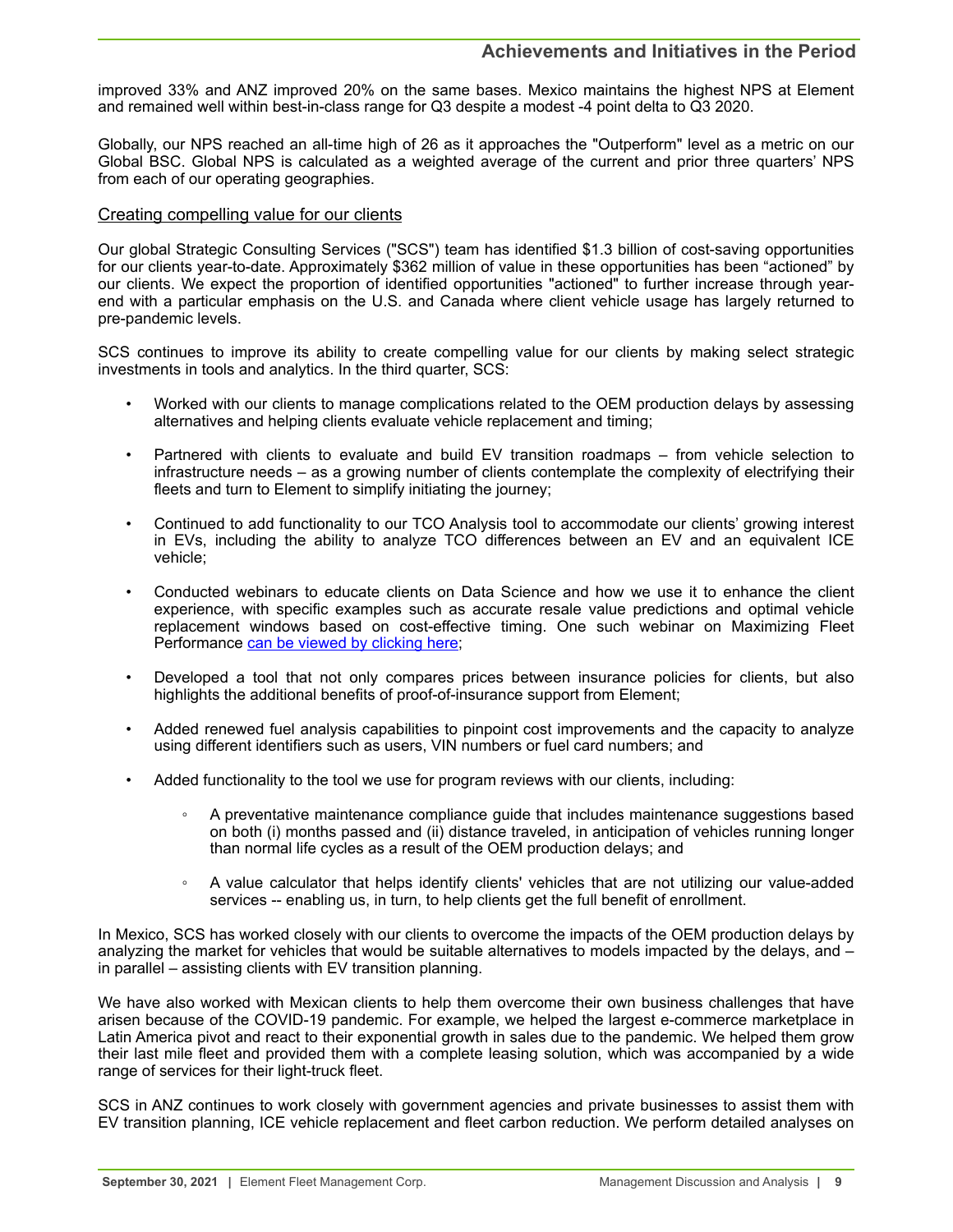## **Achievements and Initiatives in the Period**

improved 33% and ANZ improved 20% on the same bases. Mexico maintains the highest NPS at Element and remained well within best-in-class range for Q3 despite a modest -4 point delta to Q3 2020.

Globally, our NPS reached an all-time high of 26 as it approaches the "Outperform" level as a metric on our Global BSC. Global NPS is calculated as a weighted average of the current and prior three quarters' NPS from each of our operating geographies.

## Creating compelling value for our clients

Our global Strategic Consulting Services ("SCS") team has identified \$1.3 billion of cost-saving opportunities for our clients year-to-date. Approximately \$362 million of value in these opportunities has been "actioned" by our clients. We expect the proportion of identified opportunities "actioned" to further increase through yearend with a particular emphasis on the U.S. and Canada where client vehicle usage has largely returned to pre-pandemic levels.

SCS continues to improve its ability to create compelling value for our clients by making select strategic investments in tools and analytics. In the third quarter, SCS:

- Worked with our clients to manage complications related to the OEM production delays by assessing alternatives and helping clients evaluate vehicle replacement and timing;
- Partnered with clients to evaluate and build EV transition roadmaps from vehicle selection to infrastructure needs – as a growing number of clients contemplate the complexity of electrifying their fleets and turn to Element to simplify initiating the journey;
- Continued to add functionality to our TCO Analysis tool to accommodate our clients' growing interest in EVs, including the ability to analyze TCO differences between an EV and an equivalent ICE vehicle;
- Conducted webinars to educate clients on Data Science and how we use it to enhance the client experience, with specific examples such as accurate resale value predictions and optimal vehicle replacement windows based on cost-effective timing. One such webinar on Maximizing Fleet Performance [can be viewed by clicking here;](http://video.elementfleet.com/watch/SQdTDLbFYuNEFisVNxbD6p)
- Developed a tool that not only compares prices between insurance policies for clients, but also highlights the additional benefits of proof-of-insurance support from Element;
- Added renewed fuel analysis capabilities to pinpoint cost improvements and the capacity to analyze using different identifiers such as users, VIN numbers or fuel card numbers; and
- Added functionality to the tool we use for program reviews with our clients, including:
	- A preventative maintenance compliance guide that includes maintenance suggestions based on both (i) months passed and (ii) distance traveled, in anticipation of vehicles running longer than normal life cycles as a result of the OEM production delays; and
	- A value calculator that helps identify clients' vehicles that are not utilizing our value-added services -- enabling us, in turn, to help clients get the full benefit of enrollment.

In Mexico, SCS has worked closely with our clients to overcome the impacts of the OEM production delays by analyzing the market for vehicles that would be suitable alternatives to models impacted by the delays, and – in parallel – assisting clients with EV transition planning.

We have also worked with Mexican clients to help them overcome their own business challenges that have arisen because of the COVID-19 pandemic. For example, we helped the largest e-commerce marketplace in Latin America pivot and react to their exponential growth in sales due to the pandemic. We helped them grow their last mile fleet and provided them with a complete leasing solution, which was accompanied by a wide range of services for their light-truck fleet.

SCS in ANZ continues to work closely with government agencies and private businesses to assist them with EV transition planning, ICE vehicle replacement and fleet carbon reduction. We perform detailed analyses on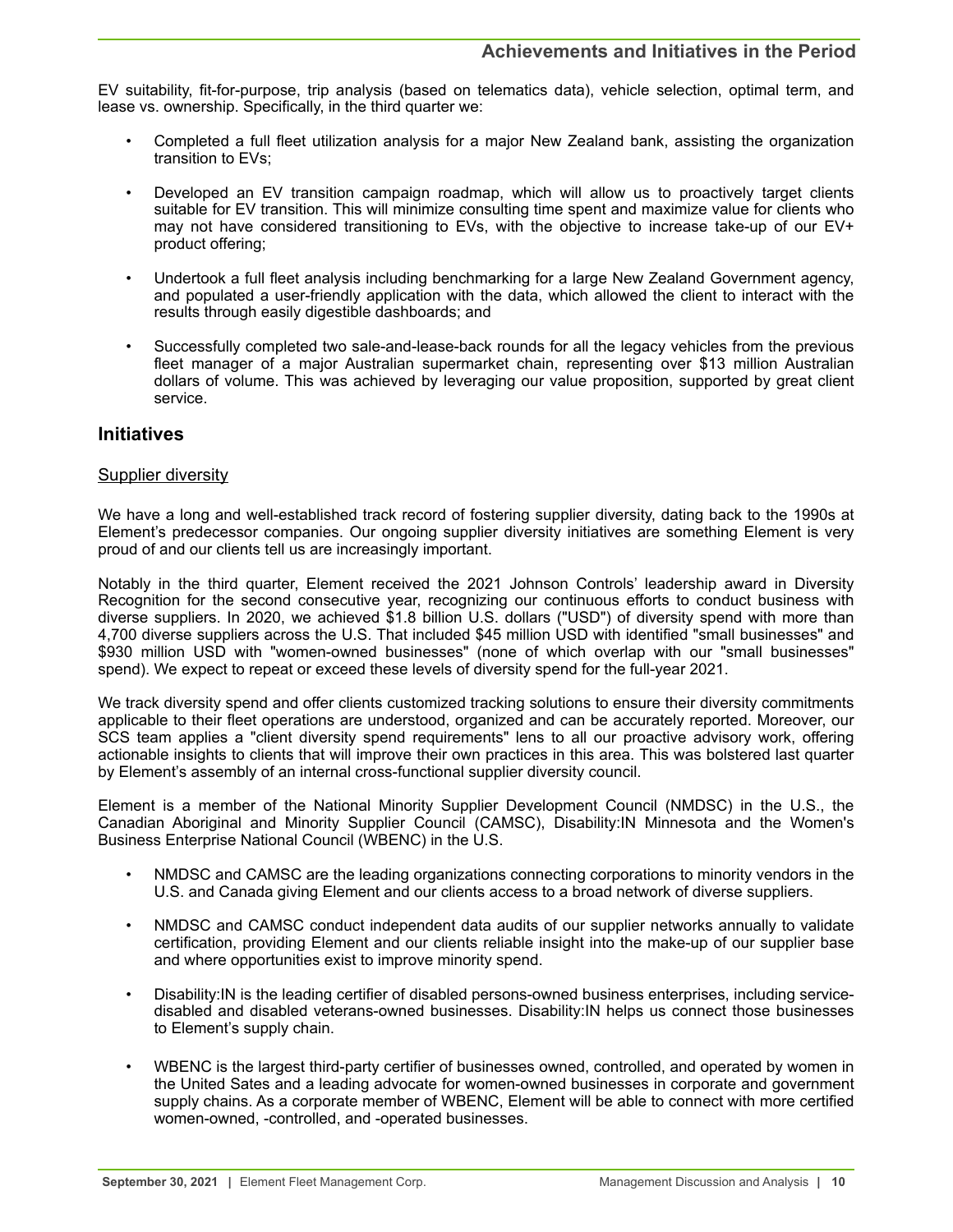EV suitability, fit-for-purpose, trip analysis (based on telematics data), vehicle selection, optimal term, and lease vs. ownership. Specifically, in the third quarter we:

- Completed a full fleet utilization analysis for a major New Zealand bank, assisting the organization transition to EVs;
- Developed an EV transition campaign roadmap, which will allow us to proactively target clients suitable for EV transition. This will minimize consulting time spent and maximize value for clients who may not have considered transitioning to EVs, with the objective to increase take-up of our EV+ product offering;
- Undertook a full fleet analysis including benchmarking for a large New Zealand Government agency, and populated a user-friendly application with the data, which allowed the client to interact with the results through easily digestible dashboards; and
- Successfully completed two sale-and-lease-back rounds for all the legacy vehicles from the previous fleet manager of a major Australian supermarket chain, representing over \$13 million Australian dollars of volume. This was achieved by leveraging our value proposition, supported by great client service.

## **Initiatives**

## Supplier diversity

We have a long and well-established track record of fostering supplier diversity, dating back to the 1990s at Element's predecessor companies. Our ongoing supplier diversity initiatives are something Element is very proud of and our clients tell us are increasingly important.

Notably in the third quarter, Element received the 2021 Johnson Controls' leadership award in Diversity Recognition for the second consecutive year, recognizing our continuous efforts to conduct business with diverse suppliers. In 2020, we achieved \$1.8 billion U.S. dollars ("USD") of diversity spend with more than 4,700 diverse suppliers across the U.S. That included \$45 million USD with identified "small businesses" and \$930 million USD with "women-owned businesses" (none of which overlap with our "small businesses" spend). We expect to repeat or exceed these levels of diversity spend for the full-year 2021.

We track diversity spend and offer clients customized tracking solutions to ensure their diversity commitments applicable to their fleet operations are understood, organized and can be accurately reported. Moreover, our SCS team applies a "client diversity spend requirements" lens to all our proactive advisory work, offering actionable insights to clients that will improve their own practices in this area. This was bolstered last quarter by Element's assembly of an internal cross-functional supplier diversity council.

Element is a member of the National Minority Supplier Development Council (NMDSC) in the U.S., the Canadian Aboriginal and Minority Supplier Council (CAMSC), Disability:IN Minnesota and the Women's Business Enterprise National Council (WBENC) in the U.S.

- NMDSC and CAMSC are the leading organizations connecting corporations to minority vendors in the U.S. and Canada giving Element and our clients access to a broad network of diverse suppliers.
- NMDSC and CAMSC conduct independent data audits of our supplier networks annually to validate certification, providing Element and our clients reliable insight into the make-up of our supplier base and where opportunities exist to improve minority spend.
- Disability:IN is the leading certifier of disabled persons-owned business enterprises, including servicedisabled and disabled veterans-owned businesses. Disability:IN helps us connect those businesses to Element's supply chain.
- WBENC is the largest third-party certifier of businesses owned, controlled, and operated by women in the United Sates and a leading advocate for women-owned businesses in corporate and government supply chains. As a corporate member of WBENC, Element will be able to connect with more certified women-owned, -controlled, and -operated businesses.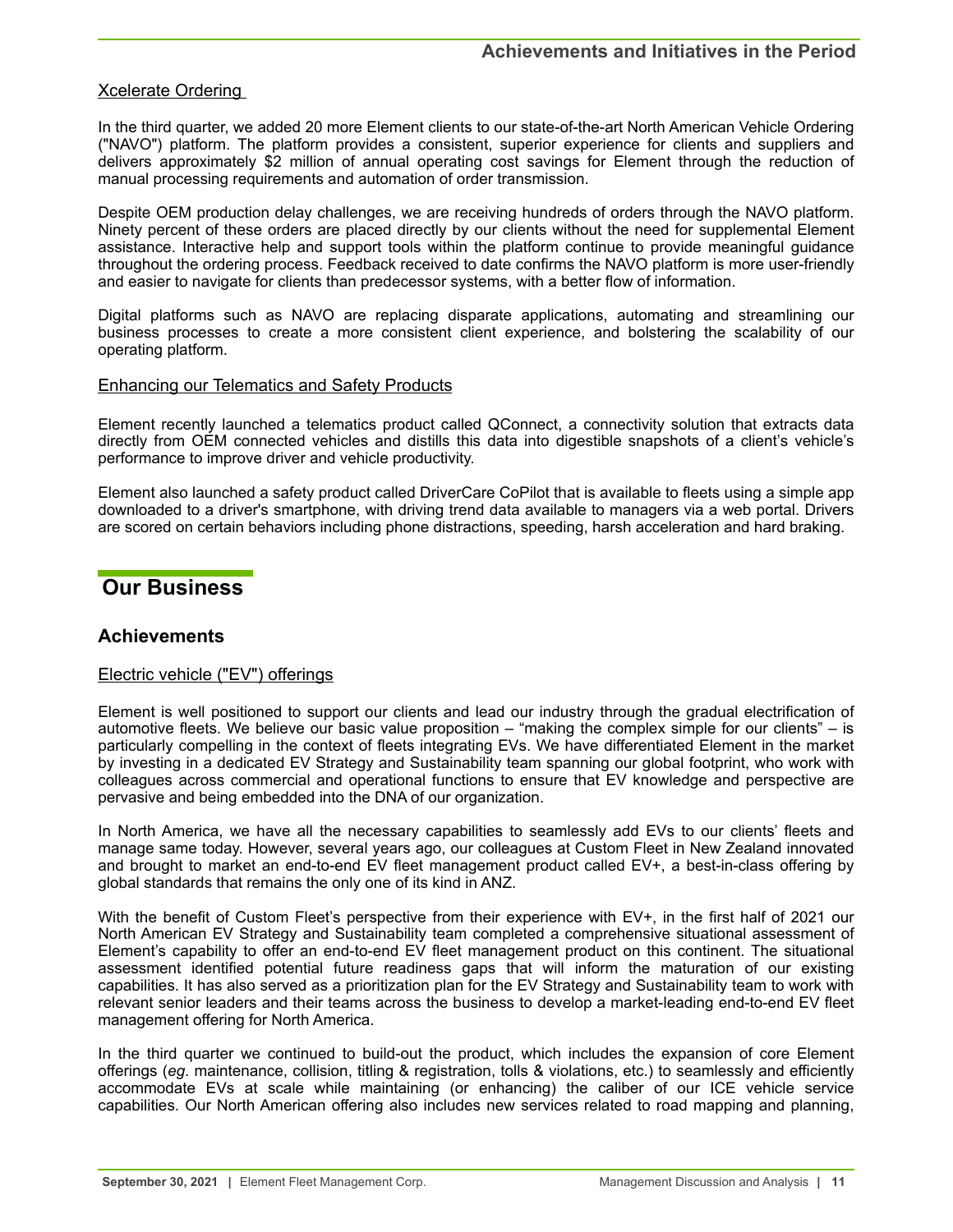## <span id="page-10-0"></span>Xcelerate Ordering

In the third quarter, we added 20 more Element clients to our state-of-the-art North American Vehicle Ordering ("NAVO") platform. The platform provides a consistent, superior experience for clients and suppliers and delivers approximately \$2 million of annual operating cost savings for Element through the reduction of manual processing requirements and automation of order transmission.

Despite OEM production delay challenges, we are receiving hundreds of orders through the NAVO platform. Ninety percent of these orders are placed directly by our clients without the need for supplemental Element assistance. Interactive help and support tools within the platform continue to provide meaningful guidance throughout the ordering process. Feedback received to date confirms the NAVO platform is more user-friendly and easier to navigate for clients than predecessor systems, with a better flow of information.

Digital platforms such as NAVO are replacing disparate applications, automating and streamlining our business processes to create a more consistent client experience, and bolstering the scalability of our operating platform.

## Enhancing our Telematics and Safety Products

Element recently launched a telematics product called QConnect, a connectivity solution that extracts data directly from OEM connected vehicles and distills this data into digestible snapshots of a client's vehicle's performance to improve driver and vehicle productivity.

Element also launched a safety product called DriverCare CoPilot that is available to fleets using a simple app downloaded to a driver's smartphone, with driving trend data available to managers via a web portal. Drivers are scored on certain behaviors including phone distractions, speeding, harsh acceleration and hard braking.

## **Our Business**

## **Achievements**

## Electric vehicle ("EV") offerings

Element is well positioned to support our clients and lead our industry through the gradual electrification of automotive fleets. We believe our basic value proposition – "making the complex simple for our clients" – is particularly compelling in the context of fleets integrating EVs. We have differentiated Element in the market by investing in a dedicated EV Strategy and Sustainability team spanning our global footprint, who work with colleagues across commercial and operational functions to ensure that EV knowledge and perspective are pervasive and being embedded into the DNA of our organization.

In North America, we have all the necessary capabilities to seamlessly add EVs to our clients' fleets and manage same today. However, several years ago, our colleagues at Custom Fleet in New Zealand innovated and brought to market an end-to-end EV fleet management product called EV+, a best-in-class offering by global standards that remains the only one of its kind in ANZ.

With the benefit of Custom Fleet's perspective from their experience with EV+, in the first half of 2021 our North American EV Strategy and Sustainability team completed a comprehensive situational assessment of Element's capability to offer an end-to-end EV fleet management product on this continent. The situational assessment identified potential future readiness gaps that will inform the maturation of our existing capabilities. It has also served as a prioritization plan for the EV Strategy and Sustainability team to work with relevant senior leaders and their teams across the business to develop a market-leading end-to-end EV fleet management offering for North America.

In the third quarter we continued to build-out the product, which includes the expansion of core Element offerings (*eg*. maintenance, collision, titling & registration, tolls & violations, etc.) to seamlessly and efficiently accommodate EVs at scale while maintaining (or enhancing) the caliber of our ICE vehicle service capabilities. Our North American offering also includes new services related to road mapping and planning,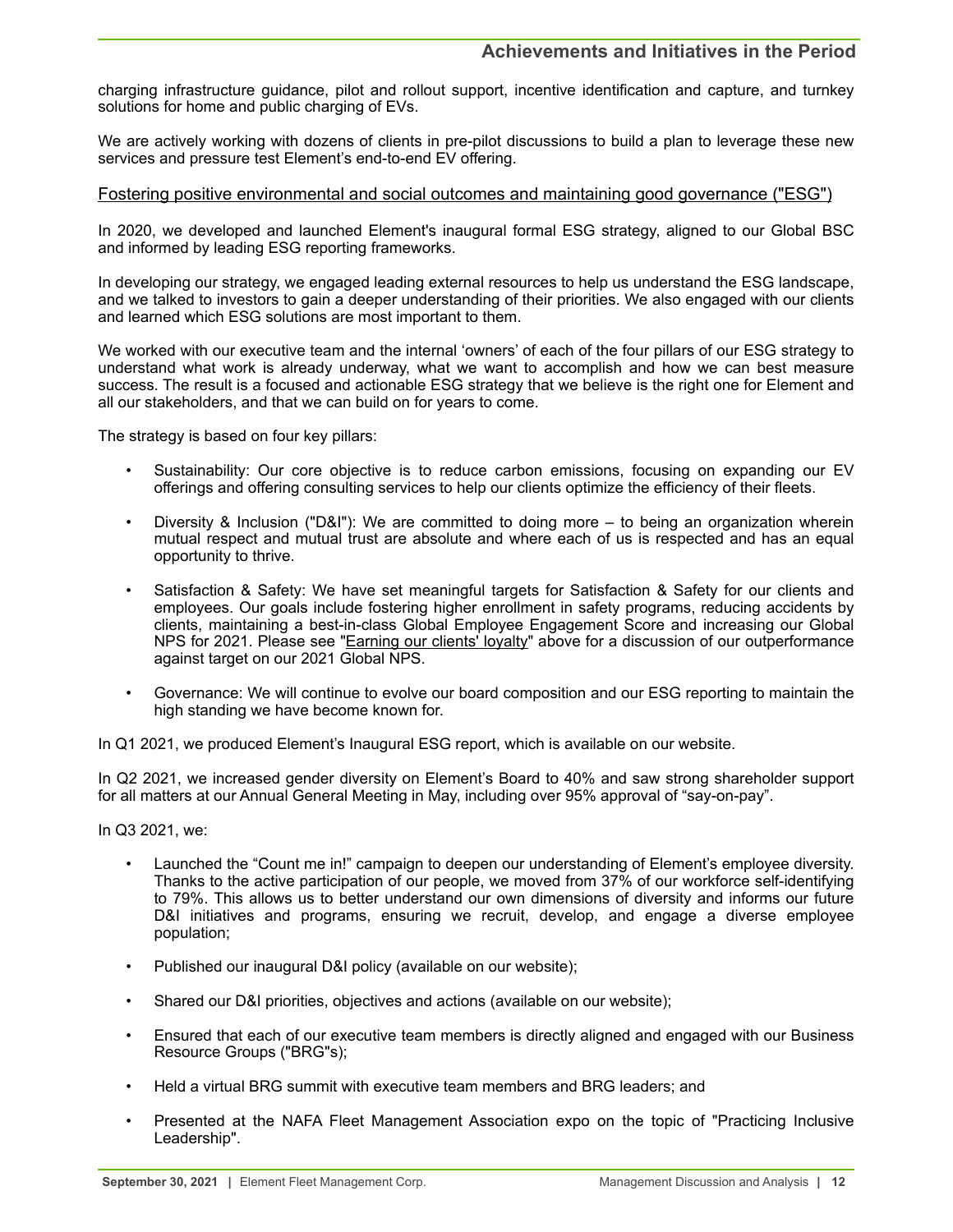charging infrastructure guidance, pilot and rollout support, incentive identification and capture, and turnkey solutions for home and public charging of EVs.

We are actively working with dozens of clients in pre-pilot discussions to build a plan to leverage these new services and pressure test Element's end-to-end EV offering.

## Fostering positive environmental and social outcomes and maintaining good governance ("ESG")

In 2020, we developed and launched Element's inaugural formal ESG strategy, aligned to our Global BSC and informed by leading ESG reporting frameworks.

In developing our strategy, we engaged leading external resources to help us understand the ESG landscape, and we talked to investors to gain a deeper understanding of their priorities. We also engaged with our clients and learned which ESG solutions are most important to them.

We worked with our executive team and the internal 'owners' of each of the four pillars of our ESG strategy to understand what work is already underway, what we want to accomplish and how we can best measure success. The result is a focused and actionable ESG strategy that we believe is the right one for Element and all our stakeholders, and that we can build on for years to come.

The strategy is based on four key pillars:

- Sustainability: Our core objective is to reduce carbon emissions, focusing on expanding our EV offerings and offering consulting services to help our clients optimize the efficiency of their fleets.
- Diversity & Inclusion ("D&I"): We are committed to doing more to being an organization wherein mutual respect and mutual trust are absolute and where each of us is respected and has an equal opportunity to thrive.
- Satisfaction & Safety: We have set meaningful targets for Satisfaction & Safety for our clients and employees. Our goals include fostering higher enrollment in safety programs, reducing accidents by clients, maintaining a best-in-class Global Employee Engagement Score and increasing our Global NPS for 2021. Please see "Earning our clients' loyalty" above for a discussion of our outperformance against target on our 2021 Global NPS.
- Governance: We will continue to evolve our board composition and our ESG reporting to maintain the high standing we have become known for.

In Q1 2021, we produced Element's Inaugural ESG report, which is available on our website.

In Q2 2021, we increased gender diversity on Element's Board to 40% and saw strong shareholder support for all matters at our Annual General Meeting in May, including over 95% approval of "say-on-pay".

In Q3 2021, we:

- Launched the "Count me in!" campaign to deepen our understanding of Element's employee diversity. Thanks to the active participation of our people, we moved from 37% of our workforce self-identifying to 79%. This allows us to better understand our own dimensions of diversity and informs our future D&I initiatives and programs, ensuring we recruit, develop, and engage a diverse employee population;
- Published our inaugural D&I policy (available on our website);
- Shared our D&I priorities, objectives and actions (available on our website);
- Ensured that each of our executive team members is directly aligned and engaged with our Business Resource Groups ("BRG"s);
- Held a virtual BRG summit with executive team members and BRG leaders; and
- Presented at the NAFA Fleet Management Association expo on the topic of "Practicing Inclusive Leadership".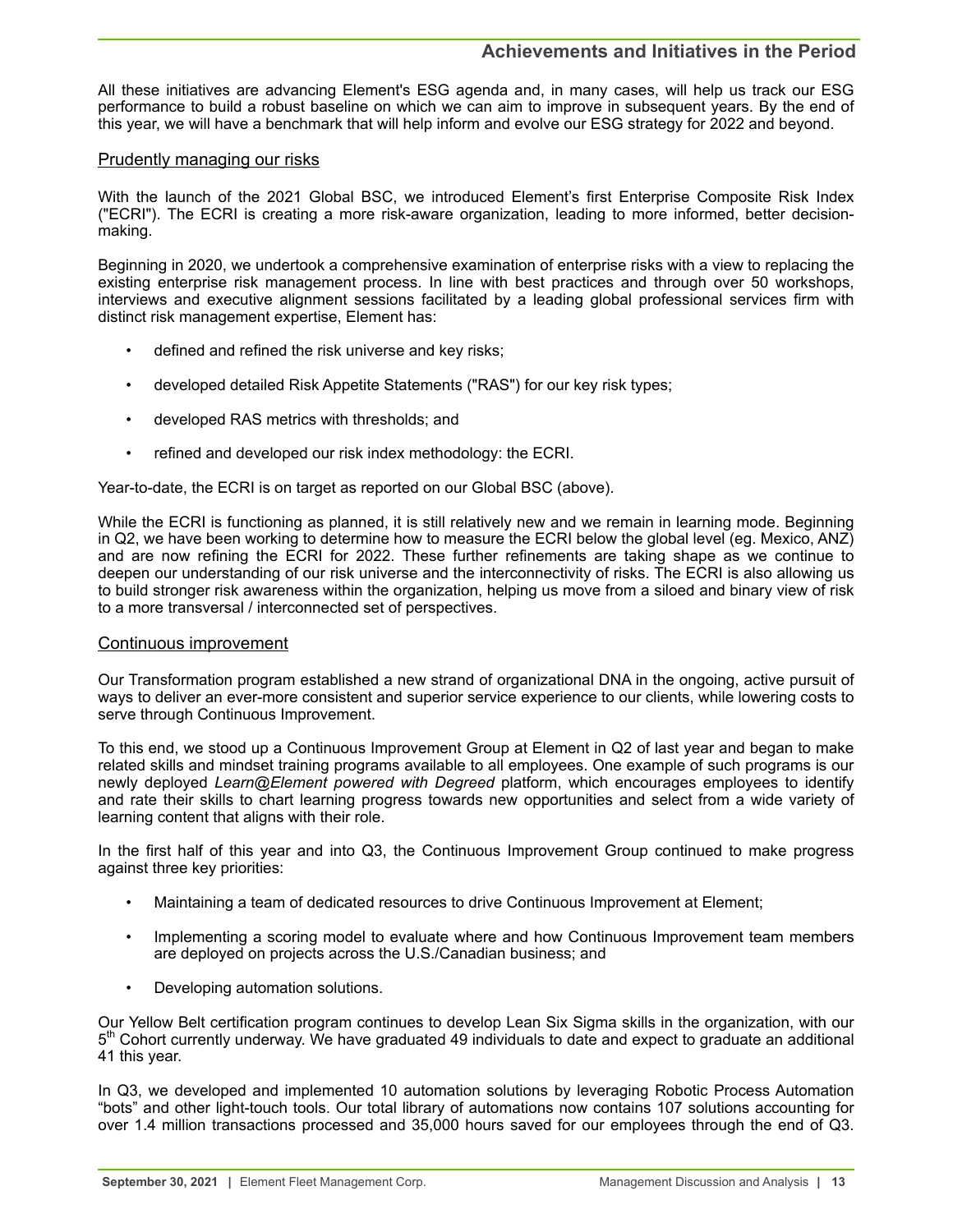All these initiatives are advancing Element's ESG agenda and, in many cases, will help us track our ESG performance to build a robust baseline on which we can aim to improve in subsequent years. By the end of this year, we will have a benchmark that will help inform and evolve our ESG strategy for 2022 and beyond.

## Prudently managing our risks

With the launch of the 2021 Global BSC, we introduced Element's first Enterprise Composite Risk Index ("ECRI"). The ECRI is creating a more risk-aware organization, leading to more informed, better decisionmaking.

Beginning in 2020, we undertook a comprehensive examination of enterprise risks with a view to replacing the existing enterprise risk management process. In line with best practices and through over 50 workshops, interviews and executive alignment sessions facilitated by a leading global professional services firm with distinct risk management expertise, Element has:

- defined and refined the risk universe and key risks;
- developed detailed Risk Appetite Statements ("RAS") for our key risk types;
- developed RAS metrics with thresholds; and
- refined and developed our risk index methodology: the ECRI.

Year-to-date, the ECRI is on target as reported on our Global BSC (above).

While the ECRI is functioning as planned, it is still relatively new and we remain in learning mode. Beginning in Q2, we have been working to determine how to measure the ECRI below the global level (eg. Mexico, ANZ) and are now refining the ECRI for 2022. These further refinements are taking shape as we continue to deepen our understanding of our risk universe and the interconnectivity of risks. The ECRI is also allowing us to build stronger risk awareness within the organization, helping us move from a siloed and binary view of risk to a more transversal / interconnected set of perspectives.

## Continuous improvement

Our Transformation program established a new strand of organizational DNA in the ongoing, active pursuit of ways to deliver an ever-more consistent and superior service experience to our clients, while lowering costs to serve through Continuous Improvement.

To this end, we stood up a Continuous Improvement Group at Element in Q2 of last year and began to make related skills and mindset training programs available to all employees. One example of such programs is our newly deployed *Learn@Element powered with Degreed* platform, which encourages employees to identify and rate their skills to chart learning progress towards new opportunities and select from a wide variety of learning content that aligns with their role.

In the first half of this year and into Q3, the Continuous Improvement Group continued to make progress against three key priorities:

- Maintaining a team of dedicated resources to drive Continuous Improvement at Element;
- Implementing a scoring model to evaluate where and how Continuous Improvement team members are deployed on projects across the U.S./Canadian business; and
- Developing automation solutions.

Our Yellow Belt certification program continues to develop Lean Six Sigma skills in the organization, with our 5<sup>th</sup> Cohort currently underway. We have graduated 49 individuals to date and expect to graduate an additional 41 this year.

In Q3, we developed and implemented 10 automation solutions by leveraging Robotic Process Automation "bots" and other light-touch tools. Our total library of automations now contains 107 solutions accounting for over 1.4 million transactions processed and 35,000 hours saved for our employees through the end of Q3.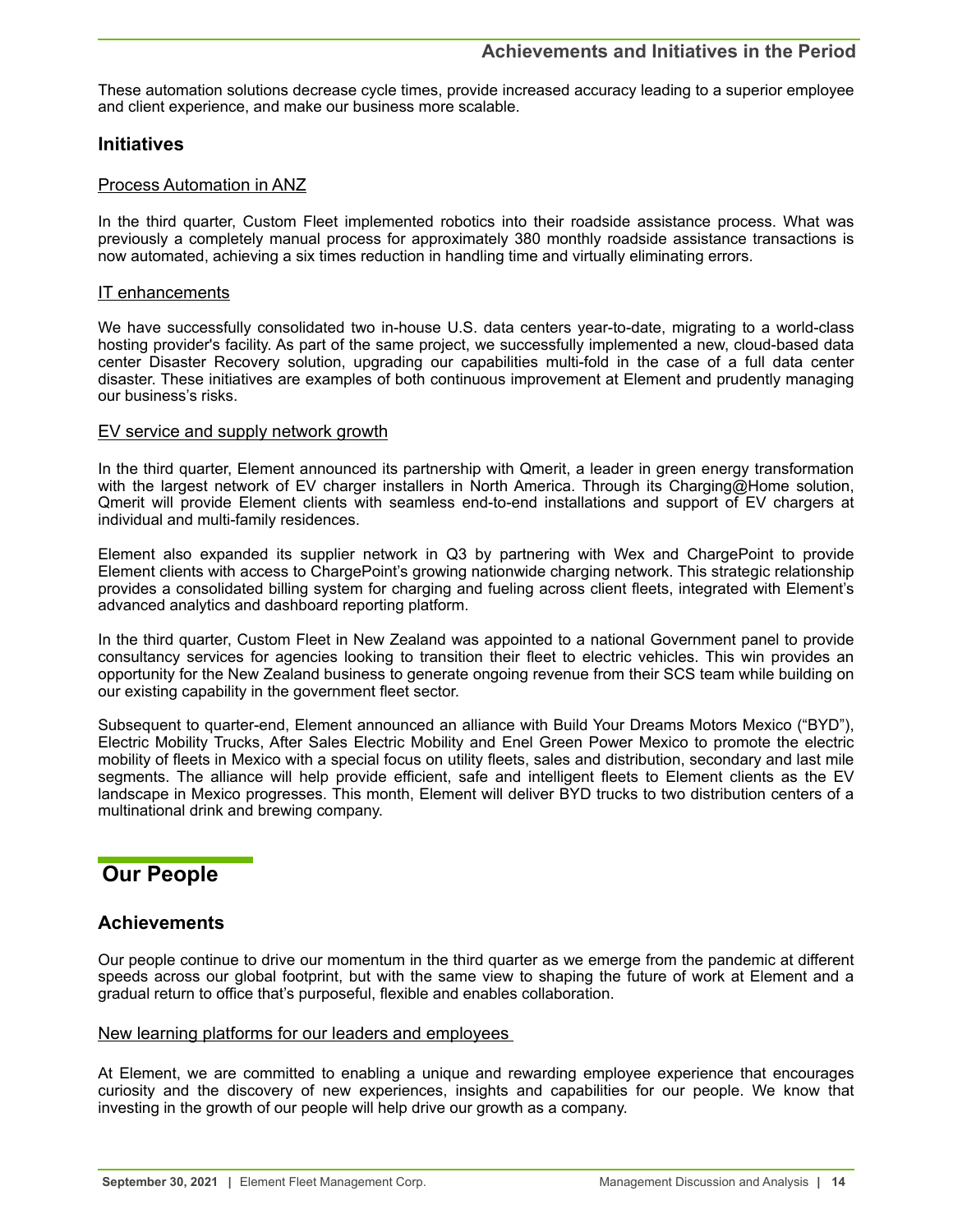<span id="page-13-0"></span>These automation solutions decrease cycle times, provide increased accuracy leading to a superior employee and client experience, and make our business more scalable.

## **Initiatives**

## Process Automation in ANZ

In the third quarter, Custom Fleet implemented robotics into their roadside assistance process. What was previously a completely manual process for approximately 380 monthly roadside assistance transactions is now automated, achieving a six times reduction in handling time and virtually eliminating errors.

## IT enhancements

We have successfully consolidated two in-house U.S. data centers year-to-date, migrating to a world-class hosting provider's facility. As part of the same project, we successfully implemented a new, cloud-based data center Disaster Recovery solution, upgrading our capabilities multi-fold in the case of a full data center disaster. These initiatives are examples of both continuous improvement at Element and prudently managing our business's risks.

## EV service and supply network growth

In the third quarter, Element announced its partnership with Qmerit, a leader in green energy transformation with the largest network of EV charger installers in North America. Through its Charging@Home solution, Qmerit will provide Element clients with seamless end-to-end installations and support of EV chargers at individual and multi-family residences.

Element also expanded its supplier network in Q3 by partnering with Wex and ChargePoint to provide Element clients with access to ChargePoint's growing nationwide charging network. This strategic relationship provides a consolidated billing system for charging and fueling across client fleets, integrated with Element's advanced analytics and dashboard reporting platform.

In the third quarter, Custom Fleet in New Zealand was appointed to a national Government panel to provide consultancy services for agencies looking to transition their fleet to electric vehicles. This win provides an opportunity for the New Zealand business to generate ongoing revenue from their SCS team while building on our existing capability in the government fleet sector.

Subsequent to quarter-end, Element announced an alliance with Build Your Dreams Motors Mexico ("BYD"), Electric Mobility Trucks, After Sales Electric Mobility and Enel Green Power Mexico to promote the electric mobility of fleets in Mexico with a special focus on utility fleets, sales and distribution, secondary and last mile segments. The alliance will help provide efficient, safe and intelligent fleets to Element clients as the EV landscape in Mexico progresses. This month, Element will deliver BYD trucks to two distribution centers of a multinational drink and brewing company.

## **Our People**

## **Achievements**

Our people continue to drive our momentum in the third quarter as we emerge from the pandemic at different speeds across our global footprint, but with the same view to shaping the future of work at Element and a gradual return to office that's purposeful, flexible and enables collaboration.

## New learning platforms for our leaders and employees

At Element, we are committed to enabling a unique and rewarding employee experience that encourages curiosity and the discovery of new experiences, insights and capabilities for our people. We know that investing in the growth of our people will help drive our growth as a company.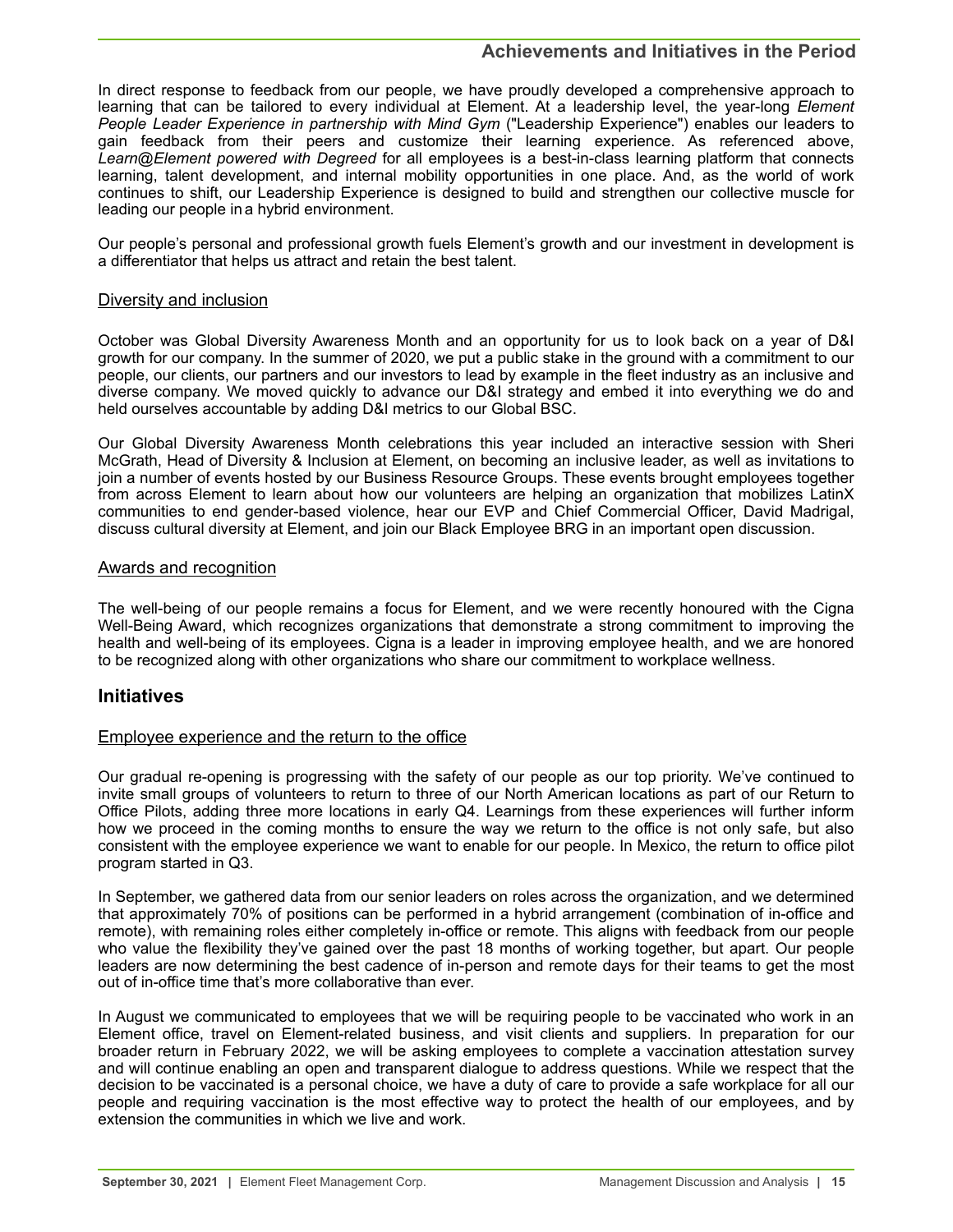## **Achievements and Initiatives in the Period**

In direct response to feedback from our people, we have proudly developed a comprehensive approach to learning that can be tailored to every individual at Element. At a leadership level, the year-long *Element People Leader Experience in partnership with Mind Gym* ("Leadership Experience") enables our leaders to gain feedback from their peers and customize their learning experience. As referenced above, *Learn@Element powered with Degreed* for all employees is a best-in-class learning platform that connects learning, talent development, and internal mobility opportunities in one place. And, as the world of work continues to shift, our Leadership Experience is designed to build and strengthen our collective muscle for leading our people ina hybrid environment.

Our people's personal and professional growth fuels Element's growth and our investment in development is a differentiator that helps us attract and retain the best talent.

## Diversity and inclusion

October was Global Diversity Awareness Month and an opportunity for us to look back on a year of D&I growth for our company. In the summer of 2020, we put a public stake in the ground with a commitment to our people, our clients, our partners and our investors to lead by example in the fleet industry as an inclusive and diverse company. We moved quickly to advance our D&I strategy and embed it into everything we do and held ourselves accountable by adding D&I metrics to our Global BSC.

Our Global Diversity Awareness Month celebrations this year included an interactive session with Sheri McGrath, Head of Diversity & Inclusion at Element, on becoming an inclusive leader, as well as invitations to join a number of events hosted by our Business Resource Groups. These events brought employees together from across Element to learn about how our volunteers are helping an organization that mobilizes LatinX communities to end gender-based violence, hear our EVP and Chief Commercial Officer, David Madrigal, discuss cultural diversity at Element, and join our Black Employee BRG in an important open discussion.

## Awards and recognition

The well-being of our people remains a focus for Element, and we were recently honoured with the Cigna Well-Being Award, which recognizes organizations that demonstrate a strong commitment to improving the health and well-being of its employees. Cigna is a leader in improving employee health, and we are honored to be recognized along with other organizations who share our commitment to workplace wellness.

## **Initiatives**

## Employee experience and the return to the office

Our gradual re-opening is progressing with the safety of our people as our top priority. We've continued to invite small groups of volunteers to return to three of our North American locations as part of our Return to Office Pilots, adding three more locations in early Q4. Learnings from these experiences will further inform how we proceed in the coming months to ensure the way we return to the office is not only safe, but also consistent with the employee experience we want to enable for our people. In Mexico, the return to office pilot program started in Q3.

In September, we gathered data from our senior leaders on roles across the organization, and we determined that approximately 70% of positions can be performed in a hybrid arrangement (combination of in-office and remote), with remaining roles either completely in-office or remote. This aligns with feedback from our people who value the flexibility they've gained over the past 18 months of working together, but apart. Our people leaders are now determining the best cadence of in-person and remote days for their teams to get the most out of in-office time that's more collaborative than ever.

In August we communicated to employees that we will be requiring people to be vaccinated who work in an Element office, travel on Element-related business, and visit clients and suppliers. In preparation for our broader return in February 2022, we will be asking employees to complete a vaccination attestation survey and will continue enabling an open and transparent dialogue to address questions. While we respect that the decision to be vaccinated is a personal choice, we have a duty of care to provide a safe workplace for all our people and requiring vaccination is the most effective way to protect the health of our employees, and by extension the communities in which we live and work.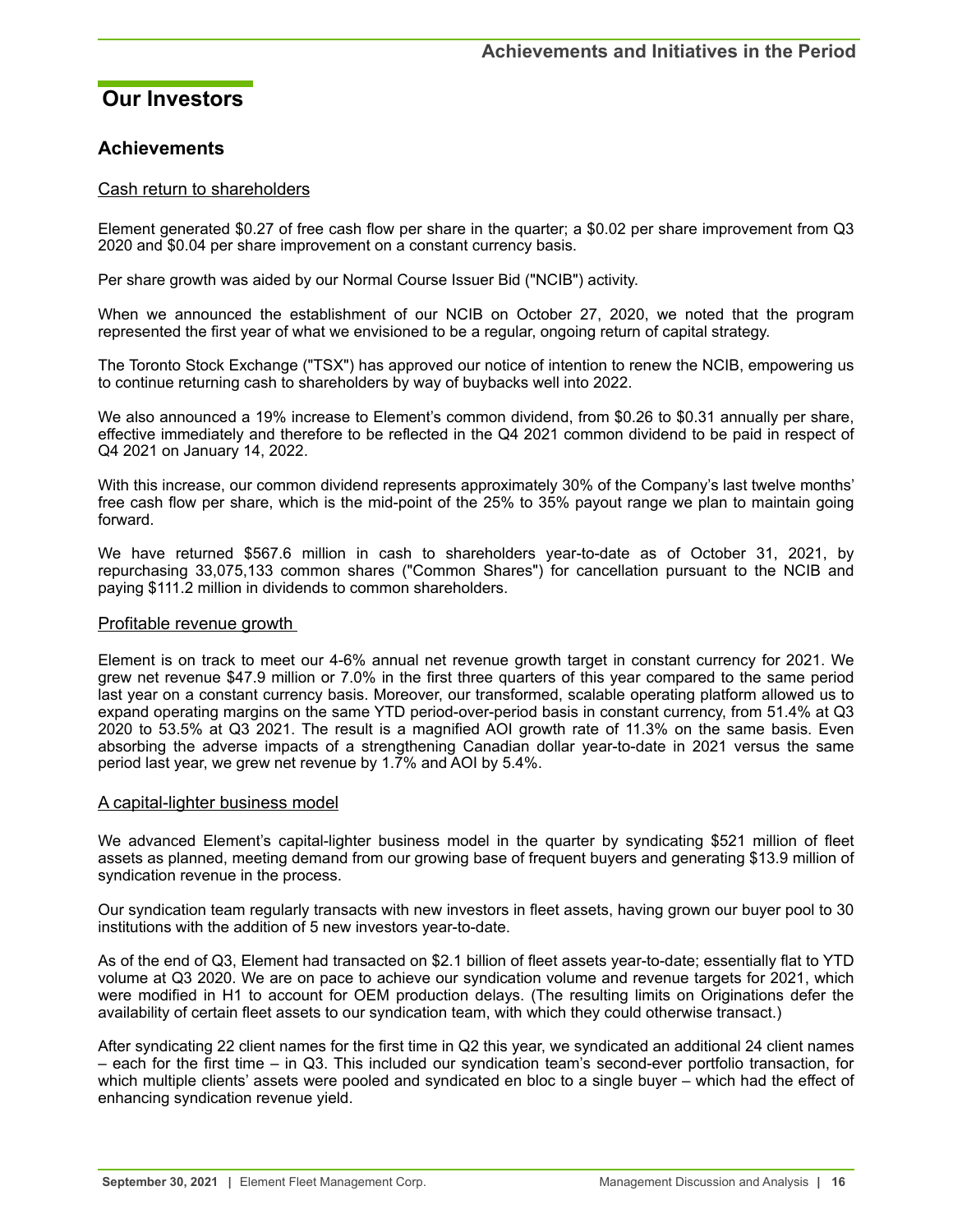## <span id="page-15-0"></span>**Our Investors**

## **Achievements**

## Cash return to shareholders

Element generated \$0.27 of free cash flow per share in the quarter; a \$0.02 per share improvement from Q3 2020 and \$0.04 per share improvement on a constant currency basis.

Per share growth was aided by our Normal Course Issuer Bid ("NCIB") activity.

When we announced the establishment of our NCIB on October 27, 2020, we noted that the program represented the first year of what we envisioned to be a regular, ongoing return of capital strategy.

The Toronto Stock Exchange ("TSX") has approved our notice of intention to renew the NCIB, empowering us to continue returning cash to shareholders by way of buybacks well into 2022.

We also announced a 19% increase to Element's common dividend, from \$0.26 to \$0.31 annually per share, effective immediately and therefore to be reflected in the Q4 2021 common dividend to be paid in respect of Q4 2021 on January 14, 2022.

With this increase, our common dividend represents approximately 30% of the Company's last twelve months' free cash flow per share, which is the mid-point of the 25% to 35% payout range we plan to maintain going forward.

We have returned \$567.6 million in cash to shareholders year-to-date as of October 31, 2021, by repurchasing 33,075,133 common shares ("Common Shares") for cancellation pursuant to the NCIB and paying \$111.2 million in dividends to common shareholders.

## Profitable revenue growth

Element is on track to meet our 4-6% annual net revenue growth target in constant currency for 2021. We grew net revenue \$47.9 million or 7.0% in the first three quarters of this year compared to the same period last year on a constant currency basis. Moreover, our transformed, scalable operating platform allowed us to expand operating margins on the same YTD period-over-period basis in constant currency, from 51.4% at Q3 2020 to 53.5% at Q3 2021. The result is a magnified AOI growth rate of 11.3% on the same basis. Even absorbing the adverse impacts of a strengthening Canadian dollar year-to-date in 2021 versus the same period last year, we grew net revenue by 1.7% and AOI by 5.4%.

## A capital-lighter business model

We advanced Element's capital-lighter business model in the quarter by syndicating \$521 million of fleet assets as planned, meeting demand from our growing base of frequent buyers and generating \$13.9 million of syndication revenue in the process.

Our syndication team regularly transacts with new investors in fleet assets, having grown our buyer pool to 30 institutions with the addition of 5 new investors year-to-date.

As of the end of Q3, Element had transacted on \$2.1 billion of fleet assets year-to-date; essentially flat to YTD volume at Q3 2020. We are on pace to achieve our syndication volume and revenue targets for 2021, which were modified in H1 to account for OEM production delays. (The resulting limits on Originations defer the availability of certain fleet assets to our syndication team, with which they could otherwise transact.)

After syndicating 22 client names for the first time in Q2 this year, we syndicated an additional 24 client names – each for the first time – in Q3. This included our syndication team's second-ever portfolio transaction, for which multiple clients' assets were pooled and syndicated en bloc to a single buyer – which had the effect of enhancing syndication revenue yield.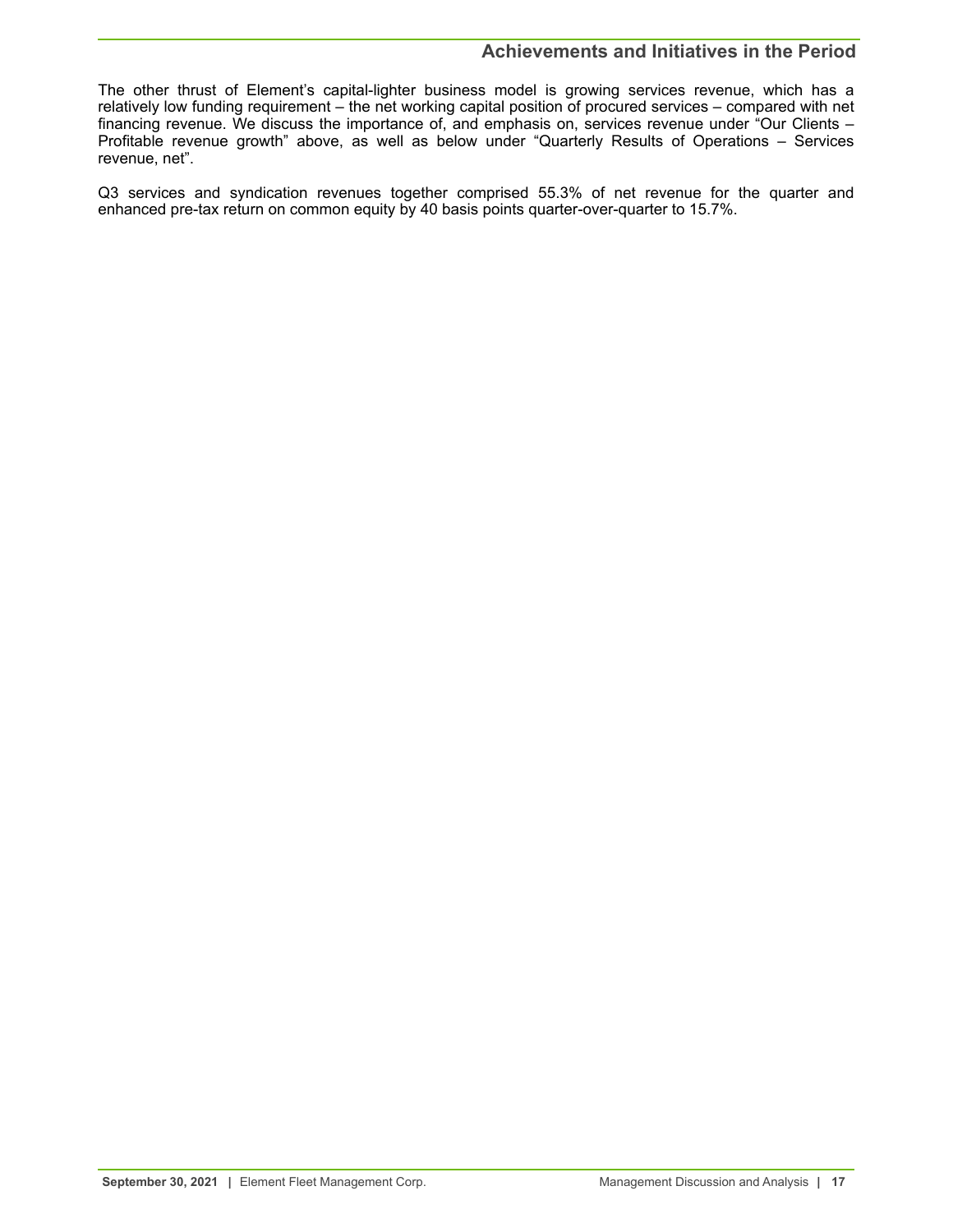## **Achievements and Initiatives in the Period**

The other thrust of Element's capital-lighter business model is growing services revenue, which has a relatively low funding requirement – the net working capital position of procured services – compared with net financing revenue. We discuss the importance of, and emphasis on, services revenue under "Our Clients – Profitable revenue growth" above, as well as below under "Quarterly Results of Operations – Services revenue, net".

Q3 services and syndication revenues together comprised 55.3% of net revenue for the quarter and enhanced pre-tax return on common equity by 40 basis points quarter-over-quarter to 15.7%.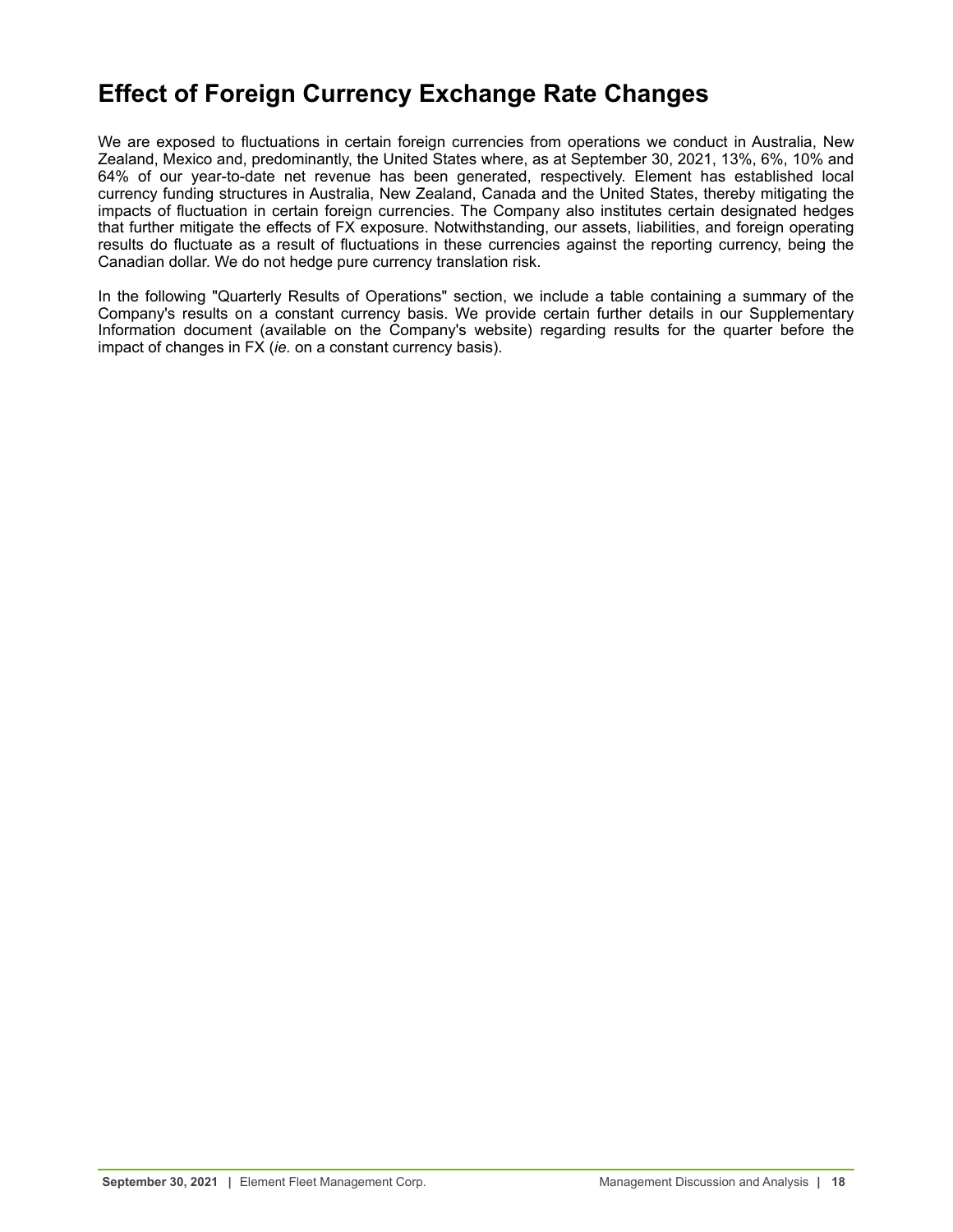# <span id="page-17-0"></span>**Effect of Foreign Currency Exchange Rate Changes**

We are exposed to fluctuations in certain foreign currencies from operations we conduct in Australia, New Zealand, Mexico and, predominantly, the United States where, as at September 30, 2021, 13%, 6%, 10% and 64% of our year-to-date net revenue has been generated, respectively. Element has established local currency funding structures in Australia, New Zealand, Canada and the United States, thereby mitigating the impacts of fluctuation in certain foreign currencies. The Company also institutes certain designated hedges that further mitigate the effects of FX exposure. Notwithstanding, our assets, liabilities, and foreign operating results do fluctuate as a result of fluctuations in these currencies against the reporting currency, being the Canadian dollar. We do not hedge pure currency translation risk.

In the following "Quarterly Results of Operations" section, we include a table containing a summary of the Company's results on a constant currency basis. We provide certain further details in our Supplementary Information document (available on the Company's website) regarding results for the quarter before the impact of changes in FX (*ie.* on a constant currency basis).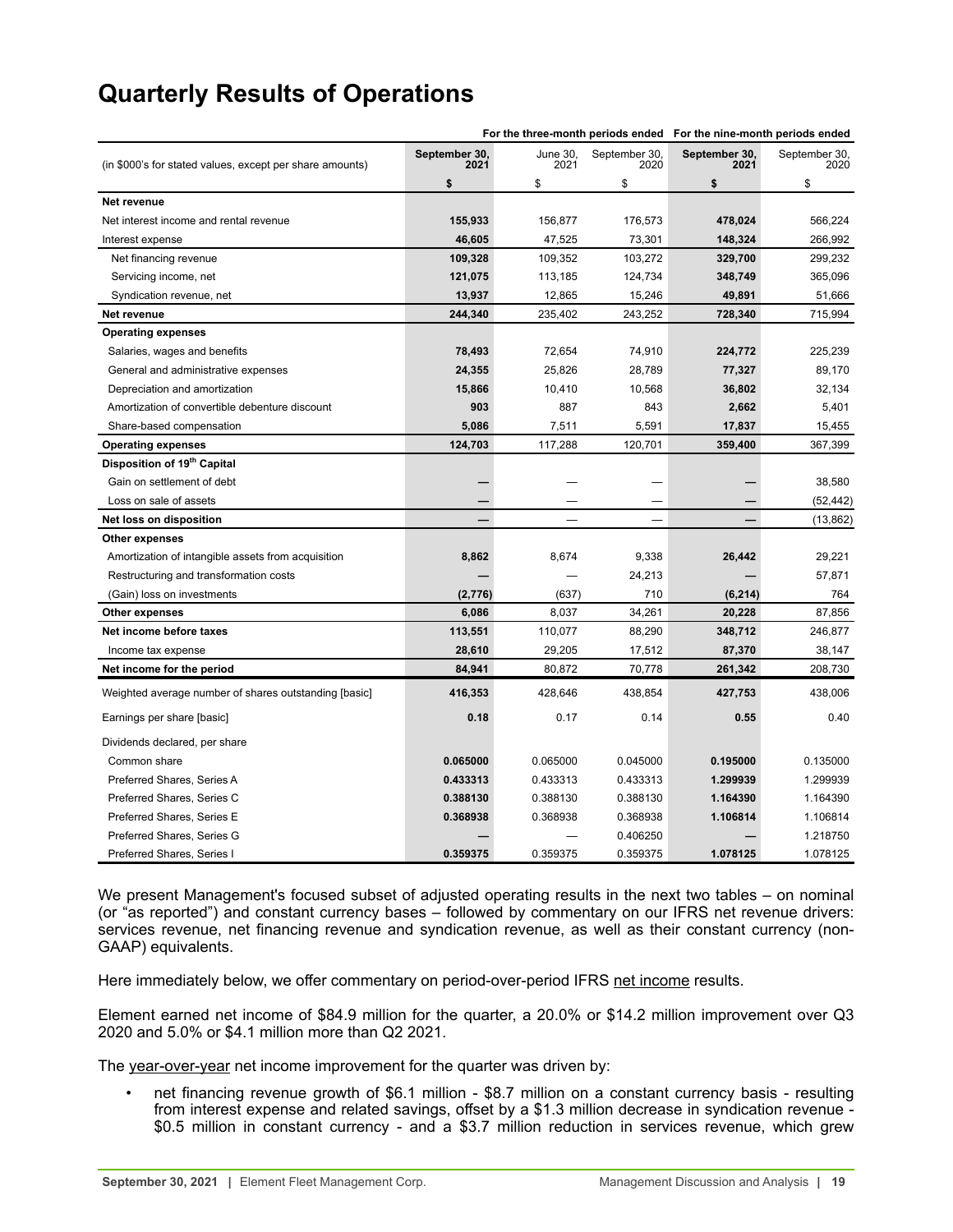<span id="page-18-0"></span>

|  |  |  | <b>Quarterly Results of Operations</b> |
|--|--|--|----------------------------------------|
|--|--|--|----------------------------------------|

|                                                          | For the three-month periods ended For the nine-month periods ended |                  |                       |                       |                       |
|----------------------------------------------------------|--------------------------------------------------------------------|------------------|-----------------------|-----------------------|-----------------------|
| (in \$000's for stated values, except per share amounts) | September 30,<br>2021                                              | June 30,<br>2021 | September 30,<br>2020 | September 30,<br>2021 | September 30,<br>2020 |
|                                                          | \$                                                                 | \$               | \$                    | \$                    | \$                    |
| Net revenue                                              |                                                                    |                  |                       |                       |                       |
| Net interest income and rental revenue                   | 155,933                                                            | 156,877          | 176,573               | 478,024               | 566,224               |
| Interest expense                                         | 46,605                                                             | 47,525           | 73,301                | 148,324               | 266,992               |
| Net financing revenue                                    | 109,328                                                            | 109,352          | 103,272               | 329,700               | 299,232               |
| Servicing income, net                                    | 121,075                                                            | 113,185          | 124,734               | 348,749               | 365,096               |
| Syndication revenue, net                                 | 13,937                                                             | 12,865           | 15,246                | 49,891                | 51,666                |
| Net revenue                                              | 244,340                                                            | 235,402          | 243,252               | 728,340               | 715,994               |
| <b>Operating expenses</b>                                |                                                                    |                  |                       |                       |                       |
| Salaries, wages and benefits                             | 78,493                                                             | 72,654           | 74,910                | 224,772               | 225,239               |
| General and administrative expenses                      | 24,355                                                             | 25,826           | 28,789                | 77,327                | 89,170                |
| Depreciation and amortization                            | 15,866                                                             | 10,410           | 10,568                | 36,802                | 32,134                |
| Amortization of convertible debenture discount           | 903                                                                | 887              | 843                   | 2,662                 | 5,401                 |
| Share-based compensation                                 | 5,086                                                              | 7,511            | 5,591                 | 17,837                | 15,455                |
| <b>Operating expenses</b>                                | 124,703                                                            | 117,288          | 120,701               | 359,400               | 367,399               |
| Disposition of 19 <sup>th</sup> Capital                  |                                                                    |                  |                       |                       |                       |
| Gain on settlement of debt                               |                                                                    |                  |                       |                       | 38,580                |
| Loss on sale of assets                                   |                                                                    |                  |                       |                       | (52, 442)             |
| Net loss on disposition                                  |                                                                    |                  |                       |                       | (13, 862)             |
| Other expenses                                           |                                                                    |                  |                       |                       |                       |
| Amortization of intangible assets from acquisition       | 8,862                                                              | 8,674            | 9,338                 | 26,442                | 29,221                |
| Restructuring and transformation costs                   |                                                                    |                  | 24,213                |                       | 57,871                |
| (Gain) loss on investments                               | (2,776)                                                            | (637)            | 710                   | (6, 214)              | 764                   |
| Other expenses                                           | 6,086                                                              | 8,037            | 34,261                | 20,228                | 87,856                |
| Net income before taxes                                  | 113,551                                                            | 110,077          | 88,290                | 348,712               | 246,877               |
| Income tax expense                                       | 28,610                                                             | 29,205           | 17,512                | 87,370                | 38,147                |
| Net income for the period                                | 84,941                                                             | 80,872           | 70,778                | 261,342               | 208,730               |
| Weighted average number of shares outstanding [basic]    | 416,353                                                            | 428,646          | 438,854               | 427,753               | 438,006               |
| Earnings per share [basic]                               | 0.18                                                               | 0.17             | 0.14                  | 0.55                  | 0.40                  |
| Dividends declared, per share                            |                                                                    |                  |                       |                       |                       |
| Common share                                             | 0.065000                                                           | 0.065000         | 0.045000              | 0.195000              | 0.135000              |
| Preferred Shares, Series A                               | 0.433313                                                           | 0.433313         | 0.433313              | 1.299939              | 1.299939              |
| Preferred Shares, Series C                               | 0.388130                                                           | 0.388130         | 0.388130              | 1.164390              | 1.164390              |
| Preferred Shares, Series E                               | 0.368938                                                           | 0.368938         | 0.368938              | 1.106814              | 1.106814              |
| Preferred Shares, Series G                               |                                                                    |                  | 0.406250              |                       | 1.218750              |
| Preferred Shares, Series I                               | 0.359375                                                           | 0.359375         | 0.359375              | 1.078125              | 1.078125              |

We present Management's focused subset of adjusted operating results in the next two tables – on nominal (or "as reported") and constant currency bases – followed by commentary on our IFRS net revenue drivers: services revenue, net financing revenue and syndication revenue, as well as their constant currency (non-GAAP) equivalents.

Here immediately below, we offer commentary on period-over-period IFRS net income results.

Element earned net income of \$84.9 million for the quarter, a 20.0% or \$14.2 million improvement over Q3 2020 and 5.0% or \$4.1 million more than Q2 2021.

The year-over-year net income improvement for the quarter was driven by:

• net financing revenue growth of \$6.1 million - \$8.7 million on a constant currency basis - resulting from interest expense and related savings, offset by a \$1.3 million decrease in syndication revenue - \$0.5 million in constant currency - and a \$3.7 million reduction in services revenue, which grew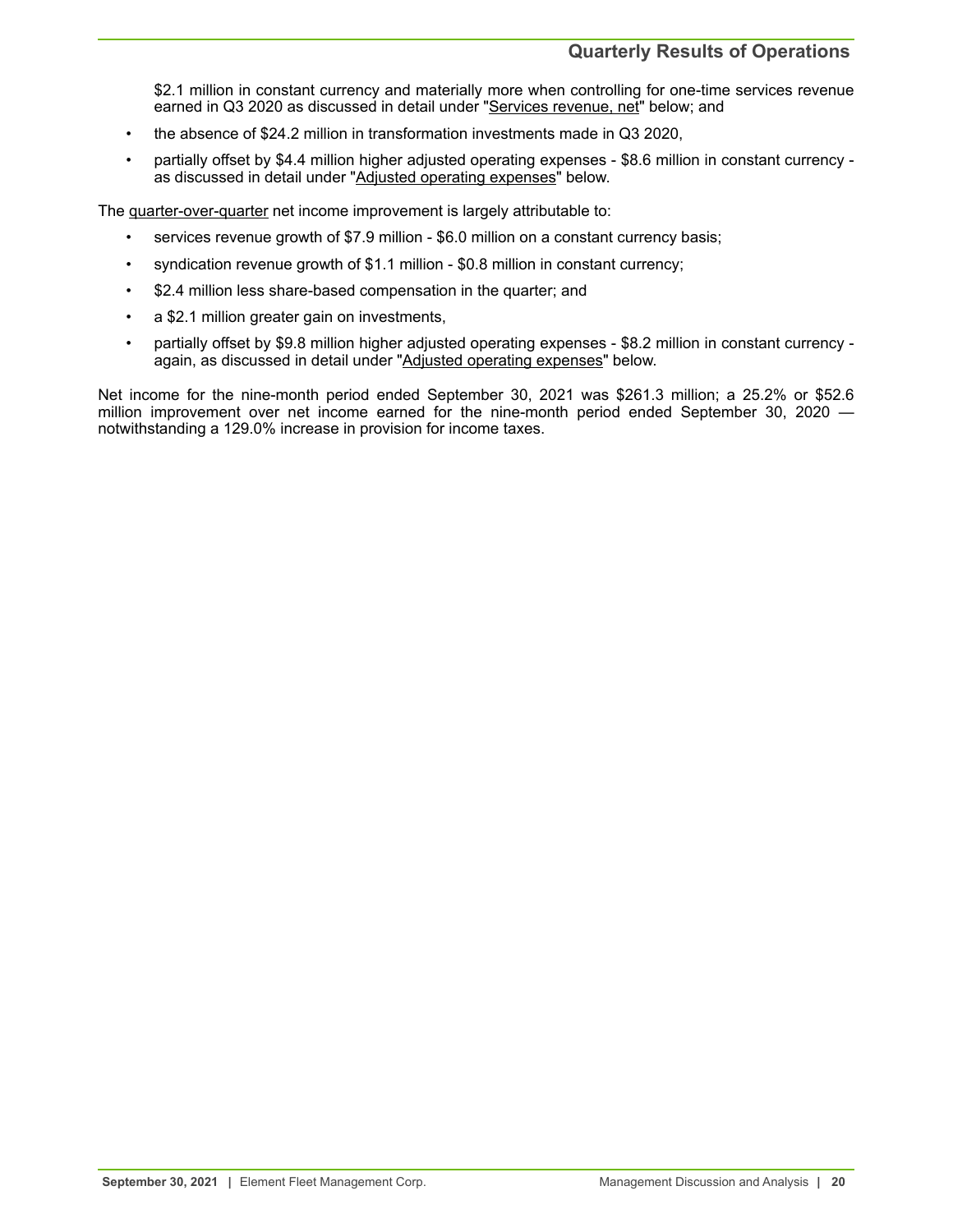\$2.1 million in constant currency and materially more when controlling for one-time services revenue earned in Q3 2020 as discussed in detail under "Services revenue, net" below; and

- the absence of \$24.2 million in transformation investments made in Q3 2020,
- partially offset by \$4.4 million higher adjusted operating expenses \$8.6 million in constant currency as discussed in detail under "Adjusted operating expenses" below.

The quarter-over-quarter net income improvement is largely attributable to:

- services revenue growth of \$7.9 million \$6.0 million on a constant currency basis;
- syndication revenue growth of \$1.1 million \$0.8 million in constant currency;
- \$2.4 million less share-based compensation in the quarter; and
- a \$2.1 million greater gain on investments,
- partially offset by \$9.8 million higher adjusted operating expenses \$8.2 million in constant currency again, as discussed in detail under "Adjusted operating expenses" below.

Net income for the nine-month period ended September 30, 2021 was \$261.3 million; a 25.2% or \$52.6 million improvement over net income earned for the nine-month period ended September 30, 2020 notwithstanding a 129.0% increase in provision for income taxes.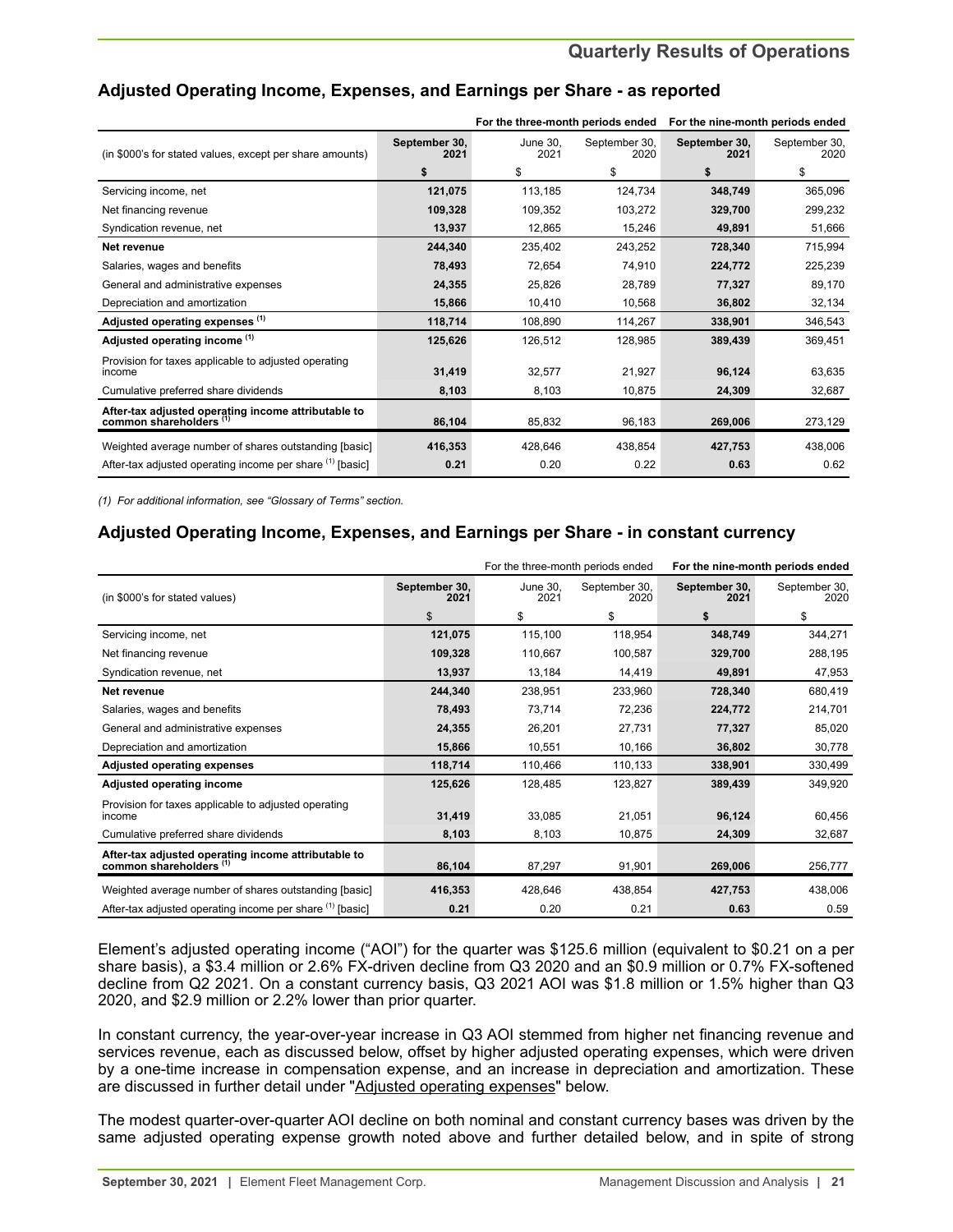|                                                                                           |                       |                  | For the three-month periods ended |                       | For the nine-month periods ended |
|-------------------------------------------------------------------------------------------|-----------------------|------------------|-----------------------------------|-----------------------|----------------------------------|
| (in \$000's for stated values, except per share amounts)                                  | September 30,<br>2021 | June 30.<br>2021 | September 30,<br>2020             | September 30,<br>2021 | September 30,<br>2020            |
|                                                                                           | \$                    | \$               | \$                                | \$                    | \$                               |
| Servicing income, net                                                                     | 121,075               | 113,185          | 124,734                           | 348,749               | 365,096                          |
| Net financing revenue                                                                     | 109,328               | 109,352          | 103,272                           | 329,700               | 299,232                          |
| Syndication revenue, net                                                                  | 13,937                | 12,865           | 15,246                            | 49,891                | 51,666                           |
| Net revenue                                                                               | 244,340               | 235,402          | 243,252                           | 728,340               | 715,994                          |
| Salaries, wages and benefits                                                              | 78,493                | 72,654           | 74,910                            | 224,772               | 225,239                          |
| General and administrative expenses                                                       | 24,355                | 25,826           | 28,789                            | 77,327                | 89,170                           |
| Depreciation and amortization                                                             | 15,866                | 10.410           | 10,568                            | 36,802                | 32,134                           |
| Adjusted operating expenses (1)                                                           | 118,714               | 108,890          | 114,267                           | 338,901               | 346,543                          |
| Adjusted operating income (1)                                                             | 125,626               | 126,512          | 128,985                           | 389,439               | 369,451                          |
| Provision for taxes applicable to adjusted operating<br>income                            | 31,419                | 32,577           | 21,927                            | 96,124                | 63,635                           |
| Cumulative preferred share dividends                                                      | 8,103                 | 8,103            | 10,875                            | 24,309                | 32,687                           |
| After-tax adjusted operating income attributable to<br>common shareholders <sup>(1)</sup> | 86,104                | 85,832           | 96,183                            | 269,006               | 273,129                          |
| Weighted average number of shares outstanding [basic]                                     | 416,353               | 428,646          | 438,854                           | 427,753               | 438,006                          |
| After-tax adjusted operating income per share (1) [basic]                                 | 0.21                  | 0.20             | 0.22                              | 0.63                  | 0.62                             |

## **Adjusted Operating Income, Expenses, and Earnings per Share - as reported**

*(1) For additional information, see "Glossary of Terms" section.*

## **Adjusted Operating Income, Expenses, and Earnings per Share - in constant currency**

|                                                                                |                       |                  | For the three-month periods ended |                       | For the nine-month periods ended |
|--------------------------------------------------------------------------------|-----------------------|------------------|-----------------------------------|-----------------------|----------------------------------|
| (in \$000's for stated values)                                                 | September 30,<br>2021 | June 30.<br>2021 | September 30,<br>2020             | September 30,<br>2021 | September 30,<br>2020            |
|                                                                                | \$                    | \$               | \$                                | \$                    | \$                               |
| Servicing income, net                                                          | 121,075               | 115,100          | 118,954                           | 348,749               | 344,271                          |
| Net financing revenue                                                          | 109,328               | 110,667          | 100,587                           | 329,700               | 288,195                          |
| Syndication revenue, net                                                       | 13,937                | 13,184           | 14,419                            | 49,891                | 47,953                           |
| Net revenue                                                                    | 244,340               | 238,951          | 233,960                           | 728,340               | 680,419                          |
| Salaries, wages and benefits                                                   | 78,493                | 73,714           | 72,236                            | 224,772               | 214,701                          |
| General and administrative expenses                                            | 24,355                | 26,201           | 27,731                            | 77,327                | 85,020                           |
| Depreciation and amortization                                                  | 15,866                | 10,551           | 10,166                            | 36,802                | 30,778                           |
| <b>Adjusted operating expenses</b>                                             | 118,714               | 110,466          | 110,133                           | 338,901               | 330,499                          |
| Adjusted operating income                                                      | 125,626               | 128,485          | 123,827                           | 389,439               | 349,920                          |
| Provision for taxes applicable to adjusted operating<br>income                 | 31,419                | 33,085           | 21,051                            | 96,124                | 60,456                           |
| Cumulative preferred share dividends                                           | 8,103                 | 8,103            | 10,875                            | 24,309                | 32,687                           |
| After-tax adjusted operating income attributable to<br>common shareholders (1) | 86,104                | 87,297           | 91,901                            | 269,006               | 256,777                          |
| Weighted average number of shares outstanding [basic]                          | 416,353               | 428,646          | 438,854                           | 427,753               | 438,006                          |
| After-tax adjusted operating income per share (1) [basic]                      | 0.21                  | 0.20             | 0.21                              | 0.63                  | 0.59                             |

Element's adjusted operating income ("AOI") for the quarter was \$125.6 million (equivalent to \$0.21 on a per share basis), a \$3.4 million or 2.6% FX-driven decline from Q3 2020 and an \$0.9 million or 0.7% FX-softened decline from Q2 2021. On a constant currency basis, Q3 2021 AOI was \$1.8 million or 1.5% higher than Q3 2020, and \$2.9 million or 2.2% lower than prior quarter.

In constant currency, the year-over-year increase in Q3 AOI stemmed from higher net financing revenue and services revenue, each as discussed below, offset by higher adjusted operating expenses, which were driven by a one-time increase in compensation expense, and an increase in depreciation and amortization. These are discussed in further detail under "Adjusted operating expenses" below.

The modest quarter-over-quarter AOI decline on both nominal and constant currency bases was driven by the same adjusted operating expense growth noted above and further detailed below, and in spite of strong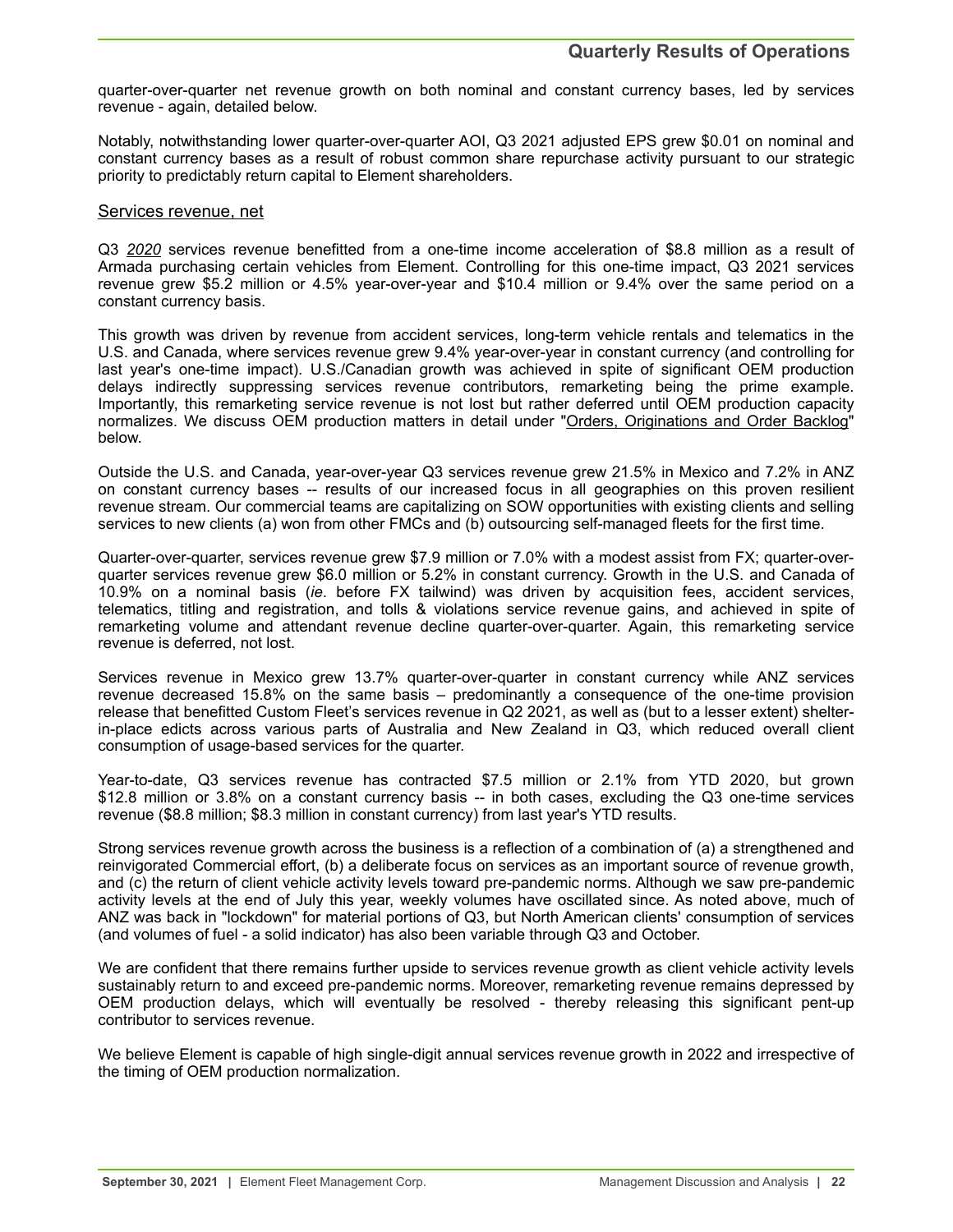quarter-over-quarter net revenue growth on both nominal and constant currency bases, led by services revenue - again, detailed below.

Notably, notwithstanding lower quarter-over-quarter AOI, Q3 2021 adjusted EPS grew \$0.01 on nominal and constant currency bases as a result of robust common share repurchase activity pursuant to our strategic priority to predictably return capital to Element shareholders.

#### Services revenue, net

Q3 *2020* services revenue benefitted from a one-time income acceleration of \$8.8 million as a result of Armada purchasing certain vehicles from Element. Controlling for this one-time impact, Q3 2021 services revenue grew \$5.2 million or 4.5% year-over-year and \$10.4 million or 9.4% over the same period on a constant currency basis.

This growth was driven by revenue from accident services, long-term vehicle rentals and telematics in the U.S. and Canada, where services revenue grew 9.4% year-over-year in constant currency (and controlling for last year's one-time impact). U.S./Canadian growth was achieved in spite of significant OEM production delays indirectly suppressing services revenue contributors, remarketing being the prime example. Importantly, this remarketing service revenue is not lost but rather deferred until OEM production capacity normalizes. We discuss OEM production matters in detail under "Orders, Originations and Order Backlog" below.

Outside the U.S. and Canada, year-over-year Q3 services revenue grew 21.5% in Mexico and 7.2% in ANZ on constant currency bases -- results of our increased focus in all geographies on this proven resilient revenue stream. Our commercial teams are capitalizing on SOW opportunities with existing clients and selling services to new clients (a) won from other FMCs and (b) outsourcing self-managed fleets for the first time.

Quarter-over-quarter, services revenue grew \$7.9 million or 7.0% with a modest assist from FX; quarter-overquarter services revenue grew \$6.0 million or 5.2% in constant currency. Growth in the U.S. and Canada of 10.9% on a nominal basis (*ie*. before FX tailwind) was driven by acquisition fees, accident services, telematics, titling and registration, and tolls & violations service revenue gains, and achieved in spite of remarketing volume and attendant revenue decline quarter-over-quarter. Again, this remarketing service revenue is deferred, not lost.

Services revenue in Mexico grew 13.7% quarter-over-quarter in constant currency while ANZ services revenue decreased 15.8% on the same basis – predominantly a consequence of the one-time provision release that benefitted Custom Fleet's services revenue in Q2 2021, as well as (but to a lesser extent) shelterin-place edicts across various parts of Australia and New Zealand in Q3, which reduced overall client consumption of usage-based services for the quarter.

Year-to-date, Q3 services revenue has contracted \$7.5 million or 2.1% from YTD 2020, but grown \$12.8 million or 3.8% on a constant currency basis -- in both cases, excluding the Q3 one-time services revenue (\$8.8 million; \$8.3 million in constant currency) from last year's YTD results.

Strong services revenue growth across the business is a reflection of a combination of (a) a strengthened and reinvigorated Commercial effort, (b) a deliberate focus on services as an important source of revenue growth, and (c) the return of client vehicle activity levels toward pre-pandemic norms. Although we saw pre-pandemic activity levels at the end of July this year, weekly volumes have oscillated since. As noted above, much of ANZ was back in "lockdown" for material portions of Q3, but North American clients' consumption of services (and volumes of fuel - a solid indicator) has also been variable through Q3 and October.

We are confident that there remains further upside to services revenue growth as client vehicle activity levels sustainably return to and exceed pre-pandemic norms. Moreover, remarketing revenue remains depressed by OEM production delays, which will eventually be resolved - thereby releasing this significant pent-up contributor to services revenue.

We believe Element is capable of high single-digit annual services revenue growth in 2022 and irrespective of the timing of OEM production normalization.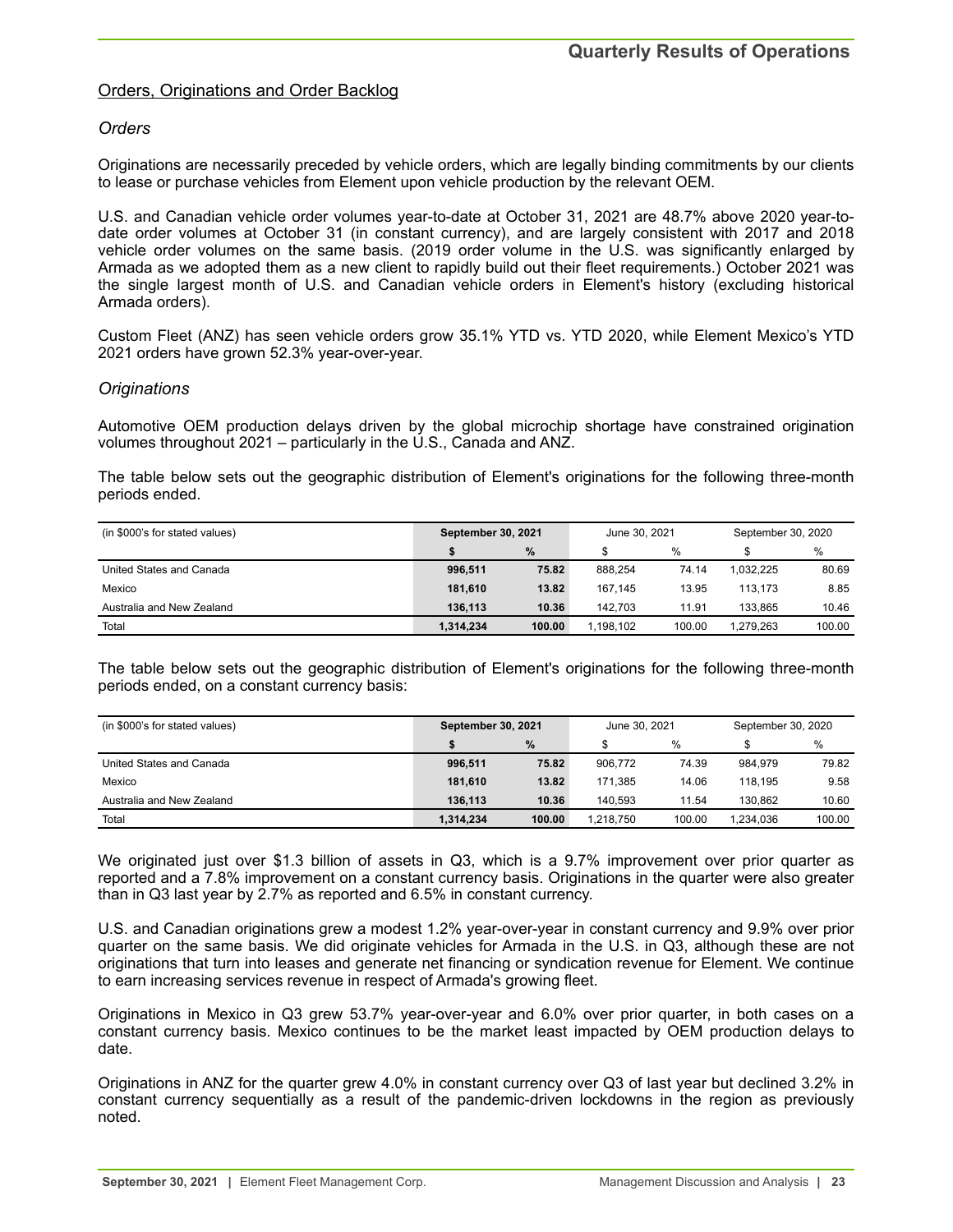## Orders, Originations and Order Backlog

## *Orders*

Originations are necessarily preceded by vehicle orders, which are legally binding commitments by our clients to lease or purchase vehicles from Element upon vehicle production by the relevant OEM.

U.S. and Canadian vehicle order volumes year-to-date at October 31, 2021 are 48.7% above 2020 year-todate order volumes at October 31 (in constant currency), and are largely consistent with 2017 and 2018 vehicle order volumes on the same basis. (2019 order volume in the U.S. was significantly enlarged by Armada as we adopted them as a new client to rapidly build out their fleet requirements.) October 2021 was the single largest month of U.S. and Canadian vehicle orders in Element's history (excluding historical Armada orders).

Custom Fleet (ANZ) has seen vehicle orders grow 35.1% YTD vs. YTD 2020, while Element Mexico's YTD 2021 orders have grown 52.3% year-over-year.

## *Originations*

Automotive OEM production delays driven by the global microchip shortage have constrained origination volumes throughout 2021 – particularly in the U.S., Canada and ANZ.

The table below sets out the geographic distribution of Element's originations for the following three-month periods ended.

| (in \$000's for stated values) | <b>September 30, 2021</b> |        | June 30, 2021 |        | September 30, 2020 |        |
|--------------------------------|---------------------------|--------|---------------|--------|--------------------|--------|
|                                |                           | $\%$   | %             |        |                    | %      |
| United States and Canada       | 996,511                   | 75.82  | 888.254       | 74.14  | 1.032.225          | 80.69  |
| Mexico                         | 181.610                   | 13.82  | 167.145       | 13.95  | 113.173            | 8.85   |
| Australia and New Zealand      | 136.113                   | 10.36  | 142.703       | 11.91  | 133.865            | 10.46  |
| Total                          | 1.314.234                 | 100.00 | 1.198.102     | 100.00 | 1.279.263          | 100.00 |

The table below sets out the geographic distribution of Element's originations for the following three-month periods ended, on a constant currency basis:

| (in \$000's for stated values) | <b>September 30, 2021</b> |        | June 30, 2021 |        | September 30, 2020 |        |
|--------------------------------|---------------------------|--------|---------------|--------|--------------------|--------|
|                                |                           | $\%$   |               | $\%$   |                    | %      |
| United States and Canada       | 996,511                   | 75.82  | 906.772       | 74.39  | 984.979            | 79.82  |
| Mexico                         | 181.610                   | 13.82  | 171.385       | 14.06  | 118.195            | 9.58   |
| Australia and New Zealand      | 136.113                   | 10.36  | 140.593       | 11.54  | 130.862            | 10.60  |
| Total                          | 1,314,234                 | 100.00 | 1.218.750     | 100.00 | 1.234.036          | 100.00 |

We originated just over \$1.3 billion of assets in Q3, which is a 9.7% improvement over prior quarter as reported and a 7.8% improvement on a constant currency basis. Originations in the quarter were also greater than in Q3 last year by 2.7% as reported and 6.5% in constant currency.

U.S. and Canadian originations grew a modest 1.2% year-over-year in constant currency and 9.9% over prior quarter on the same basis. We did originate vehicles for Armada in the U.S. in Q3, although these are not originations that turn into leases and generate net financing or syndication revenue for Element. We continue to earn increasing services revenue in respect of Armada's growing fleet.

Originations in Mexico in Q3 grew 53.7% year-over-year and 6.0% over prior quarter, in both cases on a constant currency basis. Mexico continues to be the market least impacted by OEM production delays to date.

Originations in ANZ for the quarter grew 4.0% in constant currency over Q3 of last year but declined 3.2% in constant currency sequentially as a result of the pandemic-driven lockdowns in the region as previously noted.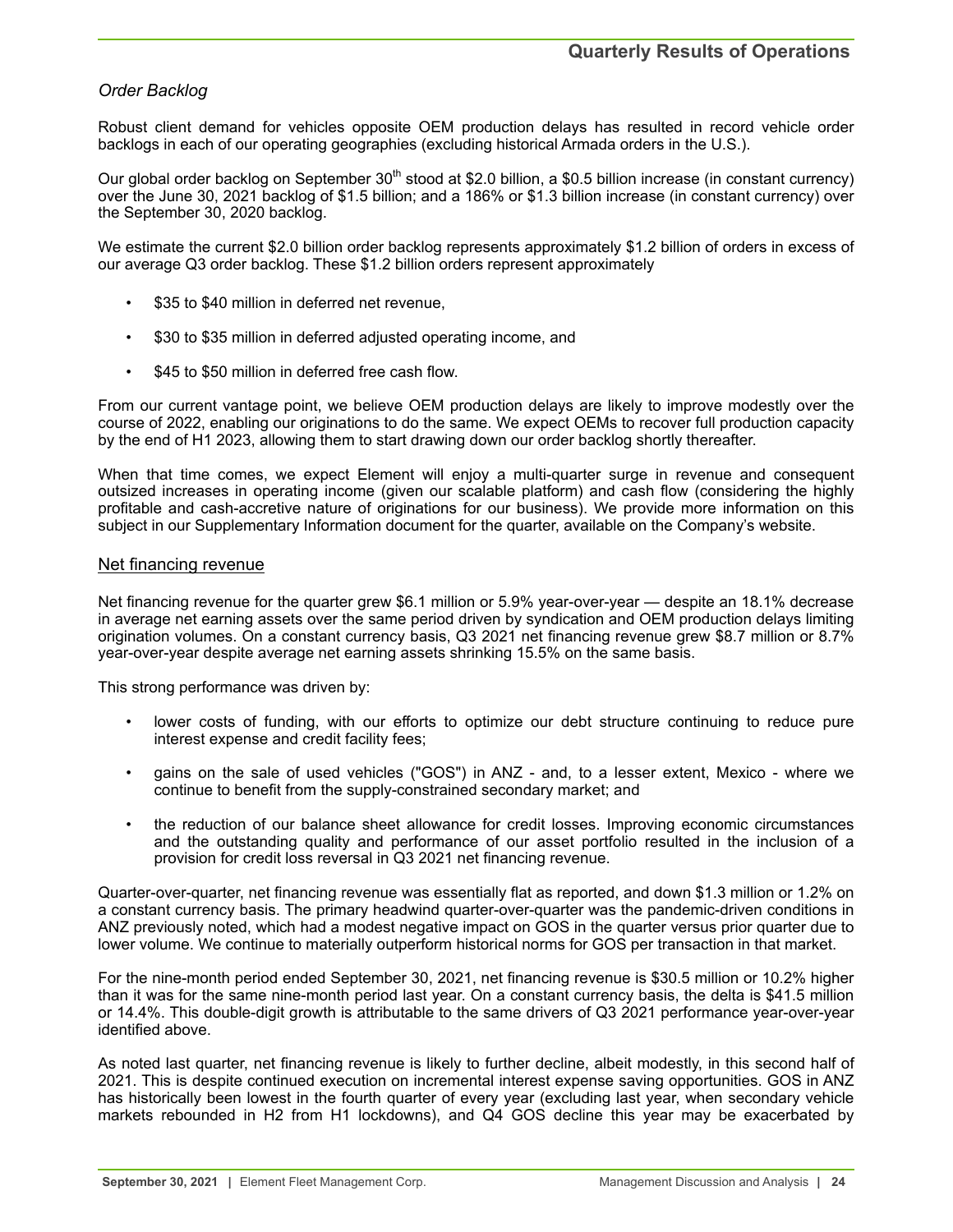## *Order Backlog*

Robust client demand for vehicles opposite OEM production delays has resulted in record vehicle order backlogs in each of our operating geographies (excluding historical Armada orders in the U.S.).

Our global order backlog on September 30<sup>th</sup> stood at \$2.0 billion, a \$0.5 billion increase (in constant currency) over the June 30, 2021 backlog of \$1.5 billion; and a 186% or \$1.3 billion increase (in constant currency) over the September 30, 2020 backlog.

We estimate the current \$2.0 billion order backlog represents approximately \$1.2 billion of orders in excess of our average Q3 order backlog. These \$1.2 billion orders represent approximately

- \$35 to \$40 million in deferred net revenue,
- \$30 to \$35 million in deferred adjusted operating income, and
- \$45 to \$50 million in deferred free cash flow.

From our current vantage point, we believe OEM production delays are likely to improve modestly over the course of 2022, enabling our originations to do the same. We expect OEMs to recover full production capacity by the end of H1 2023, allowing them to start drawing down our order backlog shortly thereafter.

When that time comes, we expect Element will enjoy a multi-quarter surge in revenue and consequent outsized increases in operating income (given our scalable platform) and cash flow (considering the highly profitable and cash-accretive nature of originations for our business). We provide more information on this subject in our Supplementary Information document for the quarter, available on the Company's website.

## Net financing revenue

Net financing revenue for the quarter grew \$6.1 million or 5.9% year-over-year — despite an 18.1% decrease in average net earning assets over the same period driven by syndication and OEM production delays limiting origination volumes. On a constant currency basis, Q3 2021 net financing revenue grew \$8.7 million or 8.7% year-over-year despite average net earning assets shrinking 15.5% on the same basis.

This strong performance was driven by:

- lower costs of funding, with our efforts to optimize our debt structure continuing to reduce pure interest expense and credit facility fees;
- gains on the sale of used vehicles ("GOS") in ANZ and, to a lesser extent, Mexico where we continue to benefit from the supply-constrained secondary market; and
- the reduction of our balance sheet allowance for credit losses. Improving economic circumstances and the outstanding quality and performance of our asset portfolio resulted in the inclusion of a provision for credit loss reversal in Q3 2021 net financing revenue.

Quarter-over-quarter, net financing revenue was essentially flat as reported, and down \$1.3 million or 1.2% on a constant currency basis. The primary headwind quarter-over-quarter was the pandemic-driven conditions in ANZ previously noted, which had a modest negative impact on GOS in the quarter versus prior quarter due to lower volume. We continue to materially outperform historical norms for GOS per transaction in that market.

For the nine-month period ended September 30, 2021, net financing revenue is \$30.5 million or 10.2% higher than it was for the same nine-month period last year. On a constant currency basis, the delta is \$41.5 million or 14.4%. This double-digit growth is attributable to the same drivers of Q3 2021 performance year-over-year identified above.

As noted last quarter, net financing revenue is likely to further decline, albeit modestly, in this second half of 2021. This is despite continued execution on incremental interest expense saving opportunities. GOS in ANZ has historically been lowest in the fourth quarter of every year (excluding last year, when secondary vehicle markets rebounded in H2 from H1 lockdowns), and Q4 GOS decline this year may be exacerbated by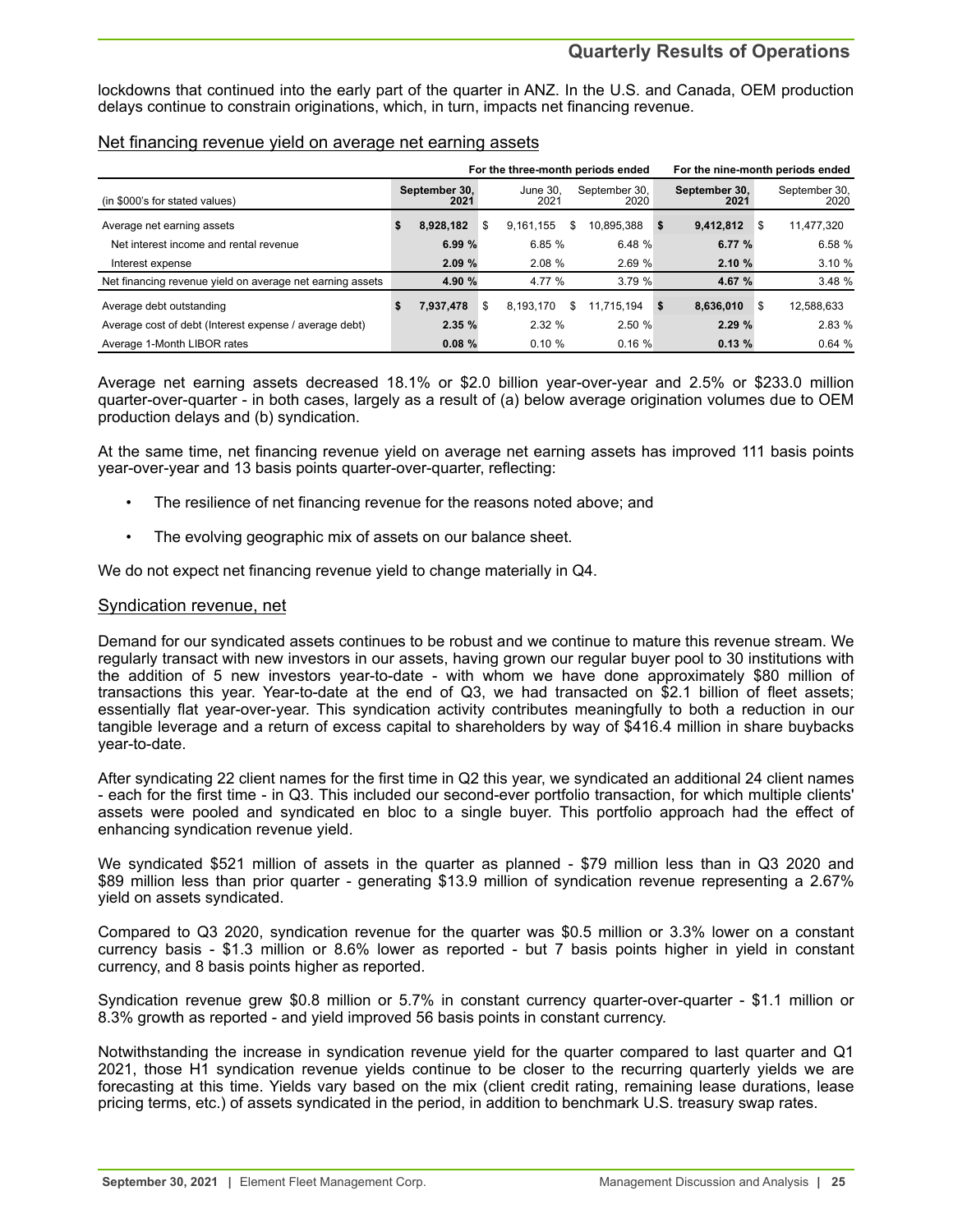## **Quarterly Results of Operations**

lockdowns that continued into the early part of the quarter in ANZ. In the U.S. and Canada, OEM production delays continue to constrain originations, which, in turn, impacts net financing revenue.

## Net financing revenue yield on average net earning assets

|                                                           |    | For the three-month periods ended |    |                  |   |                       |    | For the nine-month periods ended |    |                       |  |
|-----------------------------------------------------------|----|-----------------------------------|----|------------------|---|-----------------------|----|----------------------------------|----|-----------------------|--|
| (in \$000's for stated values)                            |    | September 30,<br>2021             |    | June 30.<br>2021 |   | September 30,<br>2020 |    | September 30,<br>2021            |    | September 30,<br>2020 |  |
| Average net earning assets                                | \$ | 8.928.182                         | \$ | 9.161.155        | S | 10.895.388            | -5 | 9,412,812                        | S  | 11,477,320            |  |
| Net interest income and rental revenue                    |    | 6.99%                             |    | 6.85%            |   | 6.48 %                |    | 6.77 %                           |    | 6.58%                 |  |
| Interest expense                                          |    | 2.09%                             |    | 2.08%            |   | 2.69%                 |    | 2.10%                            |    | 3.10%                 |  |
| Net financing revenue yield on average net earning assets |    | 4.90 %                            |    | 4.77 %           |   | 3.79%                 |    | 4.67 %                           |    | 3.48 %                |  |
| Average debt outstanding                                  | S  | 7,937,478                         | \$ | 8,193,170        | S | 11.715.194            | \$ | 8.636.010                        | \$ | 12,588,633            |  |
| Average cost of debt (Interest expense / average debt)    |    | 2.35%                             |    | 2.32%            |   | 2.50%                 |    | 2.29%                            |    | 2.83%                 |  |
| Average 1-Month LIBOR rates                               |    | 0.08%                             |    | $0.10 \%$        |   | 0.16%                 |    | 0.13%                            |    | 0.64%                 |  |

Average net earning assets decreased 18.1% or \$2.0 billion year-over-year and 2.5% or \$233.0 million quarter-over-quarter - in both cases, largely as a result of (a) below average origination volumes due to OEM production delays and (b) syndication.

At the same time, net financing revenue yield on average net earning assets has improved 111 basis points year-over-year and 13 basis points quarter-over-quarter, reflecting:

- The resilience of net financing revenue for the reasons noted above; and
- The evolving geographic mix of assets on our balance sheet.

We do not expect net financing revenue yield to change materially in Q4.

## Syndication revenue, net

Demand for our syndicated assets continues to be robust and we continue to mature this revenue stream. We regularly transact with new investors in our assets, having grown our regular buyer pool to 30 institutions with the addition of 5 new investors year-to-date - with whom we have done approximately \$80 million of transactions this year. Year-to-date at the end of Q3, we had transacted on \$2.1 billion of fleet assets; essentially flat year-over-year. This syndication activity contributes meaningfully to both a reduction in our tangible leverage and a return of excess capital to shareholders by way of \$416.4 million in share buybacks year-to-date.

After syndicating 22 client names for the first time in Q2 this year, we syndicated an additional 24 client names - each for the first time - in Q3. This included our second-ever portfolio transaction, for which multiple clients' assets were pooled and syndicated en bloc to a single buyer. This portfolio approach had the effect of enhancing syndication revenue yield.

We syndicated \$521 million of assets in the quarter as planned - \$79 million less than in Q3 2020 and \$89 million less than prior quarter - generating \$13.9 million of syndication revenue representing a 2.67% yield on assets syndicated.

Compared to Q3 2020, syndication revenue for the quarter was \$0.5 million or 3.3% lower on a constant currency basis - \$1.3 million or 8.6% lower as reported - but 7 basis points higher in yield in constant currency, and 8 basis points higher as reported.

Syndication revenue grew \$0.8 million or 5.7% in constant currency quarter-over-quarter - \$1.1 million or 8.3% growth as reported - and yield improved 56 basis points in constant currency.

Notwithstanding the increase in syndication revenue yield for the quarter compared to last quarter and Q1 2021, those H1 syndication revenue yields continue to be closer to the recurring quarterly yields we are forecasting at this time. Yields vary based on the mix (client credit rating, remaining lease durations, lease pricing terms, etc.) of assets syndicated in the period, in addition to benchmark U.S. treasury swap rates.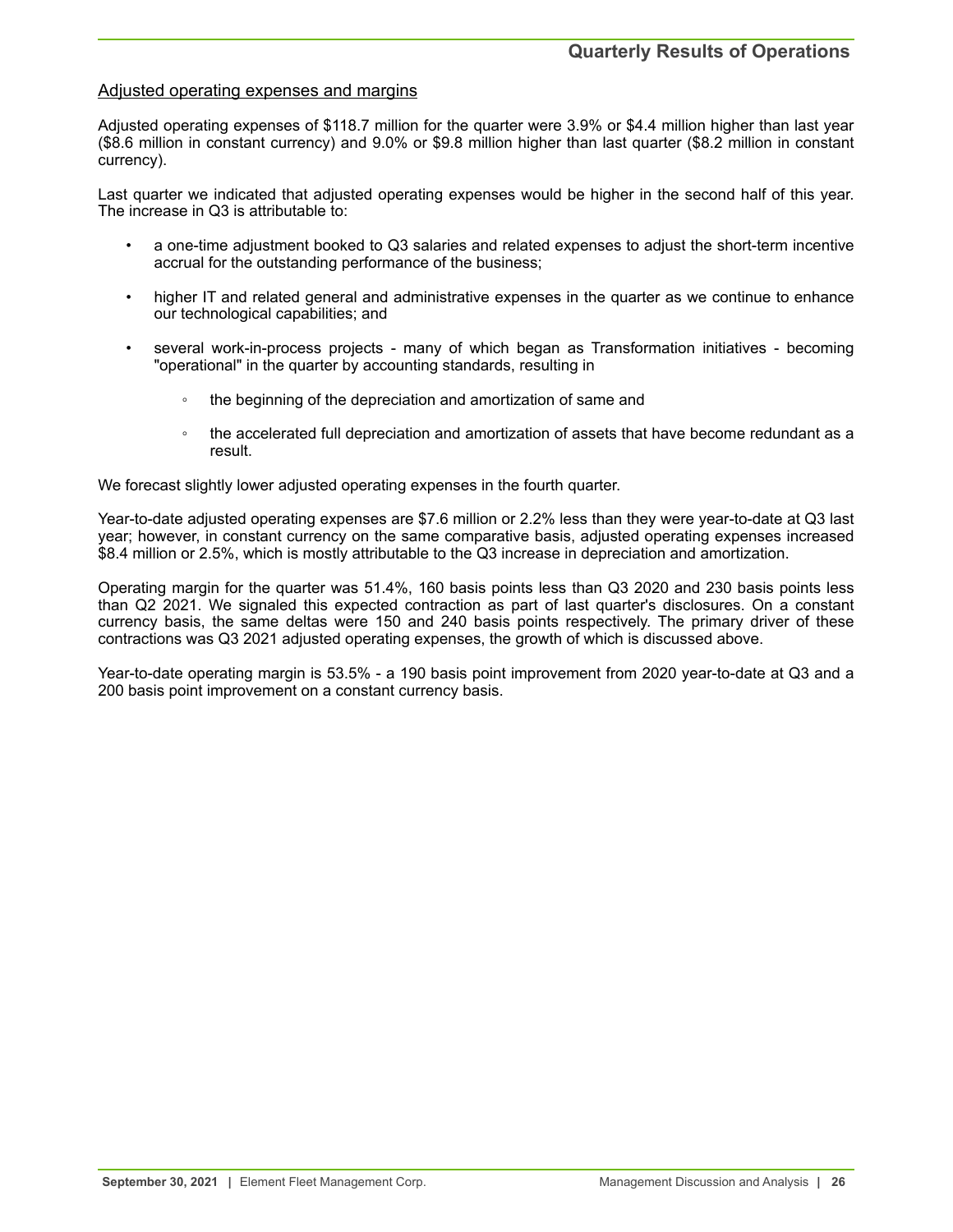## Adjusted operating expenses and margins

Adjusted operating expenses of \$118.7 million for the quarter were 3.9% or \$4.4 million higher than last year (\$8.6 million in constant currency) and 9.0% or \$9.8 million higher than last quarter (\$8.2 million in constant currency).

Last quarter we indicated that adjusted operating expenses would be higher in the second half of this year. The increase in Q3 is attributable to:

- a one-time adjustment booked to Q3 salaries and related expenses to adjust the short-term incentive accrual for the outstanding performance of the business;
- higher IT and related general and administrative expenses in the quarter as we continue to enhance our technological capabilities; and
- several work-in-process projects many of which began as Transformation initiatives becoming "operational" in the quarter by accounting standards, resulting in
	- the beginning of the depreciation and amortization of same and
	- the accelerated full depreciation and amortization of assets that have become redundant as a result.

We forecast slightly lower adjusted operating expenses in the fourth quarter.

Year-to-date adjusted operating expenses are \$7.6 million or 2.2% less than they were year-to-date at Q3 last year; however, in constant currency on the same comparative basis, adjusted operating expenses increased \$8.4 million or 2.5%, which is mostly attributable to the Q3 increase in depreciation and amortization.

Operating margin for the quarter was 51.4%, 160 basis points less than Q3 2020 and 230 basis points less than Q2 2021. We signaled this expected contraction as part of last quarter's disclosures. On a constant currency basis, the same deltas were 150 and 240 basis points respectively. The primary driver of these contractions was Q3 2021 adjusted operating expenses, the growth of which is discussed above.

Year-to-date operating margin is 53.5% - a 190 basis point improvement from 2020 year-to-date at Q3 and a 200 basis point improvement on a constant currency basis.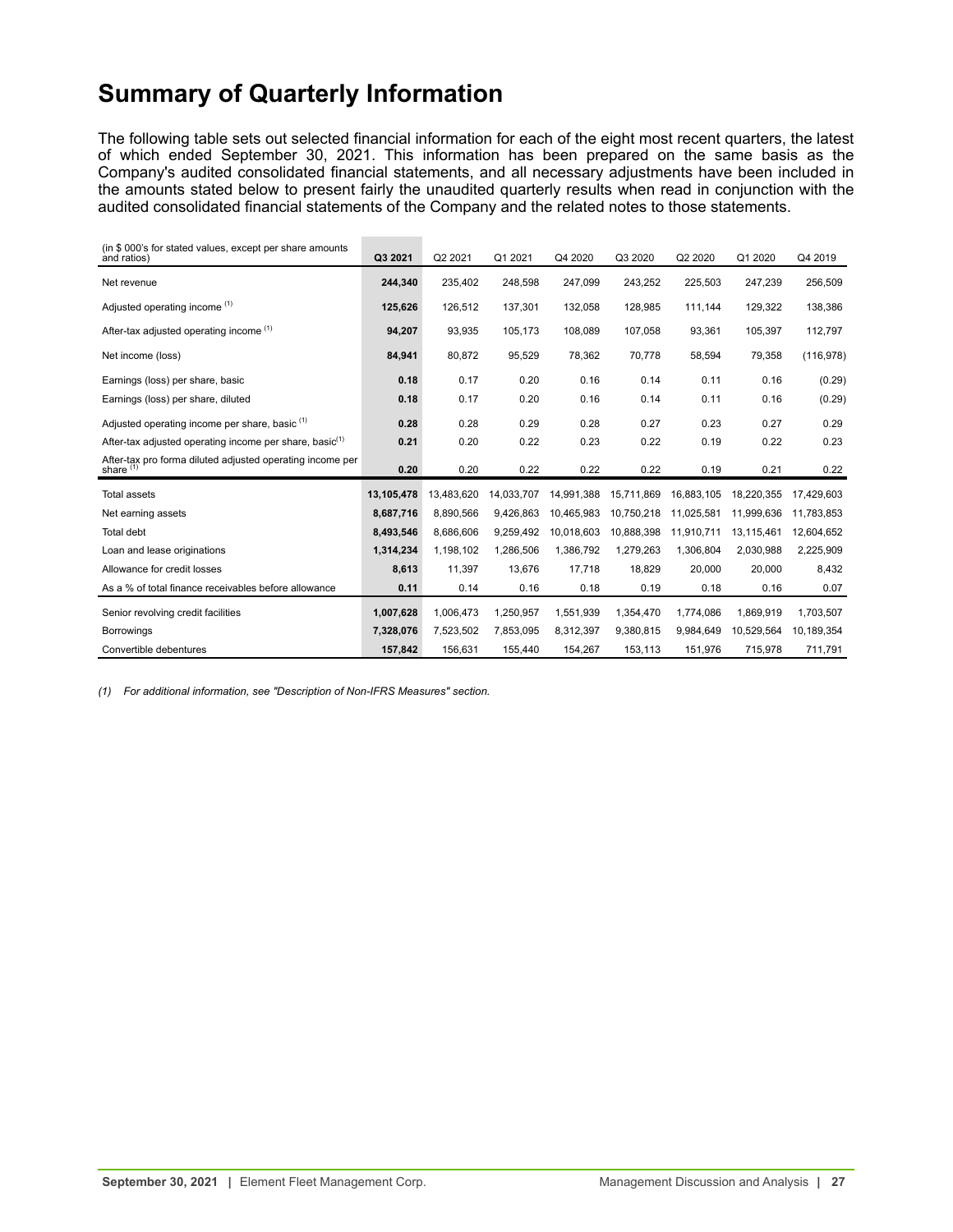# <span id="page-26-0"></span>**Summary of Quarterly Information**

The following table sets out selected financial information for each of the eight most recent quarters, the latest of which ended September 30, 2021. This information has been prepared on the same basis as the Company's audited consolidated financial statements, and all necessary adjustments have been included in the amounts stated below to present fairly the unaudited quarterly results when read in conjunction with the audited consolidated financial statements of the Company and the related notes to those statements.

| (in \$000's for stated values, except per share amounts<br>and ratios)   | Q3 2021    | Q2 2021    | Q1 2021    | Q4 2020    | Q3 2020    | Q2 2020    | Q1 2020    | Q4 2019    |
|--------------------------------------------------------------------------|------------|------------|------------|------------|------------|------------|------------|------------|
| Net revenue                                                              | 244,340    | 235,402    | 248,598    | 247,099    | 243,252    | 225,503    | 247,239    | 256,509    |
| Adjusted operating income (1)                                            | 125,626    | 126,512    | 137,301    | 132,058    | 128,985    | 111,144    | 129,322    | 138,386    |
| After-tax adjusted operating income (1)                                  | 94.207     | 93.935     | 105.173    | 108.089    | 107.058    | 93,361     | 105,397    | 112,797    |
| Net income (loss)                                                        | 84,941     | 80,872     | 95,529     | 78,362     | 70,778     | 58,594     | 79,358     | (116, 978) |
| Earnings (loss) per share, basic                                         | 0.18       | 0.17       | 0.20       | 0.16       | 0.14       | 0.11       | 0.16       | (0.29)     |
| Earnings (loss) per share, diluted                                       | 0.18       | 0.17       | 0.20       | 0.16       | 0.14       | 0.11       | 0.16       | (0.29)     |
| Adjusted operating income per share, basic (1)                           | 0.28       | 0.28       | 0.29       | 0.28       | 0.27       | 0.23       | 0.27       | 0.29       |
| After-tax adjusted operating income per share, basic <sup>(1)</sup>      | 0.21       | 0.20       | 0.22       | 0.23       | 0.22       | 0.19       | 0.22       | 0.23       |
| After-tax pro forma diluted adjusted operating income per share $^{(1)}$ | 0.20       | 0.20       | 0.22       | 0.22       | 0.22       | 0.19       | 0.21       | 0.22       |
| <b>Total assets</b>                                                      | 13,105,478 | 13,483,620 | 14,033,707 | 14,991,388 | 15,711,869 | 16,883,105 | 18,220,355 | 17,429,603 |
| Net earning assets                                                       | 8,687,716  | 8,890,566  | 9,426,863  | 10,465,983 | 10,750,218 | 11,025,581 | 11,999,636 | 11,783,853 |
| Total debt                                                               | 8,493,546  | 8,686,606  | 9,259,492  | 10,018,603 | 10,888,398 | 11,910,711 | 13,115,461 | 12,604,652 |
| Loan and lease originations                                              | 1,314,234  | 1,198,102  | 1,286,506  | 1,386,792  | 1,279,263  | 1,306,804  | 2,030,988  | 2,225,909  |
| Allowance for credit losses                                              | 8,613      | 11,397     | 13,676     | 17,718     | 18,829     | 20,000     | 20,000     | 8,432      |
| As a % of total finance receivables before allowance                     | 0.11       | 0.14       | 0.16       | 0.18       | 0.19       | 0.18       | 0.16       | 0.07       |
| Senior revolving credit facilities                                       | 1,007,628  | 1,006,473  | 1,250,957  | 1,551,939  | 1,354,470  | 1,774,086  | 1,869,919  | 1,703,507  |
| <b>Borrowings</b>                                                        | 7,328,076  | 7,523,502  | 7,853,095  | 8,312,397  | 9,380,815  | 9,984,649  | 10,529,564 | 10,189,354 |
| Convertible debentures                                                   | 157,842    | 156,631    | 155,440    | 154,267    | 153,113    | 151,976    | 715,978    | 711,791    |

*(1) For additional information, see "Description of Non-IFRS Measures" section.*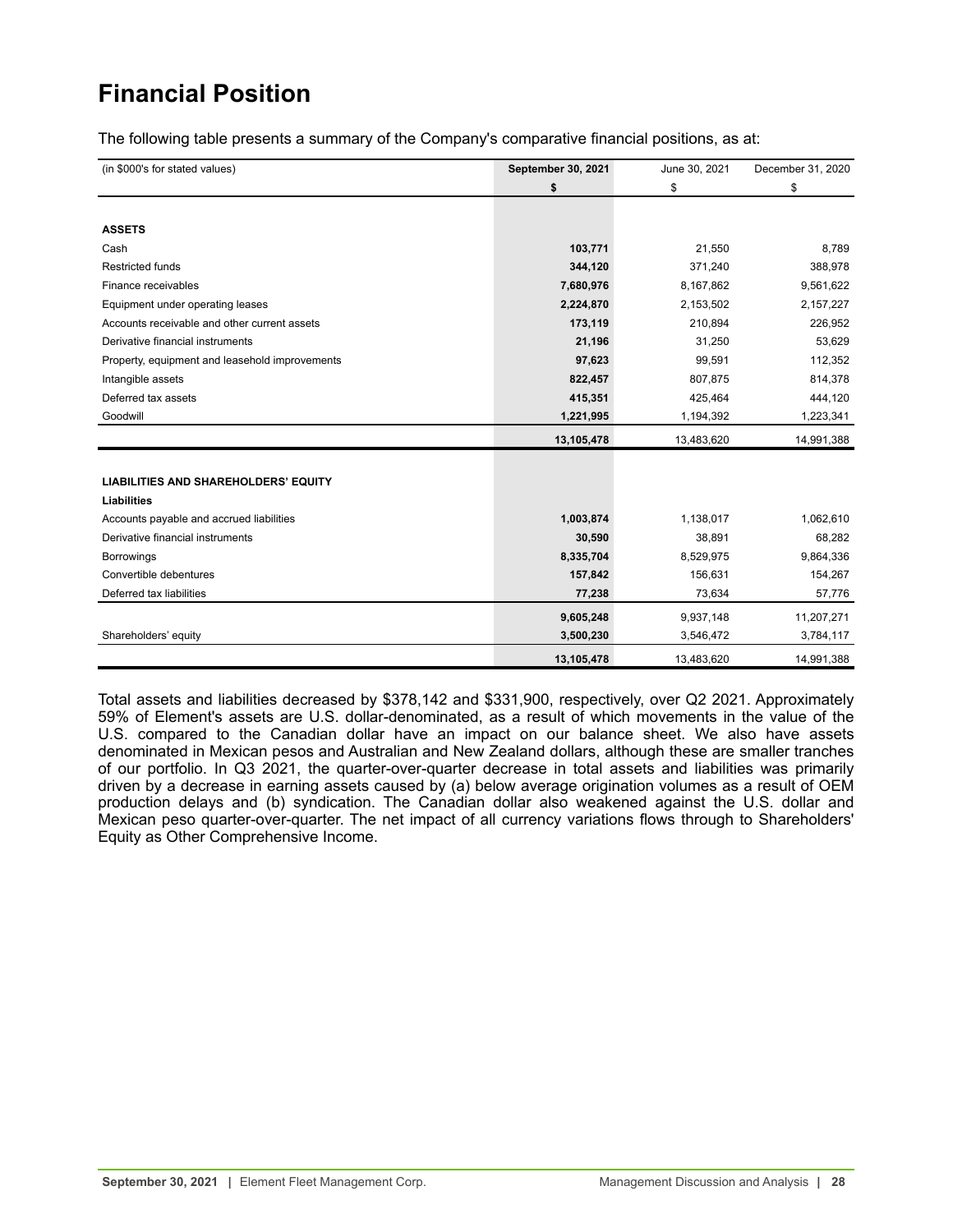# <span id="page-27-0"></span>**Financial Position**

The following table presents a summary of the Company's comparative financial positions, as at:

| (in \$000's for stated values)                 | September 30, 2021 | June 30, 2021 | December 31, 2020 |
|------------------------------------------------|--------------------|---------------|-------------------|
|                                                | \$                 | \$            | \$                |
|                                                |                    |               |                   |
| <b>ASSETS</b>                                  |                    |               |                   |
| Cash                                           | 103,771            | 21,550        | 8,789             |
| Restricted funds                               | 344,120            | 371,240       | 388,978           |
| Finance receivables                            | 7,680,976          | 8,167,862     | 9,561,622         |
| Equipment under operating leases               | 2,224,870          | 2,153,502     | 2,157,227         |
| Accounts receivable and other current assets   | 173,119            | 210,894       | 226,952           |
| Derivative financial instruments               | 21,196             | 31,250        | 53,629            |
| Property, equipment and leasehold improvements | 97,623             | 99,591        | 112,352           |
| Intangible assets                              | 822,457            | 807,875       | 814,378           |
| Deferred tax assets                            | 415,351            | 425,464       | 444,120           |
| Goodwill                                       | 1,221,995          | 1,194,392     | 1,223,341         |
|                                                | 13,105,478         | 13,483,620    | 14,991,388        |
|                                                |                    |               |                   |
| <b>LIABILITIES AND SHAREHOLDERS' EQUITY</b>    |                    |               |                   |
| <b>Liabilities</b>                             |                    |               |                   |
| Accounts payable and accrued liabilities       | 1,003,874          | 1,138,017     | 1,062,610         |
| Derivative financial instruments               | 30,590             | 38,891        | 68,282            |
| <b>Borrowings</b>                              | 8,335,704          | 8,529,975     | 9,864,336         |
| Convertible debentures                         | 157,842            | 156,631       | 154,267           |
| Deferred tax liabilities                       | 77,238             | 73,634        | 57,776            |
|                                                | 9,605,248          | 9,937,148     | 11,207,271        |
| Shareholders' equity                           | 3,500,230          | 3,546,472     | 3,784,117         |
|                                                | 13,105,478         | 13,483,620    | 14,991,388        |

Total assets and liabilities decreased by \$378,142 and \$331,900, respectively, over Q2 2021. Approximately 59% of Element's assets are U.S. dollar-denominated, as a result of which movements in the value of the U.S. compared to the Canadian dollar have an impact on our balance sheet. We also have assets denominated in Mexican pesos and Australian and New Zealand dollars, although these are smaller tranches of our portfolio. In Q3 2021, the quarter-over-quarter decrease in total assets and liabilities was primarily driven by a decrease in earning assets caused by (a) below average origination volumes as a result of OEM production delays and (b) syndication. The Canadian dollar also weakened against the U.S. dollar and Mexican peso quarter-over-quarter. The net impact of all currency variations flows through to Shareholders' Equity as Other Comprehensive Income.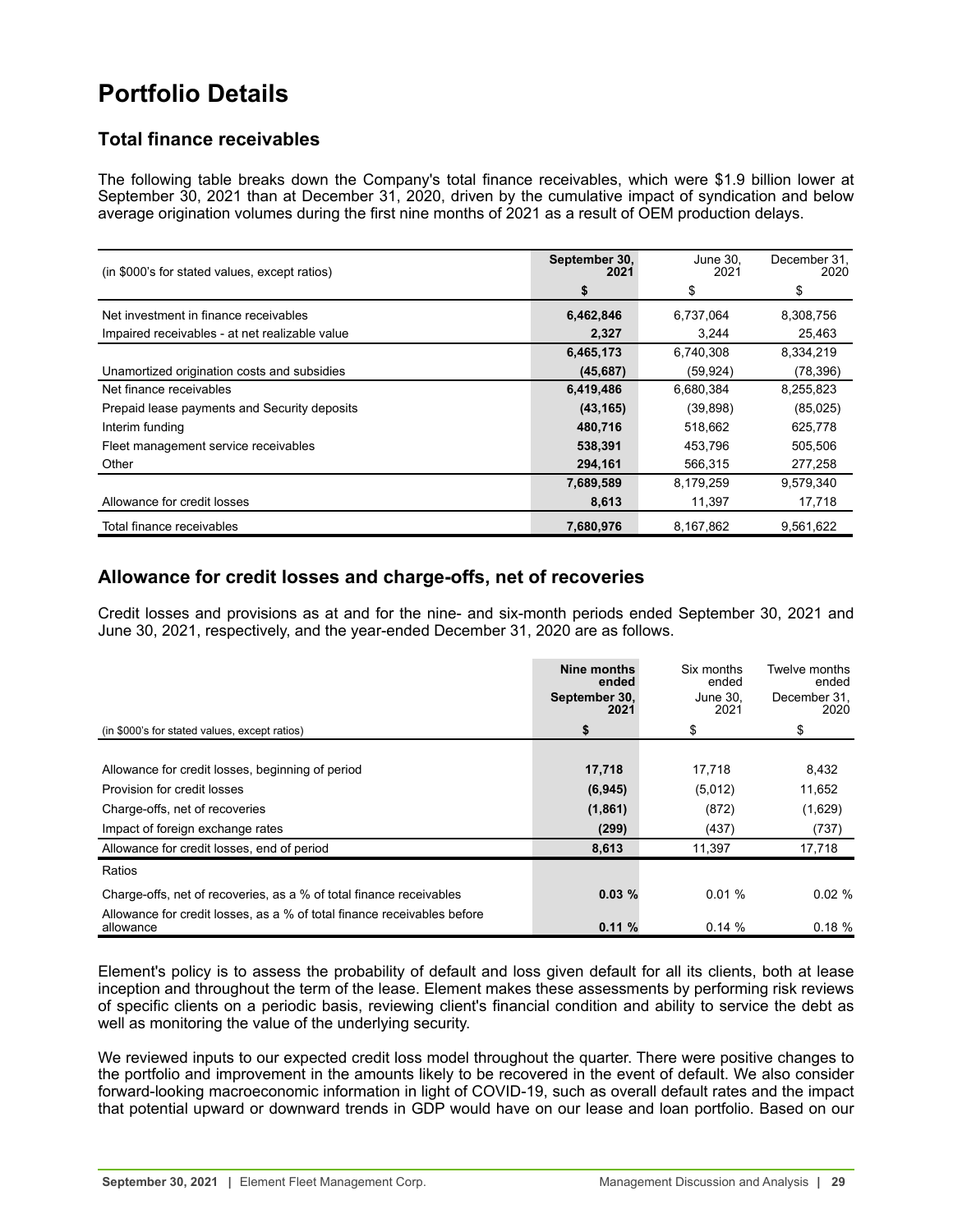# <span id="page-28-0"></span>**Portfolio Details**

## **Total finance receivables**

The following table breaks down the Company's total finance receivables, which were \$1.9 billion lower at September 30, 2021 than at December 31, 2020, driven by the cumulative impact of syndication and below average origination volumes during the first nine months of 2021 as a result of OEM production delays.

| (in \$000's for stated values, except ratios)  | September 30,<br>2021 | June 30,<br>2021 | December 31,<br>2020 |
|------------------------------------------------|-----------------------|------------------|----------------------|
|                                                | S                     | \$               | \$                   |
| Net investment in finance receivables          | 6,462,846             | 6,737,064        | 8,308,756            |
| Impaired receivables - at net realizable value | 2,327                 | 3.244            | 25,463               |
|                                                | 6,465,173             | 6,740,308        | 8,334,219            |
| Unamortized origination costs and subsidies    | (45, 687)             | (59, 924)        | (78, 396)            |
| Net finance receivables                        | 6,419,486             | 6,680,384        | 8,255,823            |
| Prepaid lease payments and Security deposits   | (43, 165)             | (39, 898)        | (85,025)             |
| Interim funding                                | 480,716               | 518.662          | 625,778              |
| Fleet management service receivables           | 538,391               | 453,796          | 505,506              |
| Other                                          | 294,161               | 566,315          | 277,258              |
|                                                | 7,689,589             | 8,179,259        | 9,579,340            |
| Allowance for credit losses                    | 8,613                 | 11,397           | 17,718               |
| Total finance receivables                      | 7,680,976             | 8,167,862        | 9,561,622            |

## **Allowance for credit losses and charge-offs, net of recoveries**

Credit losses and provisions as at and for the nine- and six-month periods ended September 30, 2021 and June 30, 2021, respectively, and the year-ended December 31, 2020 are as follows.

|                                                                                      | Nine months<br>ended<br>September 30,<br>2021 | Six months<br>ended<br>June 30.<br>2021 | Twelve months<br>ended<br>December 31,<br>2020 |
|--------------------------------------------------------------------------------------|-----------------------------------------------|-----------------------------------------|------------------------------------------------|
| (in \$000's for stated values, except ratios)                                        | \$                                            | \$                                      | \$                                             |
|                                                                                      |                                               |                                         |                                                |
| Allowance for credit losses, beginning of period                                     | 17,718                                        | 17.718                                  | 8,432                                          |
| Provision for credit losses                                                          | (6, 945)                                      | (5,012)                                 | 11,652                                         |
| Charge-offs, net of recoveries                                                       | (1,861)                                       | (872)                                   | (1,629)                                        |
| Impact of foreign exchange rates                                                     | (299)                                         | (437)                                   | (737)                                          |
| Allowance for credit losses, end of period                                           | 8,613                                         | 11,397                                  | 17,718                                         |
| Ratios                                                                               |                                               |                                         |                                                |
| Charge-offs, net of recoveries, as a % of total finance receivables                  | 0.03%                                         | 0.01%                                   | $0.02 \%$                                      |
| Allowance for credit losses, as a % of total finance receivables before<br>allowance | 0.11%                                         | 0.14%                                   | 0.18%                                          |

Element's policy is to assess the probability of default and loss given default for all its clients, both at lease inception and throughout the term of the lease. Element makes these assessments by performing risk reviews of specific clients on a periodic basis, reviewing client's financial condition and ability to service the debt as well as monitoring the value of the underlying security.

We reviewed inputs to our expected credit loss model throughout the quarter. There were positive changes to the portfolio and improvement in the amounts likely to be recovered in the event of default. We also consider forward-looking macroeconomic information in light of COVID-19, such as overall default rates and the impact that potential upward or downward trends in GDP would have on our lease and loan portfolio. Based on our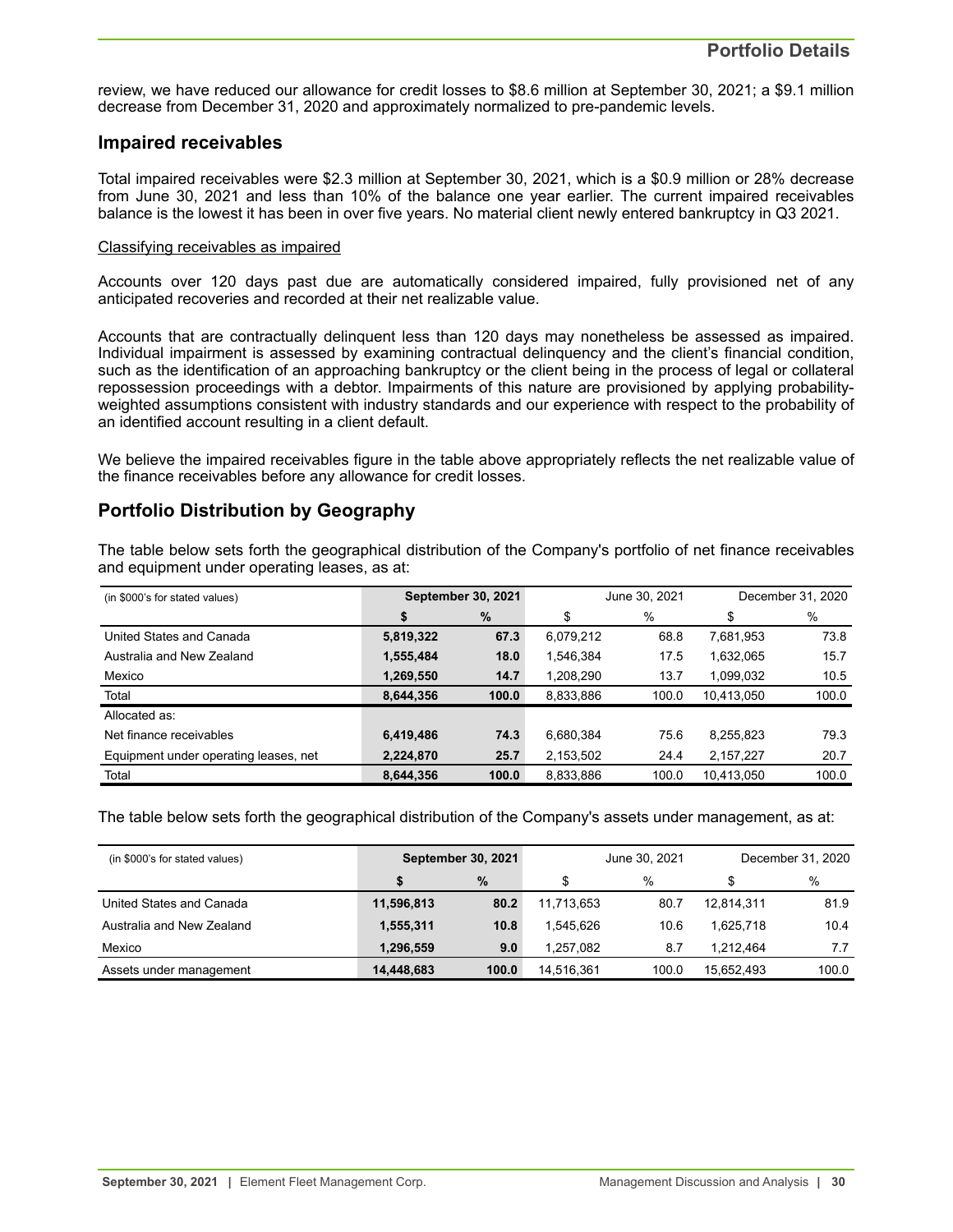review, we have reduced our allowance for credit losses to \$8.6 million at September 30, 2021; a \$9.1 million decrease from December 31, 2020 and approximately normalized to pre-pandemic levels.

## **Impaired receivables**

Total impaired receivables were \$2.3 million at September 30, 2021, which is a \$0.9 million or 28% decrease from June 30, 2021 and less than 10% of the balance one year earlier. The current impaired receivables balance is the lowest it has been in over five years. No material client newly entered bankruptcy in Q3 2021.

#### Classifying receivables as impaired

Accounts over 120 days past due are automatically considered impaired, fully provisioned net of any anticipated recoveries and recorded at their net realizable value.

Accounts that are contractually delinquent less than 120 days may nonetheless be assessed as impaired. Individual impairment is assessed by examining contractual delinquency and the client's financial condition, such as the identification of an approaching bankruptcy or the client being in the process of legal or collateral repossession proceedings with a debtor. Impairments of this nature are provisioned by applying probabilityweighted assumptions consistent with industry standards and our experience with respect to the probability of an identified account resulting in a client default.

We believe the impaired receivables figure in the table above appropriately reflects the net realizable value of the finance receivables before any allowance for credit losses.

## **Portfolio Distribution by Geography**

The table below sets forth the geographical distribution of the Company's portfolio of net finance receivables and equipment under operating leases, as at:

| (in \$000's for stated values)        | <b>September 30, 2021</b> |       | June 30, 2021 |       | December 31, 2020 |       |
|---------------------------------------|---------------------------|-------|---------------|-------|-------------------|-------|
|                                       | \$                        | %     | \$            | %     | \$                | $\%$  |
| United States and Canada              | 5,819,322                 | 67.3  | 6,079,212     | 68.8  | 7,681,953         | 73.8  |
| Australia and New Zealand             | 1,555,484                 | 18.0  | 1.546.384     | 17.5  | 1,632,065         | 15.7  |
| Mexico                                | 1,269,550                 | 14.7  | 1,208,290     | 13.7  | 1,099,032         | 10.5  |
| Total                                 | 8,644,356                 | 100.0 | 8,833,886     | 100.0 | 10,413,050        | 100.0 |
| Allocated as:                         |                           |       |               |       |                   |       |
| Net finance receivables               | 6,419,486                 | 74.3  | 6,680,384     | 75.6  | 8,255,823         | 79.3  |
| Equipment under operating leases, net | 2,224,870                 | 25.7  | 2,153,502     | 24.4  | 2,157,227         | 20.7  |
| Total                                 | 8,644,356                 | 100.0 | 8,833,886     | 100.0 | 10,413,050        | 100.0 |

The table below sets forth the geographical distribution of the Company's assets under management, as at:

| (in \$000's for stated values) | <b>September 30, 2021</b> |       |            | June 30, 2021 | December 31, 2020 |       |  |
|--------------------------------|---------------------------|-------|------------|---------------|-------------------|-------|--|
|                                |                           | $\%$  | \$         | $\%$          | \$                | %     |  |
| United States and Canada       | 11,596,813                | 80.2  | 11,713,653 | 80.7          | 12.814.311        | 81.9  |  |
| Australia and New Zealand      | 1,555,311                 | 10.8  | 1.545.626  | 10.6          | 1.625.718         | 10.4  |  |
| Mexico                         | 1.296.559                 | 9.0   | 1.257.082  | 8.7           | 1.212.464         | 7.7   |  |
| Assets under management        | 14,448,683                | 100.0 | 14,516,361 | 100.0         | 15,652,493        | 100.0 |  |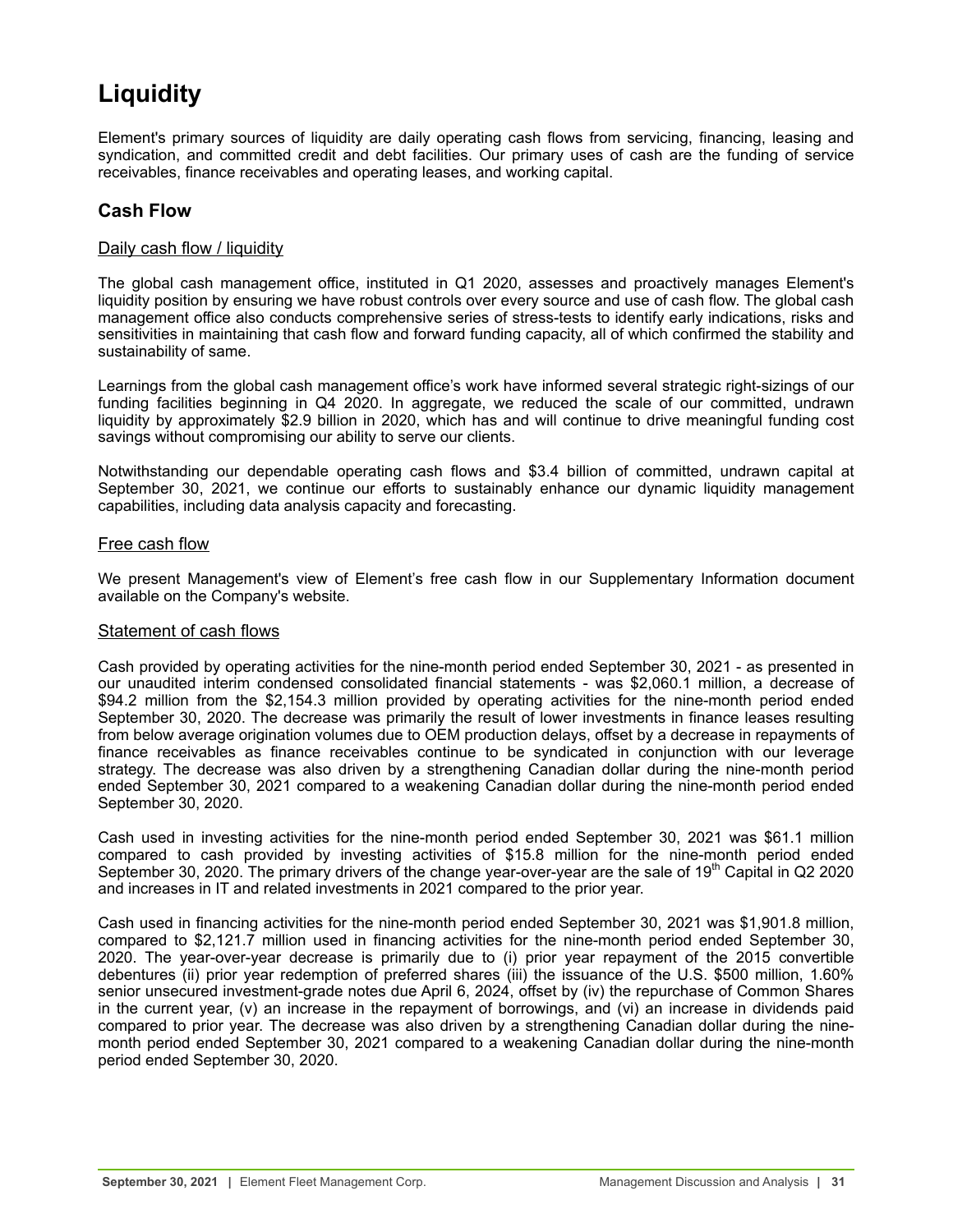# <span id="page-30-0"></span>**Liquidity**

Element's primary sources of liquidity are daily operating cash flows from servicing, financing, leasing and syndication, and committed credit and debt facilities. Our primary uses of cash are the funding of service receivables, finance receivables and operating leases, and working capital.

## **Cash Flow**

## Daily cash flow / liquidity

The global cash management office, instituted in Q1 2020, assesses and proactively manages Element's liquidity position by ensuring we have robust controls over every source and use of cash flow. The global cash management office also conducts comprehensive series of stress-tests to identify early indications, risks and sensitivities in maintaining that cash flow and forward funding capacity, all of which confirmed the stability and sustainability of same.

Learnings from the global cash management office's work have informed several strategic right-sizings of our funding facilities beginning in Q4 2020. In aggregate, we reduced the scale of our committed, undrawn liquidity by approximately \$2.9 billion in 2020, which has and will continue to drive meaningful funding cost savings without compromising our ability to serve our clients.

Notwithstanding our dependable operating cash flows and \$3.4 billion of committed, undrawn capital at September 30, 2021, we continue our efforts to sustainably enhance our dynamic liquidity management capabilities, including data analysis capacity and forecasting.

## Free cash flow

We present Management's view of Element's free cash flow in our Supplementary Information document available on the Company's website.

## Statement of cash flows

Cash provided by operating activities for the nine-month period ended September 30, 2021 - as presented in our unaudited interim condensed consolidated financial statements - was \$2,060.1 million, a decrease of \$94.2 million from the \$2,154.3 million provided by operating activities for the nine-month period ended September 30, 2020. The decrease was primarily the result of lower investments in finance leases resulting from below average origination volumes due to OEM production delays, offset by a decrease in repayments of finance receivables as finance receivables continue to be syndicated in conjunction with our leverage strategy. The decrease was also driven by a strengthening Canadian dollar during the nine-month period ended September 30, 2021 compared to a weakening Canadian dollar during the nine-month period ended September 30, 2020.

Cash used in investing activities for the nine-month period ended September 30, 2021 was \$61.1 million compared to cash provided by investing activities of \$15.8 million for the nine-month period ended September 30, 2020. The primary drivers of the change year-over-year are the sale of 19<sup>th</sup> Capital in Q2 2020 and increases in IT and related investments in 2021 compared to the prior year.

Cash used in financing activities for the nine-month period ended September 30, 2021 was \$1,901.8 million, compared to \$2,121.7 million used in financing activities for the nine-month period ended September 30, 2020. The year-over-year decrease is primarily due to (i) prior year repayment of the 2015 convertible debentures (ii) prior year redemption of preferred shares (iii) the issuance of the U.S. \$500 million, 1.60% senior unsecured investment-grade notes due April 6, 2024, offset by (iv) the repurchase of Common Shares in the current year, (v) an increase in the repayment of borrowings, and (vi) an increase in dividends paid compared to prior year. The decrease was also driven by a strengthening Canadian dollar during the ninemonth period ended September 30, 2021 compared to a weakening Canadian dollar during the nine-month period ended September 30, 2020.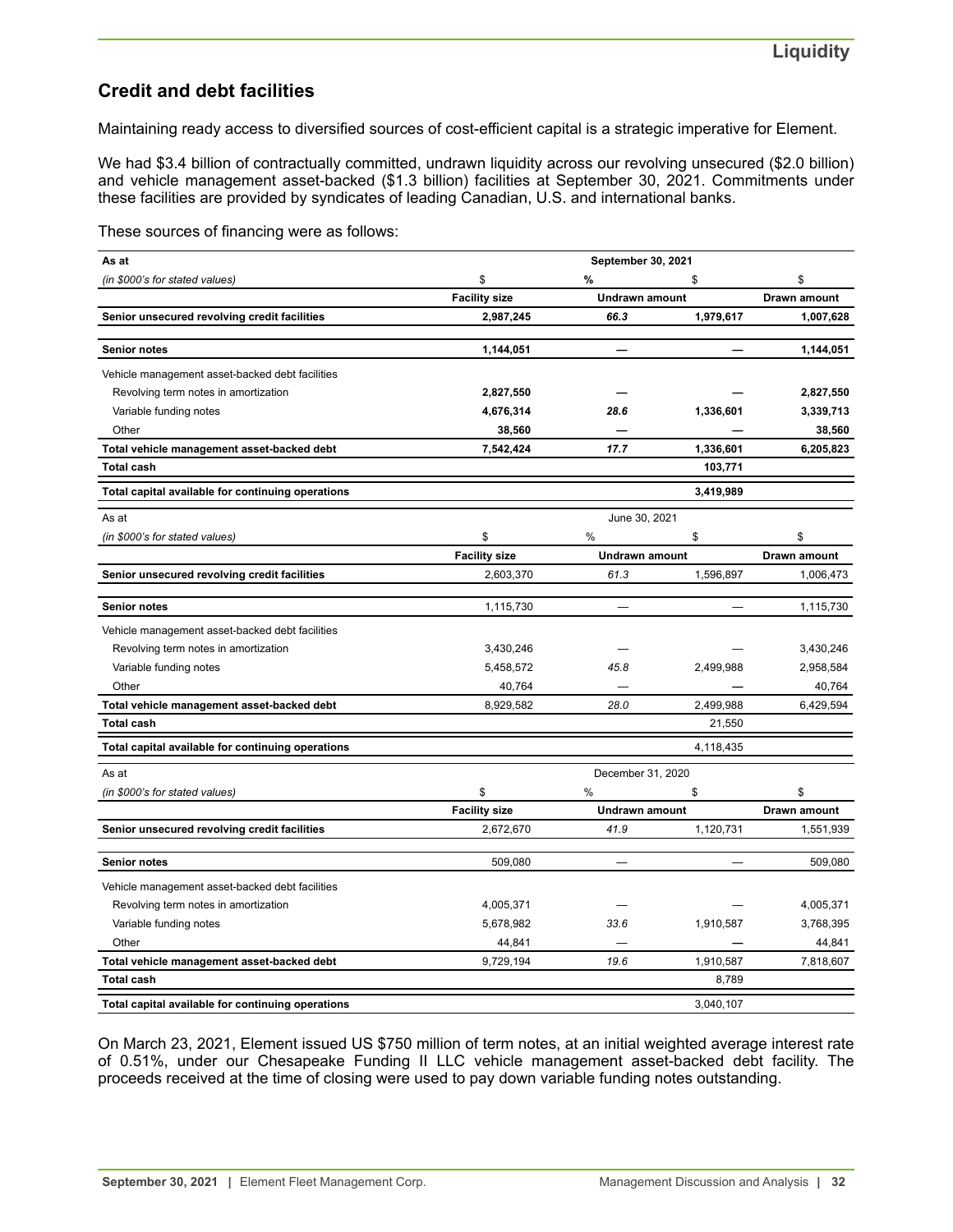## **Credit and debt facilities**

Maintaining ready access to diversified sources of cost-efficient capital is a strategic imperative for Element.

We had \$3.4 billion of contractually committed, undrawn liquidity across our revolving unsecured (\$2.0 billion) and vehicle management asset-backed (\$1.3 billion) facilities at September 30, 2021. Commitments under these facilities are provided by syndicates of leading Canadian, U.S. and international banks.

These sources of financing were as follows:

| As at                                             |                      | September 30, 2021       |                          |              |
|---------------------------------------------------|----------------------|--------------------------|--------------------------|--------------|
| (in \$000's for stated values)                    | \$                   | %                        | \$                       | \$           |
|                                                   | <b>Facility size</b> | <b>Undrawn amount</b>    |                          | Drawn amount |
| Senior unsecured revolving credit facilities      | 2,987,245            | 66.3                     | 1,979,617                | 1,007,628    |
| <b>Senior notes</b>                               | 1,144,051            |                          |                          | 1,144,051    |
| Vehicle management asset-backed debt facilities   |                      |                          |                          |              |
| Revolving term notes in amortization              | 2,827,550            |                          |                          | 2,827,550    |
| Variable funding notes                            | 4,676,314            | 28.6                     | 1,336,601                | 3,339,713    |
| Other                                             | 38,560               |                          |                          | 38,560       |
| Total vehicle management asset-backed debt        | 7,542,424            | 17.7                     | 1,336,601                | 6,205,823    |
| <b>Total cash</b>                                 |                      |                          | 103,771                  |              |
| Total capital available for continuing operations |                      |                          | 3,419,989                |              |
| As at                                             |                      | June 30, 2021            |                          |              |
| (in \$000's for stated values)                    | \$                   | %                        | \$                       | \$           |
|                                                   | <b>Facility size</b> | Undrawn amount           |                          | Drawn amount |
| Senior unsecured revolving credit facilities      | 2,603,370            | 61.3                     | 1,596,897                | 1,006,473    |
| <b>Senior notes</b>                               | 1,115,730            |                          |                          | 1,115,730    |
| Vehicle management asset-backed debt facilities   |                      |                          |                          |              |
| Revolving term notes in amortization              | 3,430,246            |                          |                          | 3,430,246    |
| Variable funding notes                            | 5,458,572            | 45.8                     | 2,499,988                | 2,958,584    |
| Other                                             | 40,764               |                          |                          | 40,764       |
| Total vehicle management asset-backed debt        | 8,929,582            | 28.0                     | 2,499,988                | 6,429,594    |
| <b>Total cash</b>                                 |                      |                          | 21,550                   |              |
| Total capital available for continuing operations |                      |                          | 4,118,435                |              |
| As at                                             |                      | December 31, 2020        |                          |              |
| (in \$000's for stated values)                    | \$                   | %                        | \$                       | \$           |
|                                                   | <b>Facility size</b> | Undrawn amount           |                          | Drawn amount |
| Senior unsecured revolving credit facilities      | 2,672,670            | 41.9                     | 1,120,731                | 1,551,939    |
| <b>Senior notes</b>                               | 509,080              | $\overline{\phantom{a}}$ | $\overline{\phantom{0}}$ | 509,080      |
| Vehicle management asset-backed debt facilities   |                      |                          |                          |              |
| Revolving term notes in amortization              | 4,005,371            |                          |                          | 4,005,371    |
| Variable funding notes                            | 5,678,982            | 33.6                     | 1,910,587                | 3,768,395    |
| Other                                             | 44,841               |                          |                          | 44,841       |
| Total vehicle management asset-backed debt        | 9,729,194            | 19.6                     | 1,910,587                | 7,818,607    |
| <b>Total cash</b>                                 |                      |                          | 8,789                    |              |
| Total capital available for continuing operations |                      |                          | 3.040.107                |              |

On March 23, 2021, Element issued US \$750 million of term notes, at an initial weighted average interest rate of 0.51%, under our Chesapeake Funding II LLC vehicle management asset-backed debt facility. The proceeds received at the time of closing were used to pay down variable funding notes outstanding.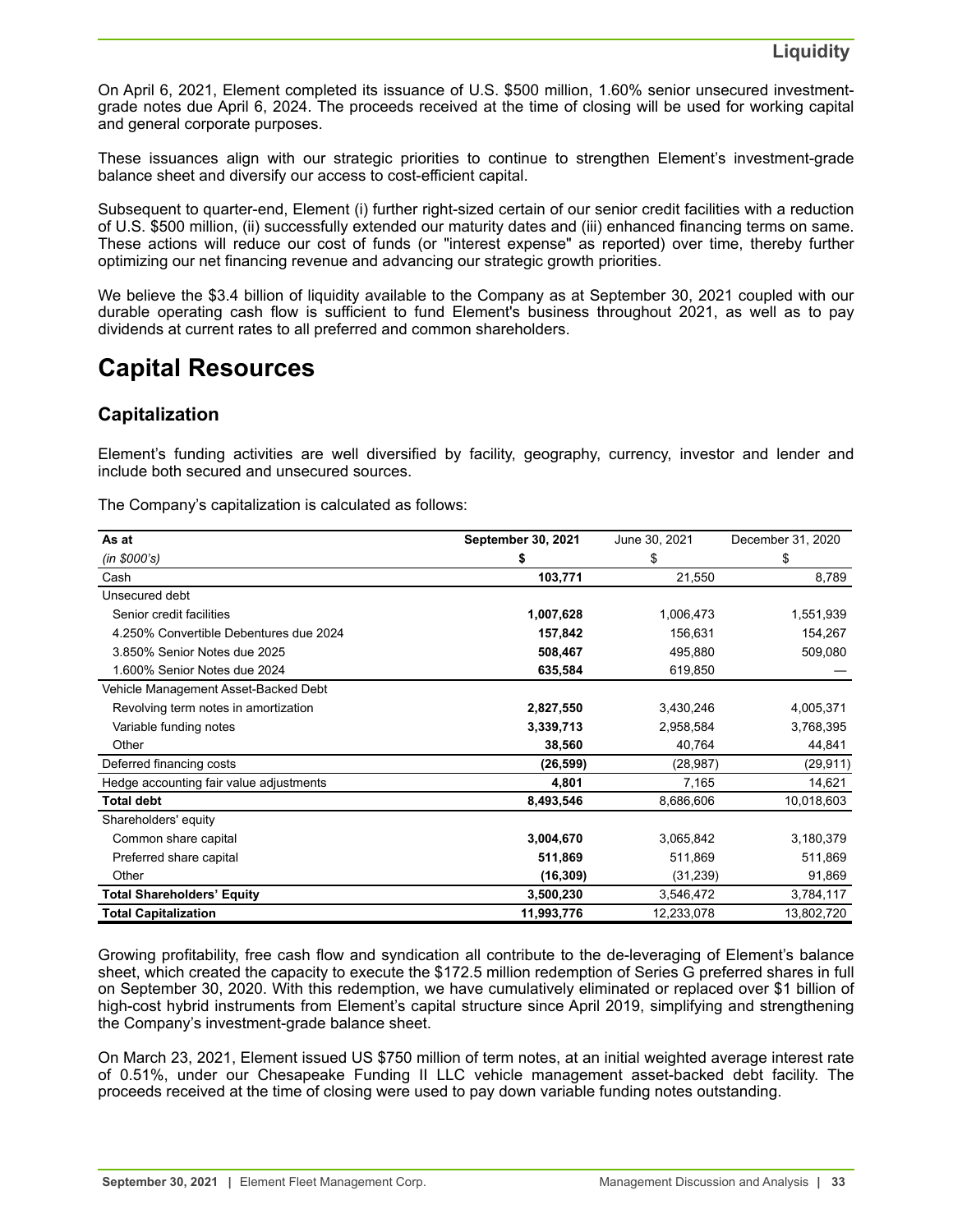<span id="page-32-0"></span>On April 6, 2021, Element completed its issuance of U.S. \$500 million, 1.60% senior unsecured investmentgrade notes due April 6, 2024. The proceeds received at the time of closing will be used for working capital and general corporate purposes.

These issuances align with our strategic priorities to continue to strengthen Element's investment-grade balance sheet and diversify our access to cost-efficient capital.

Subsequent to quarter-end, Element (i) further right-sized certain of our senior credit facilities with a reduction of U.S. \$500 million, (ii) successfully extended our maturity dates and (iii) enhanced financing terms on same. These actions will reduce our cost of funds (or "interest expense" as reported) over time, thereby further optimizing our net financing revenue and advancing our strategic growth priorities.

We believe the \$3.4 billion of liquidity available to the Company as at September 30, 2021 coupled with our durable operating cash flow is sufficient to fund Element's business throughout 2021, as well as to pay dividends at current rates to all preferred and common shareholders.

## **Capital Resources**

## **Capitalization**

Element's funding activities are well diversified by facility, geography, currency, investor and lender and include both secured and unsecured sources.

The Company's capitalization is calculated as follows:

| As at                                   | September 30, 2021 | June 30, 2021 | December 31, 2020 |
|-----------------------------------------|--------------------|---------------|-------------------|
| (in \$000's)                            | \$                 | \$            | \$                |
| Cash                                    | 103,771            | 21,550        | 8,789             |
| Unsecured debt                          |                    |               |                   |
| Senior credit facilities                | 1,007,628          | 1,006,473     | 1,551,939         |
| 4.250% Convertible Debentures due 2024  | 157,842            | 156,631       | 154,267           |
| 3.850% Senior Notes due 2025            | 508,467            | 495,880       | 509,080           |
| 1.600% Senior Notes due 2024            | 635,584            | 619,850       |                   |
| Vehicle Management Asset-Backed Debt    |                    |               |                   |
| Revolving term notes in amortization    | 2,827,550          | 3,430,246     | 4,005,371         |
| Variable funding notes                  | 3,339,713          | 2,958,584     | 3,768,395         |
| Other                                   | 38,560             | 40,764        | 44,841            |
| Deferred financing costs                | (26, 599)          | (28, 987)     | (29, 911)         |
| Hedge accounting fair value adjustments | 4,801              | 7,165         | 14,621            |
| <b>Total debt</b>                       | 8,493,546          | 8,686,606     | 10,018,603        |
| Shareholders' equity                    |                    |               |                   |
| Common share capital                    | 3,004,670          | 3,065,842     | 3,180,379         |
| Preferred share capital                 | 511,869            | 511,869       | 511,869           |
| Other                                   | (16, 309)          | (31, 239)     | 91,869            |
| <b>Total Shareholders' Equity</b>       | 3,500,230          | 3,546,472     | 3,784,117         |
| <b>Total Capitalization</b>             | 11,993,776         | 12,233,078    | 13,802,720        |

Growing profitability, free cash flow and syndication all contribute to the de-leveraging of Element's balance sheet, which created the capacity to execute the \$172.5 million redemption of Series G preferred shares in full on September 30, 2020. With this redemption, we have cumulatively eliminated or replaced over \$1 billion of high-cost hybrid instruments from Element's capital structure since April 2019, simplifying and strengthening the Company's investment-grade balance sheet.

On March 23, 2021, Element issued US \$750 million of term notes, at an initial weighted average interest rate of 0.51%, under our Chesapeake Funding II LLC vehicle management asset-backed debt facility. The proceeds received at the time of closing were used to pay down variable funding notes outstanding.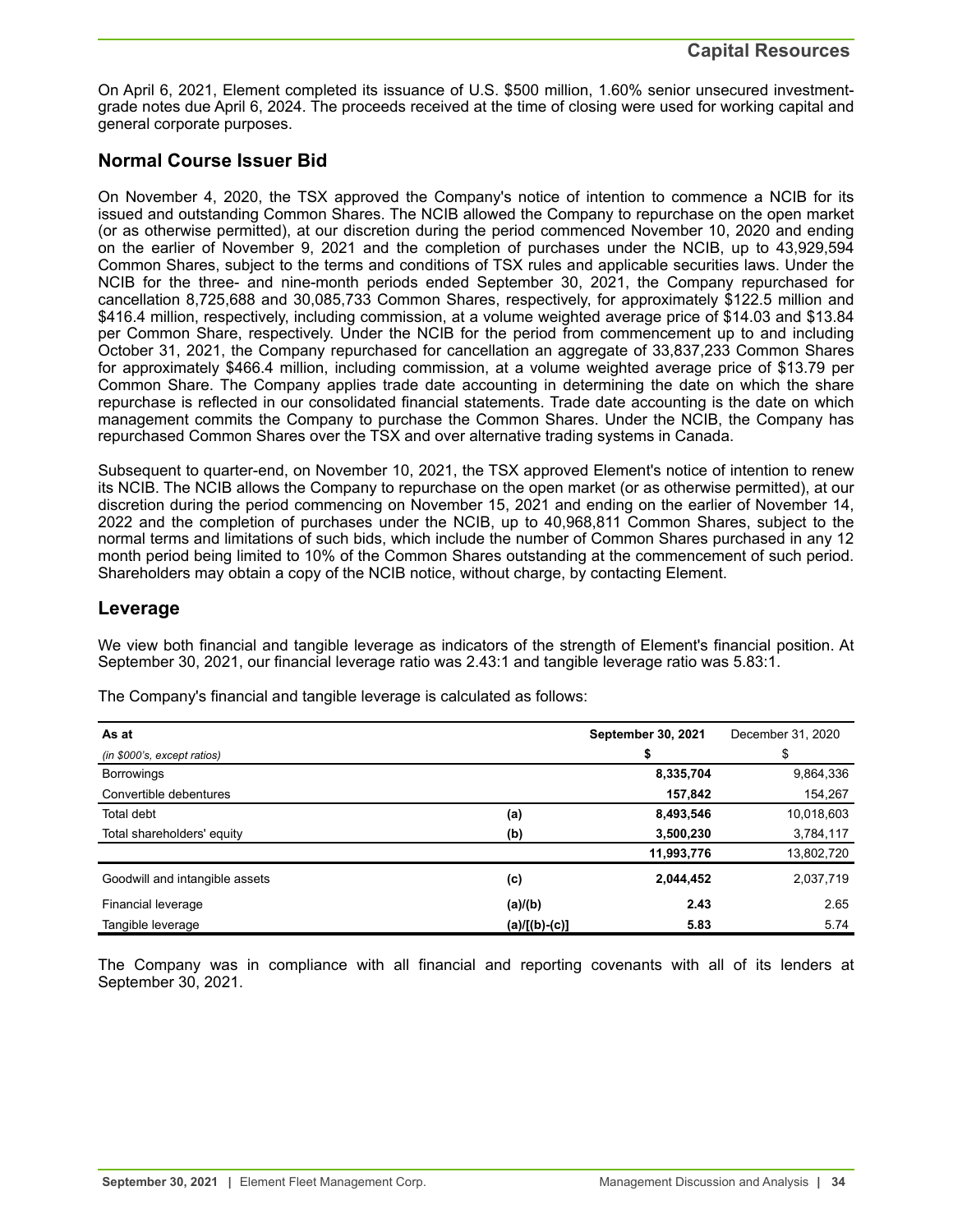On April 6, 2021, Element completed its issuance of U.S. \$500 million, 1.60% senior unsecured investmentgrade notes due April 6, 2024. The proceeds received at the time of closing were used for working capital and general corporate purposes.

## **Normal Course Issuer Bid**

On November 4, 2020, the TSX approved the Company's notice of intention to commence a NCIB for its issued and outstanding Common Shares. The NCIB allowed the Company to repurchase on the open market (or as otherwise permitted), at our discretion during the period commenced November 10, 2020 and ending on the earlier of November 9, 2021 and the completion of purchases under the NCIB, up to 43,929,594 Common Shares, subject to the terms and conditions of TSX rules and applicable securities laws. Under the NCIB for the three- and nine-month periods ended September 30, 2021, the Company repurchased for cancellation 8,725,688 and 30,085,733 Common Shares, respectively, for approximately \$122.5 million and \$416.4 million, respectively, including commission, at a volume weighted average price of \$14.03 and \$13.84 per Common Share, respectively. Under the NCIB for the period from commencement up to and including October 31, 2021, the Company repurchased for cancellation an aggregate of 33,837,233 Common Shares for approximately \$466.4 million, including commission, at a volume weighted average price of \$13.79 per Common Share. The Company applies trade date accounting in determining the date on which the share repurchase is reflected in our consolidated financial statements. Trade date accounting is the date on which management commits the Company to purchase the Common Shares. Under the NCIB, the Company has repurchased Common Shares over the TSX and over alternative trading systems in Canada.

Subsequent to quarter-end, on November 10, 2021, the TSX approved Element's notice of intention to renew its NCIB. The NCIB allows the Company to repurchase on the open market (or as otherwise permitted), at our discretion during the period commencing on November 15, 2021 and ending on the earlier of November 14, 2022 and the completion of purchases under the NCIB, up to 40,968,811 Common Shares, subject to the normal terms and limitations of such bids, which include the number of Common Shares purchased in any 12 month period being limited to 10% of the Common Shares outstanding at the commencement of such period. Shareholders may obtain a copy of the NCIB notice, without charge, by contacting Element.

## **Leverage**

We view both financial and tangible leverage as indicators of the strength of Element's financial position. At September 30, 2021, our financial leverage ratio was 2.43:1 and tangible leverage ratio was 5.83:1.

| As at                          | <b>September 30, 2021</b> |            | December 31, 2020 |
|--------------------------------|---------------------------|------------|-------------------|
| (in \$000's, except ratios)    | S                         |            | \$                |
| <b>Borrowings</b>              |                           | 8,335,704  | 9,864,336         |
| Convertible debentures         |                           | 157,842    | 154,267           |
| <b>Total debt</b>              | (a)                       | 8,493,546  | 10,018,603        |
| Total shareholders' equity     | (b)                       | 3,500,230  | 3,784,117         |
|                                |                           | 11,993,776 | 13,802,720        |
| Goodwill and intangible assets | (c)                       | 2,044,452  | 2,037,719         |
| Financial leverage             | (a)/(b)                   | 2.43       | 2.65              |
| Tangible leverage              | (a)/[(b)-(c)]             | 5.83       | 5.74              |

The Company's financial and tangible leverage is calculated as follows:

The Company was in compliance with all financial and reporting covenants with all of its lenders at September 30, 2021.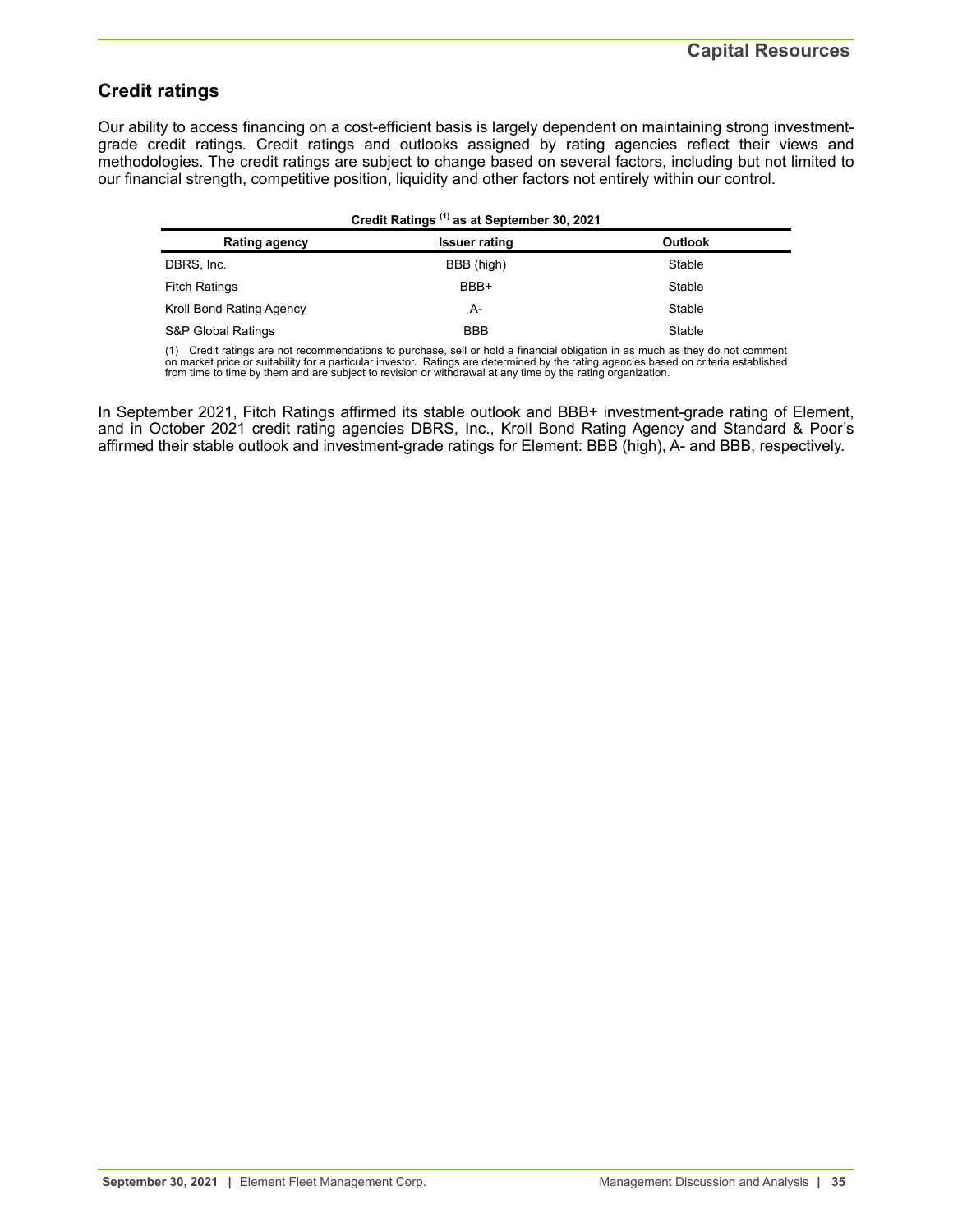## **Credit ratings**

Our ability to access financing on a cost-efficient basis is largely dependent on maintaining strong investmentgrade credit ratings. Credit ratings and outlooks assigned by rating agencies reflect their views and methodologies. The credit ratings are subject to change based on several factors, including but not limited to our financial strength, competitive position, liquidity and other factors not entirely within our control.

| Credit Ratings <sup>(1)</sup> as at September 30, 2021 |                      |         |  |  |  |  |
|--------------------------------------------------------|----------------------|---------|--|--|--|--|
| <b>Rating agency</b>                                   | <b>Issuer rating</b> | Outlook |  |  |  |  |
| DBRS, Inc.                                             | BBB (high)           | Stable  |  |  |  |  |
| <b>Fitch Ratings</b>                                   | BBB+                 | Stable  |  |  |  |  |
| Kroll Bond Rating Agency                               | A-                   | Stable  |  |  |  |  |
| S&P Global Ratings                                     | <b>BBB</b>           | Stable  |  |  |  |  |

(1) Credit ratings are not recommendations to purchase, sell or hold a financial obligation in as much as they do not comment<br>on market price or suitability for a particular investor. Ratings are determined by the rating a from time to time by them and are subject to revision or withdrawal at any time by the rating organization.

In September 2021, Fitch Ratings affirmed its stable outlook and BBB+ investment-grade rating of Element, and in October 2021 credit rating agencies DBRS, Inc., Kroll Bond Rating Agency and Standard & Poor's affirmed their stable outlook and investment-grade ratings for Element: BBB (high), A- and BBB, respectively.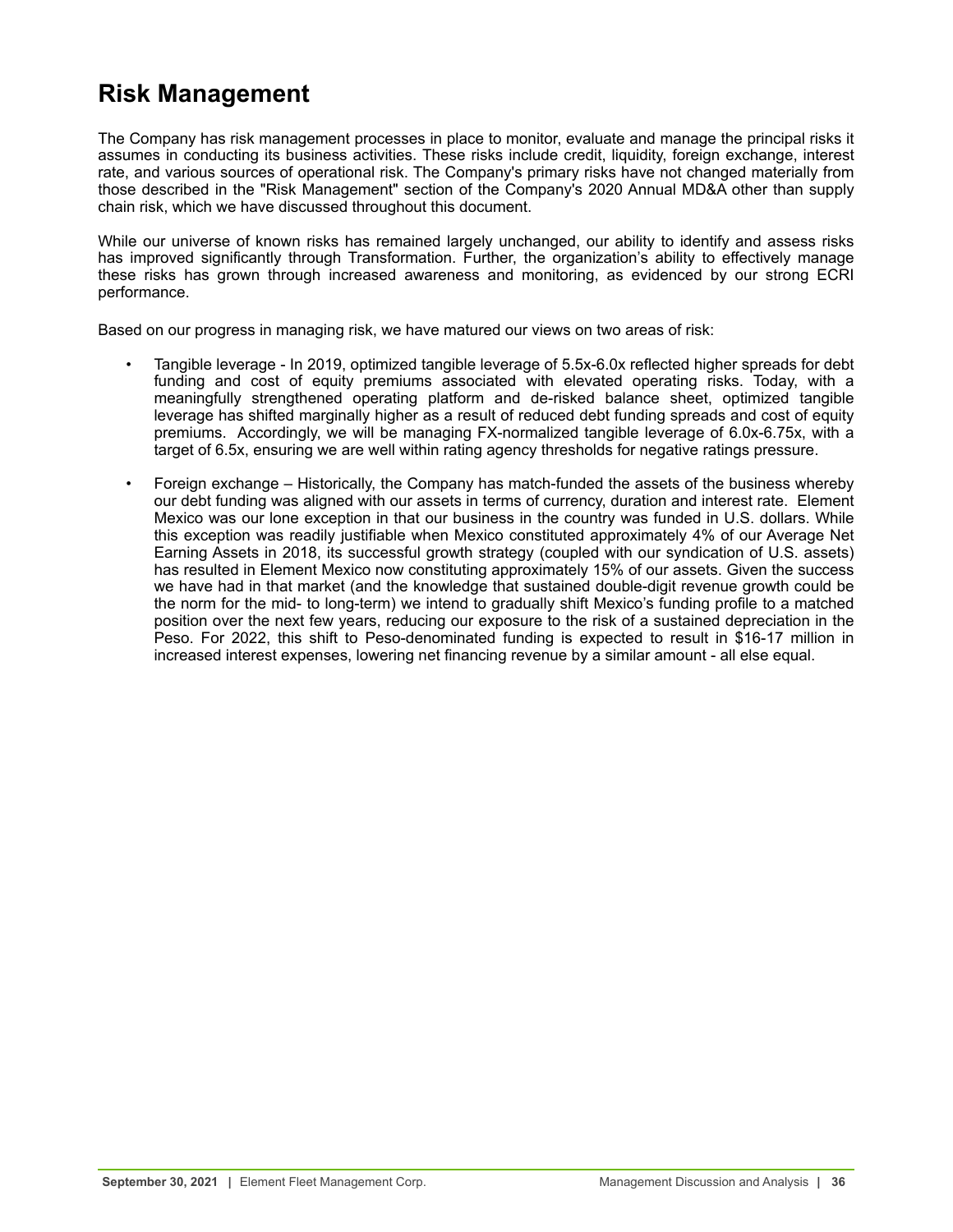# <span id="page-35-0"></span>**Risk Management**

The Company has risk management processes in place to monitor, evaluate and manage the principal risks it assumes in conducting its business activities. These risks include credit, liquidity, foreign exchange, interest rate, and various sources of operational risk. The Company's primary risks have not changed materially from those described in the "Risk Management" section of the Company's 2020 Annual MD&A other than supply chain risk, which we have discussed throughout this document.

While our universe of known risks has remained largely unchanged, our ability to identify and assess risks has improved significantly through Transformation. Further, the organization's ability to effectively manage these risks has grown through increased awareness and monitoring, as evidenced by our strong ECRI performance.

Based on our progress in managing risk, we have matured our views on two areas of risk:

- Tangible leverage In 2019, optimized tangible leverage of 5.5x-6.0x reflected higher spreads for debt funding and cost of equity premiums associated with elevated operating risks. Today, with a meaningfully strengthened operating platform and de-risked balance sheet, optimized tangible leverage has shifted marginally higher as a result of reduced debt funding spreads and cost of equity premiums. Accordingly, we will be managing FX-normalized tangible leverage of 6.0x-6.75x, with a target of 6.5x, ensuring we are well within rating agency thresholds for negative ratings pressure.
- Foreign exchange Historically, the Company has match-funded the assets of the business whereby our debt funding was aligned with our assets in terms of currency, duration and interest rate. Element Mexico was our lone exception in that our business in the country was funded in U.S. dollars. While this exception was readily justifiable when Mexico constituted approximately 4% of our Average Net Earning Assets in 2018, its successful growth strategy (coupled with our syndication of U.S. assets) has resulted in Element Mexico now constituting approximately 15% of our assets. Given the success we have had in that market (and the knowledge that sustained double-digit revenue growth could be the norm for the mid- to long-term) we intend to gradually shift Mexico's funding profile to a matched position over the next few years, reducing our exposure to the risk of a sustained depreciation in the Peso. For 2022, this shift to Peso-denominated funding is expected to result in \$16-17 million in increased interest expenses, lowering net financing revenue by a similar amount - all else equal.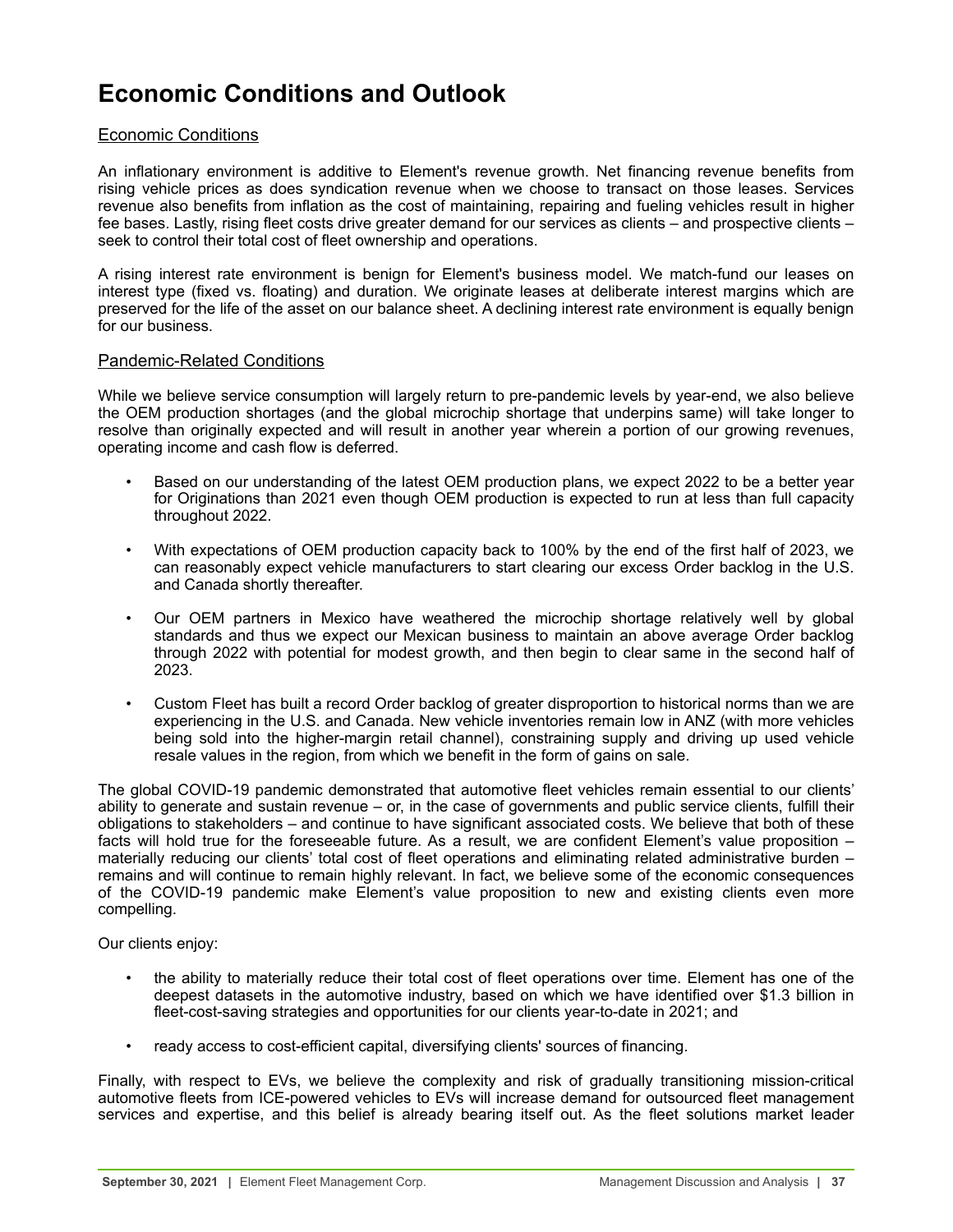# <span id="page-36-0"></span>**Economic Conditions and Outlook**

## Economic Conditions

An inflationary environment is additive to Element's revenue growth. Net financing revenue benefits from rising vehicle prices as does syndication revenue when we choose to transact on those leases. Services revenue also benefits from inflation as the cost of maintaining, repairing and fueling vehicles result in higher fee bases. Lastly, rising fleet costs drive greater demand for our services as clients – and prospective clients – seek to control their total cost of fleet ownership and operations.

A rising interest rate environment is benign for Element's business model. We match-fund our leases on interest type (fixed vs. floating) and duration. We originate leases at deliberate interest margins which are preserved for the life of the asset on our balance sheet. A declining interest rate environment is equally benign for our business.

## Pandemic-Related Conditions

While we believe service consumption will largely return to pre-pandemic levels by year-end, we also believe the OEM production shortages (and the global microchip shortage that underpins same) will take longer to resolve than originally expected and will result in another year wherein a portion of our growing revenues, operating income and cash flow is deferred.

- Based on our understanding of the latest OEM production plans, we expect 2022 to be a better year for Originations than 2021 even though OEM production is expected to run at less than full capacity throughout 2022.
- With expectations of OEM production capacity back to 100% by the end of the first half of 2023, we can reasonably expect vehicle manufacturers to start clearing our excess Order backlog in the U.S. and Canada shortly thereafter.
- Our OEM partners in Mexico have weathered the microchip shortage relatively well by global standards and thus we expect our Mexican business to maintain an above average Order backlog through 2022 with potential for modest growth, and then begin to clear same in the second half of 2023.
- Custom Fleet has built a record Order backlog of greater disproportion to historical norms than we are experiencing in the U.S. and Canada. New vehicle inventories remain low in ANZ (with more vehicles being sold into the higher-margin retail channel), constraining supply and driving up used vehicle resale values in the region, from which we benefit in the form of gains on sale.

The global COVID-19 pandemic demonstrated that automotive fleet vehicles remain essential to our clients' ability to generate and sustain revenue – or, in the case of governments and public service clients, fulfill their obligations to stakeholders – and continue to have significant associated costs. We believe that both of these facts will hold true for the foreseeable future. As a result, we are confident Element's value proposition – materially reducing our clients' total cost of fleet operations and eliminating related administrative burden – remains and will continue to remain highly relevant. In fact, we believe some of the economic consequences of the COVID-19 pandemic make Element's value proposition to new and existing clients even more compelling.

Our clients enjoy:

- the ability to materially reduce their total cost of fleet operations over time. Element has one of the deepest datasets in the automotive industry, based on which we have identified over \$1.3 billion in fleet-cost-saving strategies and opportunities for our clients year-to-date in 2021; and
- ready access to cost-efficient capital, diversifying clients' sources of financing.

Finally, with respect to EVs, we believe the complexity and risk of gradually transitioning mission-critical automotive fleets from ICE-powered vehicles to EVs will increase demand for outsourced fleet management services and expertise, and this belief is already bearing itself out. As the fleet solutions market leader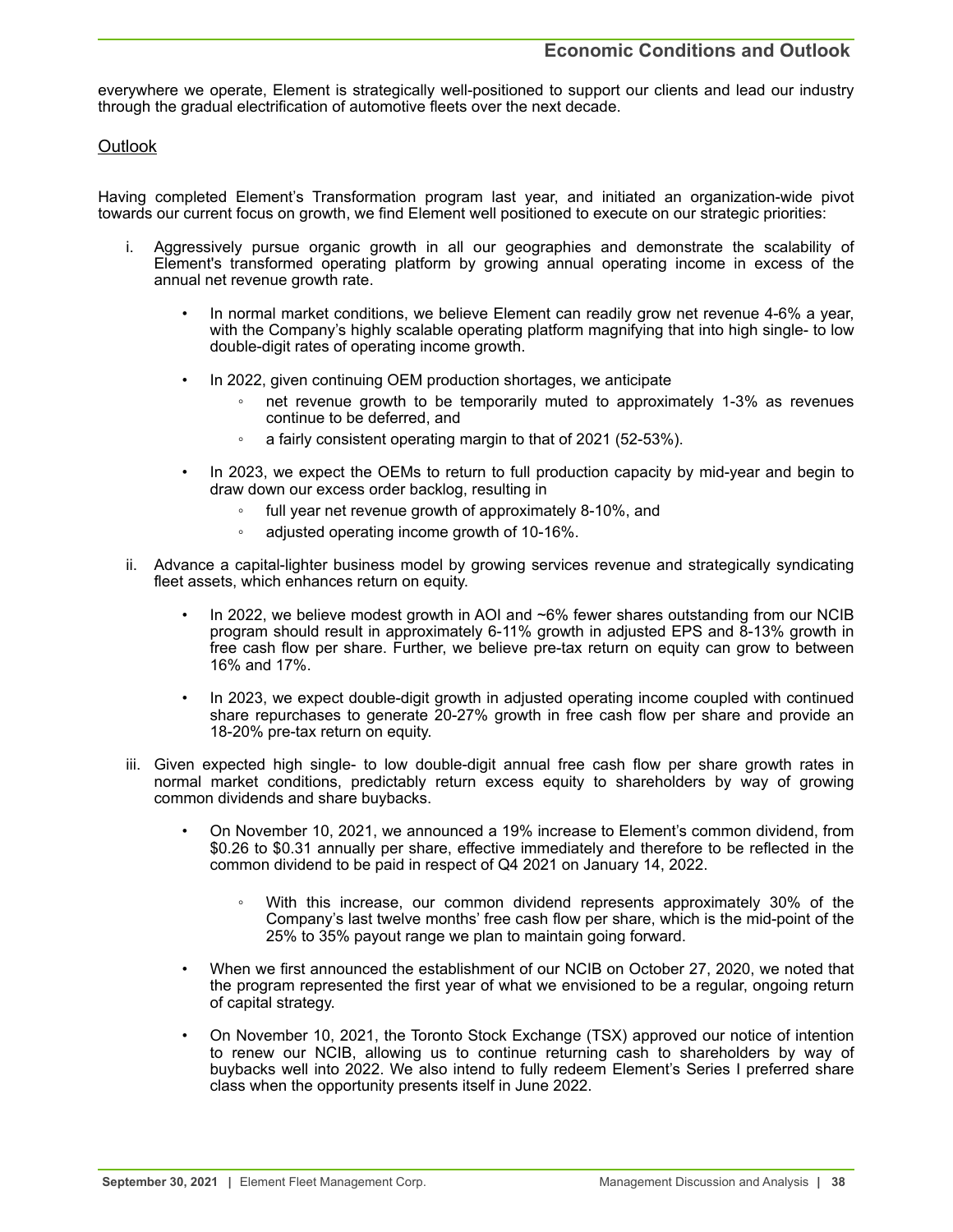everywhere we operate, Element is strategically well-positioned to support our clients and lead our industry through the gradual electrification of automotive fleets over the next decade.

## **Outlook**

Having completed Element's Transformation program last year, and initiated an organization-wide pivot towards our current focus on growth, we find Element well positioned to execute on our strategic priorities:

- i. Aggressively pursue organic growth in all our geographies and demonstrate the scalability of Element's transformed operating platform by growing annual operating income in excess of the annual net revenue growth rate.
	- In normal market conditions, we believe Element can readily grow net revenue 4-6% a year, with the Company's highly scalable operating platform magnifying that into high single- to low double-digit rates of operating income growth.
	- In 2022, given continuing OEM production shortages, we anticipate
		- net revenue growth to be temporarily muted to approximately 1-3% as revenues continue to be deferred, and
		- a fairly consistent operating margin to that of 2021 (52-53%).
	- In 2023, we expect the OEMs to return to full production capacity by mid-year and begin to draw down our excess order backlog, resulting in
		- full year net revenue growth of approximately 8-10%, and
		- adjusted operating income growth of 10-16%.
- ii. Advance a capital-lighter business model by growing services revenue and strategically syndicating fleet assets, which enhances return on equity.
	- In 2022, we believe modest growth in AOI and  $~6\%$  fewer shares outstanding from our NCIB program should result in approximately 6-11% growth in adjusted EPS and 8-13% growth in free cash flow per share. Further, we believe pre-tax return on equity can grow to between 16% and 17%.
	- In 2023, we expect double-digit growth in adjusted operating income coupled with continued share repurchases to generate 20-27% growth in free cash flow per share and provide an 18-20% pre-tax return on equity.
- iii. Given expected high single- to low double-digit annual free cash flow per share growth rates in normal market conditions, predictably return excess equity to shareholders by way of growing common dividends and share buybacks.
	- On November 10, 2021, we announced a 19% increase to Element's common dividend, from \$0.26 to \$0.31 annually per share, effective immediately and therefore to be reflected in the common dividend to be paid in respect of Q4 2021 on January 14, 2022.
		- With this increase, our common dividend represents approximately 30% of the Company's last twelve months' free cash flow per share, which is the mid-point of the 25% to 35% payout range we plan to maintain going forward.
	- When we first announced the establishment of our NCIB on October 27, 2020, we noted that the program represented the first year of what we envisioned to be a regular, ongoing return of capital strategy.
	- On November 10, 2021, the Toronto Stock Exchange (TSX) approved our notice of intention to renew our NCIB, allowing us to continue returning cash to shareholders by way of buybacks well into 2022. We also intend to fully redeem Element's Series I preferred share class when the opportunity presents itself in June 2022.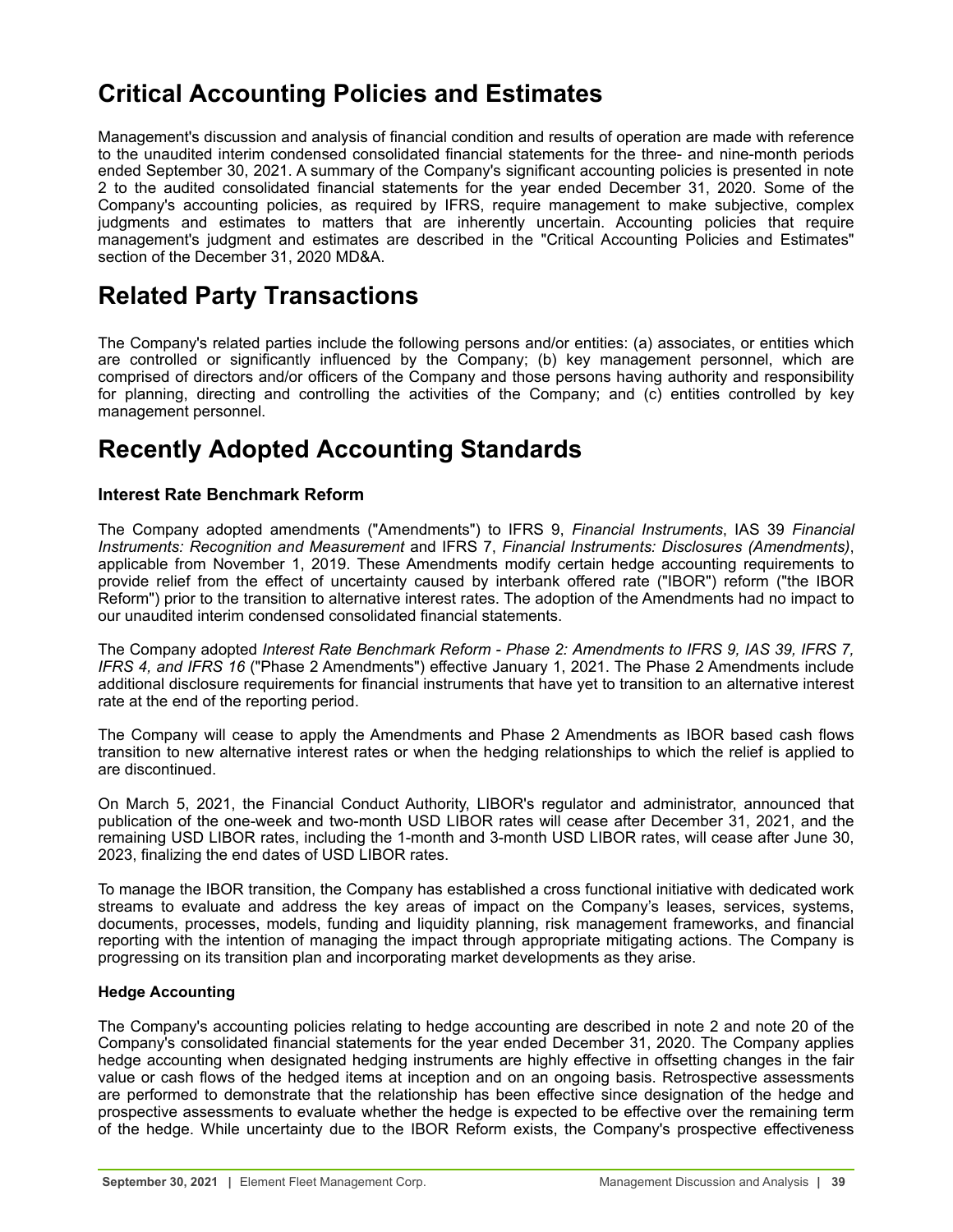# <span id="page-38-0"></span>**Critical Accounting Policies and Estimates**

Management's discussion and analysis of financial condition and results of operation are made with reference to the unaudited interim condensed consolidated financial statements for the three- and nine-month periods ended September 30, 2021. A summary of the Company's significant accounting policies is presented in note 2 to the audited consolidated financial statements for the year ended December 31, 2020. Some of the Company's accounting policies, as required by IFRS, require management to make subjective, complex judgments and estimates to matters that are inherently uncertain. Accounting policies that require management's judgment and estimates are described in the "Critical Accounting Policies and Estimates" section of the December 31, 2020 MD&A.

# **Related Party Transactions**

The Company's related parties include the following persons and/or entities: (a) associates, or entities which are controlled or significantly influenced by the Company; (b) key management personnel, which are comprised of directors and/or officers of the Company and those persons having authority and responsibility for planning, directing and controlling the activities of the Company; and (c) entities controlled by key management personnel.

# **Recently Adopted Accounting Standards**

## **Interest Rate Benchmark Reform**

The Company adopted amendments ("Amendments") to IFRS 9, *Financial Instruments*, IAS 39 *Financial Instruments: Recognition and Measurement* and IFRS 7, *Financial Instruments: Disclosures (Amendments)*, applicable from November 1, 2019. These Amendments modify certain hedge accounting requirements to provide relief from the effect of uncertainty caused by interbank offered rate ("IBOR") reform ("the IBOR Reform") prior to the transition to alternative interest rates. The adoption of the Amendments had no impact to our unaudited interim condensed consolidated financial statements.

The Company adopted *Interest Rate Benchmark Reform - Phase 2: Amendments to IFRS 9, IAS 39, IFRS 7, IFRS 4, and IFRS 16* ("Phase 2 Amendments") effective January 1, 2021. The Phase 2 Amendments include additional disclosure requirements for financial instruments that have yet to transition to an alternative interest rate at the end of the reporting period.

The Company will cease to apply the Amendments and Phase 2 Amendments as IBOR based cash flows transition to new alternative interest rates or when the hedging relationships to which the relief is applied to are discontinued.

On March 5, 2021, the Financial Conduct Authority, LIBOR's regulator and administrator, announced that publication of the one-week and two-month USD LIBOR rates will cease after December 31, 2021, and the remaining USD LIBOR rates, including the 1-month and 3-month USD LIBOR rates, will cease after June 30, 2023, finalizing the end dates of USD LIBOR rates.

To manage the IBOR transition, the Company has established a cross functional initiative with dedicated work streams to evaluate and address the key areas of impact on the Company's leases, services, systems, documents, processes, models, funding and liquidity planning, risk management frameworks, and financial reporting with the intention of managing the impact through appropriate mitigating actions. The Company is progressing on its transition plan and incorporating market developments as they arise.

## **Hedge Accounting**

The Company's accounting policies relating to hedge accounting are described in note 2 and note 20 of the Company's consolidated financial statements for the year ended December 31, 2020. The Company applies hedge accounting when designated hedging instruments are highly effective in offsetting changes in the fair value or cash flows of the hedged items at inception and on an ongoing basis. Retrospective assessments are performed to demonstrate that the relationship has been effective since designation of the hedge and prospective assessments to evaluate whether the hedge is expected to be effective over the remaining term of the hedge. While uncertainty due to the IBOR Reform exists, the Company's prospective effectiveness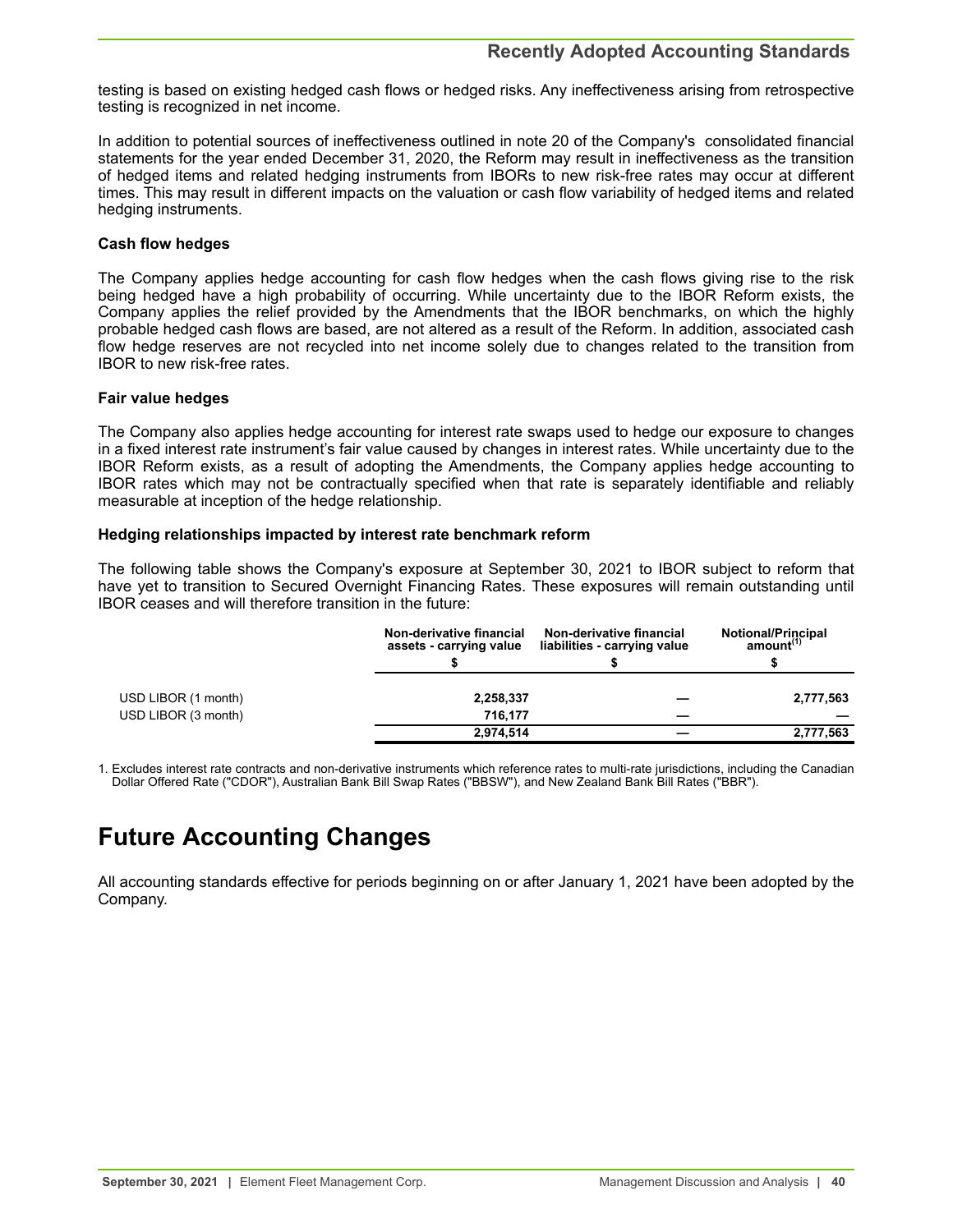<span id="page-39-0"></span>testing is based on existing hedged cash flows or hedged risks. Any ineffectiveness arising from retrospective testing is recognized in net income.

In addition to potential sources of ineffectiveness outlined in note 20 of the Company's consolidated financial statements for the year ended December 31, 2020, the Reform may result in ineffectiveness as the transition of hedged items and related hedging instruments from IBORs to new risk-free rates may occur at different times. This may result in different impacts on the valuation or cash flow variability of hedged items and related hedging instruments.

## **Cash flow hedges**

The Company applies hedge accounting for cash flow hedges when the cash flows giving rise to the risk being hedged have a high probability of occurring. While uncertainty due to the IBOR Reform exists, the Company applies the relief provided by the Amendments that the IBOR benchmarks, on which the highly probable hedged cash flows are based, are not altered as a result of the Reform. In addition, associated cash flow hedge reserves are not recycled into net income solely due to changes related to the transition from IBOR to new risk-free rates.

## **Fair value hedges**

The Company also applies hedge accounting for interest rate swaps used to hedge our exposure to changes in a fixed interest rate instrument's fair value caused by changes in interest rates. While uncertainty due to the IBOR Reform exists, as a result of adopting the Amendments, the Company applies hedge accounting to IBOR rates which may not be contractually specified when that rate is separately identifiable and reliably measurable at inception of the hedge relationship.

## **Hedging relationships impacted by interest rate benchmark reform**

The following table shows the Company's exposure at September 30, 2021 to IBOR subject to reform that have yet to transition to Secured Overnight Financing Rates. These exposures will remain outstanding until IBOR ceases and will therefore transition in the future:

|                     | Non-derivative financial<br>assets - carrying value | Non-derivative financial<br>liabilities - carrying value | <b>Notional/Principal</b><br>amount <sup>(1)</sup> |  |
|---------------------|-----------------------------------------------------|----------------------------------------------------------|----------------------------------------------------|--|
| USD LIBOR (1 month) | 2,258,337                                           |                                                          | 2,777,563                                          |  |
| USD LIBOR (3 month) | 716.177                                             |                                                          |                                                    |  |
|                     | 2,974,514                                           |                                                          | 2,777,563                                          |  |

1. Excludes interest rate contracts and non-derivative instruments which reference rates to multi-rate jurisdictions, including the Canadian Dollar Offered Rate ("CDOR"), Australian Bank Bill Swap Rates ("BBSW"), and New Zealand Bank Bill Rates ("BBR").

# **Future Accounting Changes**

All accounting standards effective for periods beginning on or after January 1, 2021 have been adopted by the Company.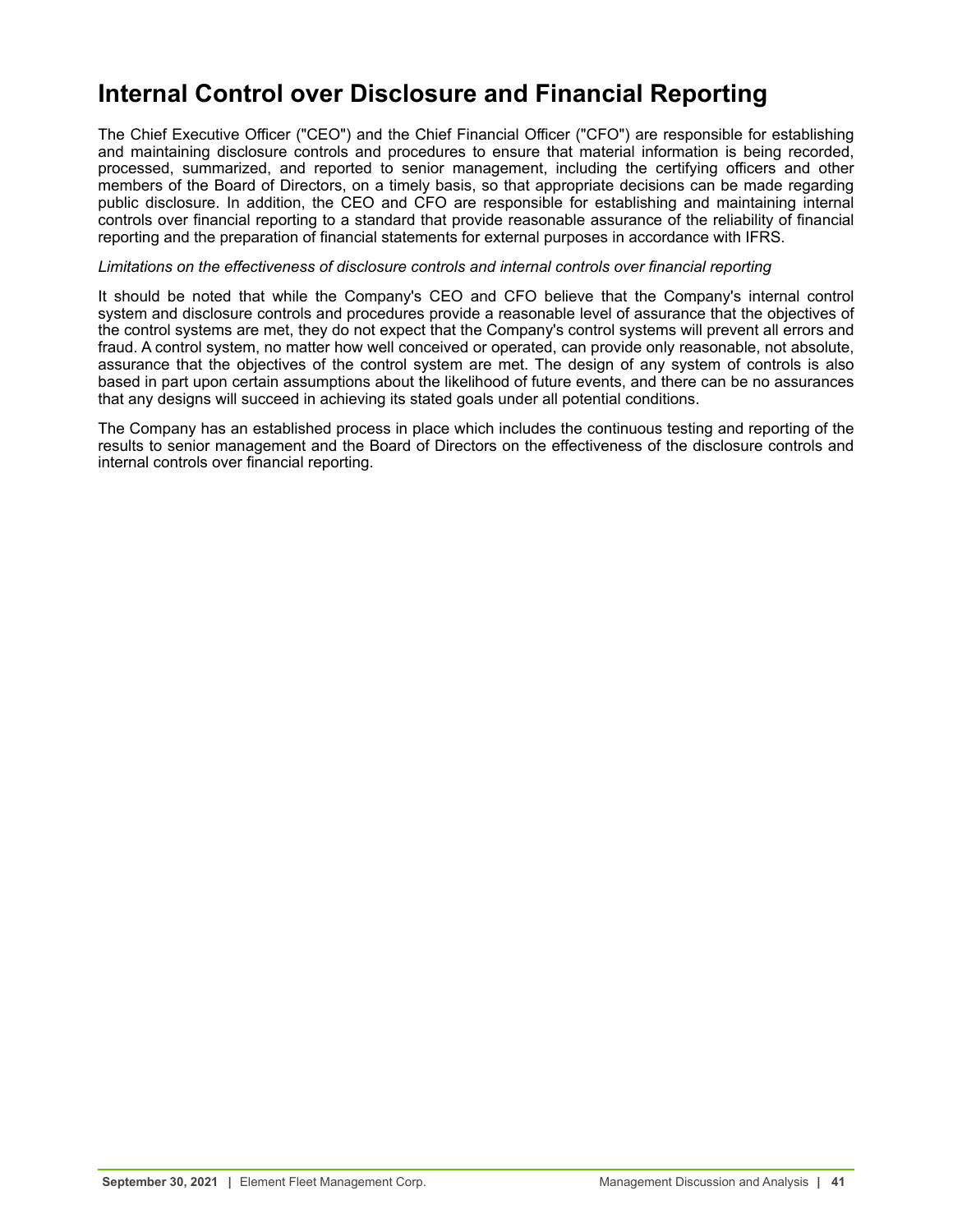## <span id="page-40-0"></span>**Internal Control over Disclosure and Financial Reporting**

The Chief Executive Officer ("CEO") and the Chief Financial Officer ("CFO") are responsible for establishing and maintaining disclosure controls and procedures to ensure that material information is being recorded, processed, summarized, and reported to senior management, including the certifying officers and other members of the Board of Directors, on a timely basis, so that appropriate decisions can be made regarding public disclosure. In addition, the CEO and CFO are responsible for establishing and maintaining internal controls over financial reporting to a standard that provide reasonable assurance of the reliability of financial reporting and the preparation of financial statements for external purposes in accordance with IFRS.

## *Limitations on the effectiveness of disclosure controls and internal controls over financial reporting*

It should be noted that while the Company's CEO and CFO believe that the Company's internal control system and disclosure controls and procedures provide a reasonable level of assurance that the objectives of the control systems are met, they do not expect that the Company's control systems will prevent all errors and fraud. A control system, no matter how well conceived or operated, can provide only reasonable, not absolute, assurance that the objectives of the control system are met. The design of any system of controls is also based in part upon certain assumptions about the likelihood of future events, and there can be no assurances that any designs will succeed in achieving its stated goals under all potential conditions.

The Company has an established process in place which includes the continuous testing and reporting of the results to senior management and the Board of Directors on the effectiveness of the disclosure controls and internal controls over financial reporting.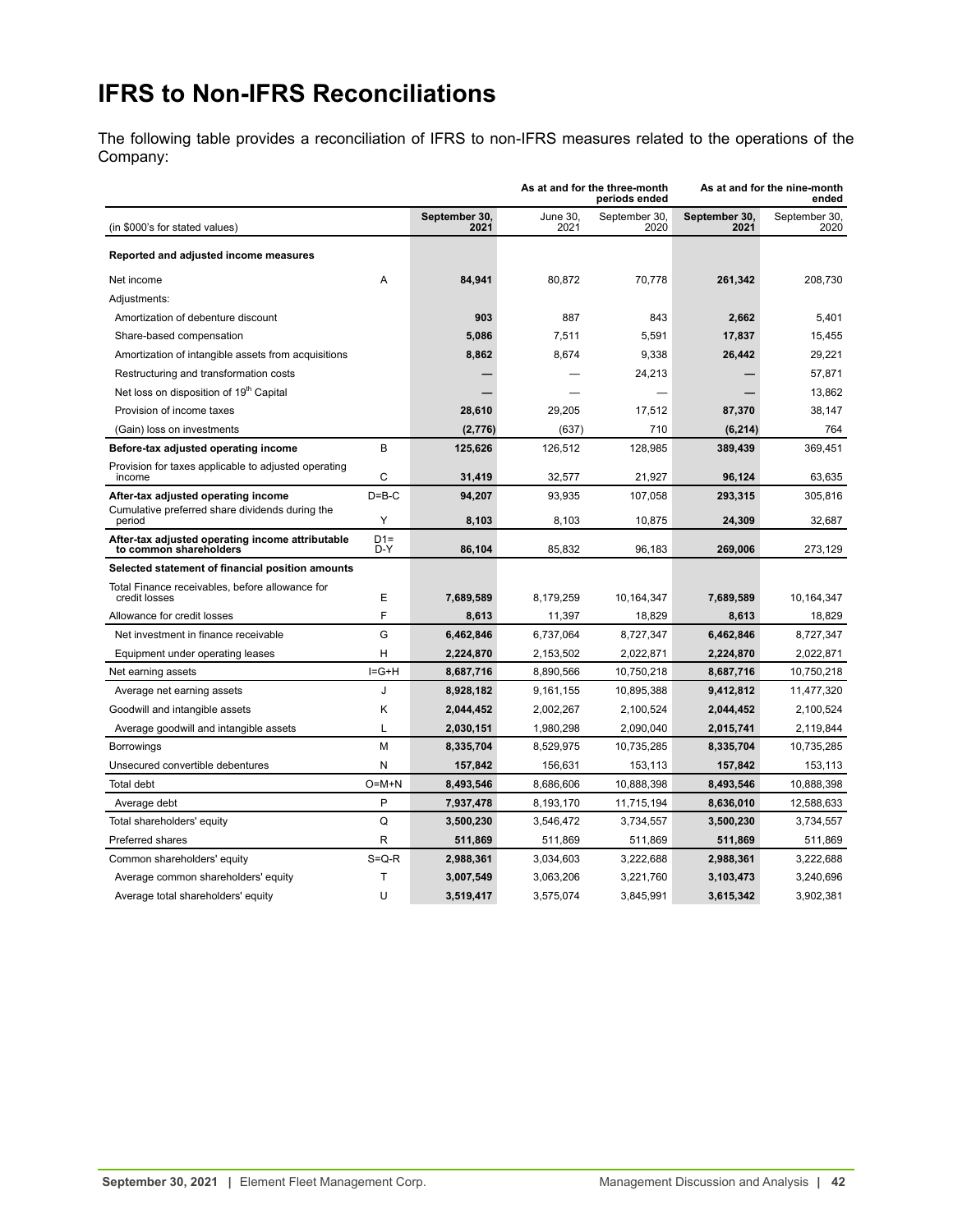# <span id="page-41-0"></span>**IFRS to Non-IFRS Reconciliations**

The following table provides a reconciliation of IFRS to non-IFRS measures related to the operations of the Company:

|                                                                            |              |                       |                  | As at and for the three-month<br>periods ended |                       | As at and for the nine-month<br>ended |
|----------------------------------------------------------------------------|--------------|-----------------------|------------------|------------------------------------------------|-----------------------|---------------------------------------|
| (in \$000's for stated values)                                             |              | September 30,<br>2021 | June 30.<br>2021 | September 30,<br>2020                          | September 30,<br>2021 | September 30,<br>2020                 |
| Reported and adjusted income measures                                      |              |                       |                  |                                                |                       |                                       |
| Net income                                                                 | A            | 84,941                | 80,872           | 70.778                                         | 261,342               | 208,730                               |
| Adjustments:                                                               |              |                       |                  |                                                |                       |                                       |
| Amortization of debenture discount                                         |              | 903                   | 887              | 843                                            | 2,662                 | 5,401                                 |
| Share-based compensation                                                   |              | 5,086                 | 7,511            | 5,591                                          | 17,837                | 15,455                                |
| Amortization of intangible assets from acquisitions                        |              | 8,862                 | 8,674            | 9,338                                          | 26,442                | 29,221                                |
| Restructuring and transformation costs                                     |              |                       |                  | 24,213                                         |                       | 57,871                                |
| Net loss on disposition of 19 <sup>th</sup> Capital                        |              |                       |                  |                                                |                       | 13,862                                |
| Provision of income taxes                                                  |              | 28,610                | 29,205           | 17,512                                         | 87,370                | 38,147                                |
| (Gain) loss on investments                                                 |              | (2,776)               | (637)            | 710                                            | (6, 214)              | 764                                   |
| Before-tax adjusted operating income                                       | B            | 125,626               | 126,512          | 128,985                                        | 389,439               | 369,451                               |
| Provision for taxes applicable to adjusted operating<br>income             | C            | 31,419                | 32,577           | 21,927                                         | 96,124                | 63,635                                |
| After-tax adjusted operating income                                        | $D = B - C$  | 94,207                | 93.935           | 107,058                                        | 293,315               | 305,816                               |
| Cumulative preferred share dividends during the<br>period                  | Y            | 8,103                 | 8,103            | 10,875                                         | 24,309                | 32,687                                |
| After-tax adjusted operating income attributable<br>to common shareholders | $D1=$<br>D-Y | 86,104                | 85.832           | 96,183                                         | 269,006               | 273,129                               |
| Selected statement of financial position amounts                           |              |                       |                  |                                                |                       |                                       |
| Total Finance receivables, before allowance for<br>credit losses           | E            | 7,689,589             | 8,179,259        | 10,164,347                                     | 7,689,589             | 10,164,347                            |
| Allowance for credit losses                                                | F            | 8,613                 | 11,397           | 18,829                                         | 8,613                 | 18,829                                |
| Net investment in finance receivable                                       | G            | 6,462,846             | 6,737,064        | 8,727,347                                      | 6,462,846             | 8,727,347                             |
| Equipment under operating leases                                           | н            | 2,224,870             | 2,153,502        | 2,022,871                                      | 2,224,870             | 2,022,871                             |
| Net earning assets                                                         | $I = G + H$  | 8,687,716             | 8,890,566        | 10,750,218                                     | 8,687,716             | 10,750,218                            |
| Average net earning assets                                                 | J            | 8,928,182             | 9.161.155        | 10.895.388                                     | 9,412,812             | 11,477,320                            |
| Goodwill and intangible assets                                             | Κ            | 2,044,452             | 2,002,267        | 2,100,524                                      | 2,044,452             | 2,100,524                             |
| Average goodwill and intangible assets                                     | L            | 2,030,151             | 1,980,298        | 2,090,040                                      | 2,015,741             | 2,119,844                             |
| <b>Borrowings</b>                                                          | M            | 8,335,704             | 8,529,975        | 10,735,285                                     | 8,335,704             | 10,735,285                            |
| Unsecured convertible debentures                                           | N            | 157,842               | 156,631          | 153,113                                        | 157,842               | 153,113                               |
| <b>Total debt</b>                                                          | $O=M+N$      | 8,493,546             | 8,686,606        | 10,888,398                                     | 8,493,546             | 10,888,398                            |
| Average debt                                                               | P            | 7,937,478             | 8,193,170        | 11,715,194                                     | 8,636,010             | 12,588,633                            |
| Total shareholders' equity                                                 | Q            | 3,500,230             | 3,546,472        | 3,734,557                                      | 3,500,230             | 3,734,557                             |
| Preferred shares                                                           | R            | 511,869               | 511,869          | 511,869                                        | 511,869               | 511,869                               |
| Common shareholders' equity                                                | $S = Q - R$  | 2,988,361             | 3,034,603        | 3,222,688                                      | 2,988,361             | 3,222,688                             |
| Average common shareholders' equity                                        | T            | 3,007,549             | 3,063,206        | 3,221,760                                      | 3,103,473             | 3,240,696                             |
| Average total shareholders' equity                                         | U            | 3,519,417             | 3,575,074        | 3,845,991                                      | 3,615,342             | 3,902,381                             |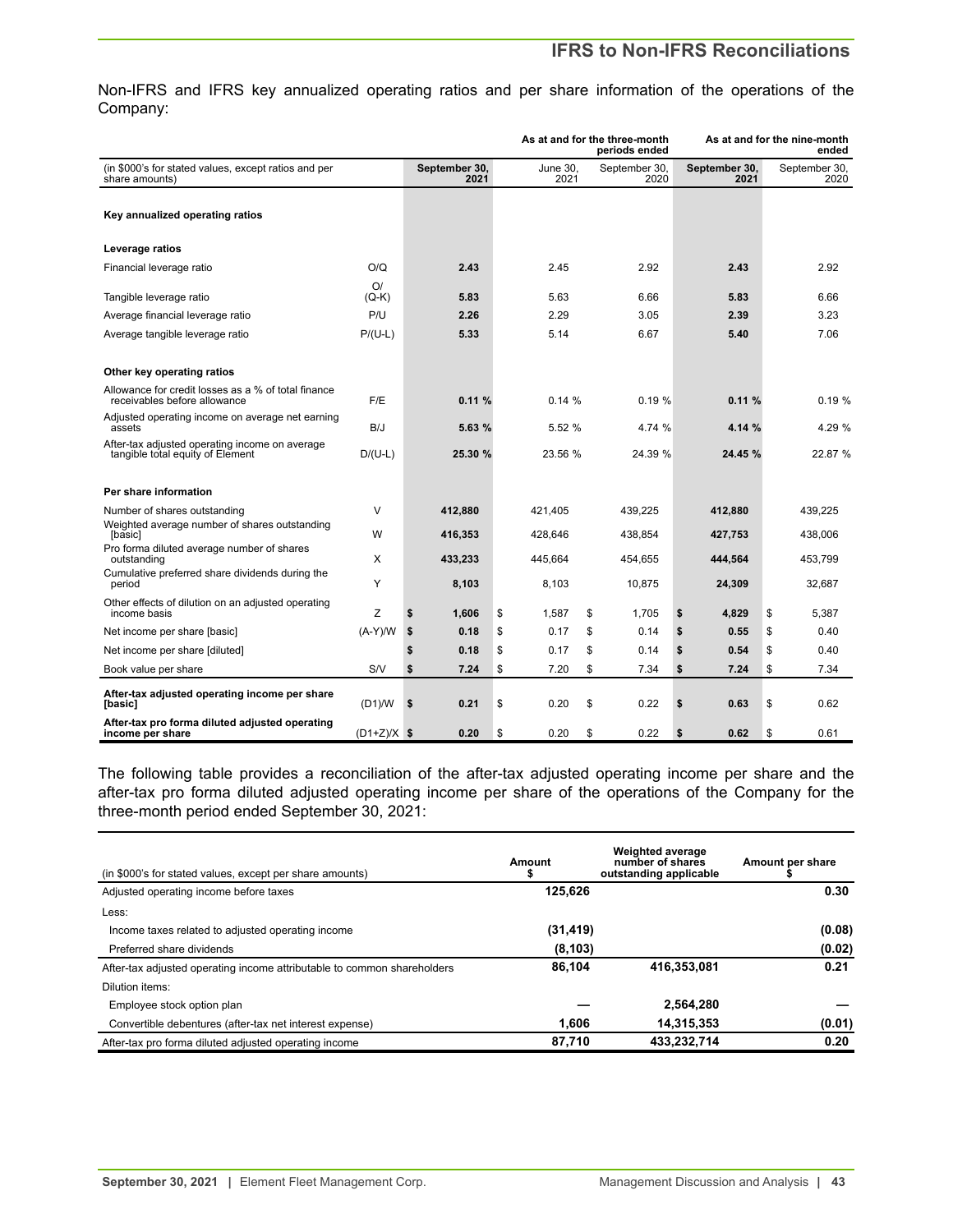## **IFRS to Non-IFRS Reconciliations**

Non-IFRS and IFRS key annualized operating ratios and per share information of the operations of the Company:

|                                                                                    |               |                       | As at and for the three-month<br>periods ended |    | As at and for the nine-month |                       | ended |                       |
|------------------------------------------------------------------------------------|---------------|-----------------------|------------------------------------------------|----|------------------------------|-----------------------|-------|-----------------------|
| (in \$000's for stated values, except ratios and per<br>share amounts)             |               | September 30,<br>2021 | June 30,<br>2021                               |    | September 30,<br>2020        | September 30,<br>2021 |       | September 30,<br>2020 |
|                                                                                    |               |                       |                                                |    |                              |                       |       |                       |
| Key annualized operating ratios                                                    |               |                       |                                                |    |                              |                       |       |                       |
| Leverage ratios                                                                    |               |                       |                                                |    |                              |                       |       |                       |
| Financial leverage ratio                                                           | O/Q           | 2.43                  | 2.45                                           |    | 2.92                         | 2.43                  |       | 2.92                  |
| Tangible leverage ratio                                                            | O/<br>(Q-K)   | 5.83                  | 5.63                                           |    | 6.66                         | 5.83                  |       | 6.66                  |
| Average financial leverage ratio                                                   | P/U           | 2.26                  | 2.29                                           |    | 3.05                         | 2.39                  |       | 3.23                  |
| Average tangible leverage ratio                                                    | $P/(U-L)$     | 5.33                  | 5.14                                           |    | 6.67                         | 5.40                  |       | 7.06                  |
| Other key operating ratios                                                         |               |                       |                                                |    |                              |                       |       |                       |
| Allowance for credit losses as a % of total finance                                |               |                       |                                                |    |                              |                       |       |                       |
| receivables before allowance                                                       | F/E           | 0.11%                 | 0.14%                                          |    | 0.19%                        | 0.11%                 |       | 0.19%                 |
| Adjusted operating income on average net earning<br>assets                         | B/J           | 5.63 %                | 5.52 %                                         |    | 4.74 %                       | 4.14 %                |       | 4.29 %                |
| After-tax adjusted operating income on average<br>tangible total equity of Element | $D/(U-L)$     | 25.30 %               | 23.56 %                                        |    | 24.39 %                      | 24.45 %               |       | 22.87 %               |
|                                                                                    |               |                       |                                                |    |                              |                       |       |                       |
| Per share information                                                              |               |                       |                                                |    |                              |                       |       |                       |
| Number of shares outstanding                                                       | V             | 412.880               | 421.405                                        |    | 439.225                      | 412.880               |       | 439,225               |
| Weighted average number of shares outstanding<br>[basic]                           | W             | 416,353               | 428.646                                        |    | 438,854                      | 427,753               |       | 438,006               |
| Pro forma diluted average number of shares<br>outstanding                          | X             | 433,233               | 445.664                                        |    | 454,655                      | 444,564               |       | 453,799               |
| Cumulative preferred share dividends during the<br>period                          | Y             | 8,103                 | 8,103                                          |    | 10,875                       | 24,309                |       | 32,687                |
| Other effects of dilution on an adjusted operating<br>income basis                 | Ζ             | \$<br>1,606           | \$<br>1,587                                    | \$ | 1,705                        | \$<br>4,829           |       | \$<br>5,387           |
| Net income per share [basic]                                                       | $(A-Y)/W$     | \$<br>0.18            | \$<br>0.17                                     | \$ | 0.14                         | \$<br>0.55            |       | \$<br>0.40            |
| Net income per share [diluted]                                                     |               | \$<br>0.18            | \$<br>0.17                                     | \$ | 0.14                         | \$<br>0.54            |       | \$<br>0.40            |
| Book value per share                                                               | S/V           | \$<br>7.24            | \$<br>7.20                                     | \$ | 7.34                         | \$<br>7.24            |       | \$<br>7.34            |
| After-tax adjusted operating income per share<br>[basic]                           | (D1)/W        | \$<br>0.21            | \$<br>0.20                                     | \$ | 0.22                         | \$<br>0.63            |       | \$<br>0.62            |
| After-tax pro forma diluted adjusted operating<br>income per share                 | $(D1+Z)/X$ \$ | 0.20                  | \$<br>0.20                                     | \$ | 0.22                         | 0.62<br>\$            |       | \$<br>0.61            |

The following table provides a reconciliation of the after-tax adjusted operating income per share and the after-tax pro forma diluted adjusted operating income per share of the operations of the Company for the three-month period ended September 30, 2021:

| (in \$000's for stated values, except per share amounts)                | Amount    | <b>Weighted average</b><br>number of shares<br>outstanding applicable | Amount per share |
|-------------------------------------------------------------------------|-----------|-----------------------------------------------------------------------|------------------|
| Adjusted operating income before taxes                                  | 125,626   |                                                                       | 0.30             |
| Less:                                                                   |           |                                                                       |                  |
| Income taxes related to adjusted operating income                       | (31, 419) |                                                                       | (0.08)           |
| Preferred share dividends                                               | (8, 103)  |                                                                       | (0.02)           |
| After-tax adjusted operating income attributable to common shareholders | 86.104    | 416,353,081                                                           | 0.21             |
| Dilution items:                                                         |           |                                                                       |                  |
| Employee stock option plan                                              |           | 2.564.280                                                             |                  |
| Convertible debentures (after-tax net interest expense)                 | 1.606     | 14,315,353                                                            | (0.01)           |
| After-tax pro forma diluted adjusted operating income                   | 87,710    | 433,232,714                                                           | 0.20             |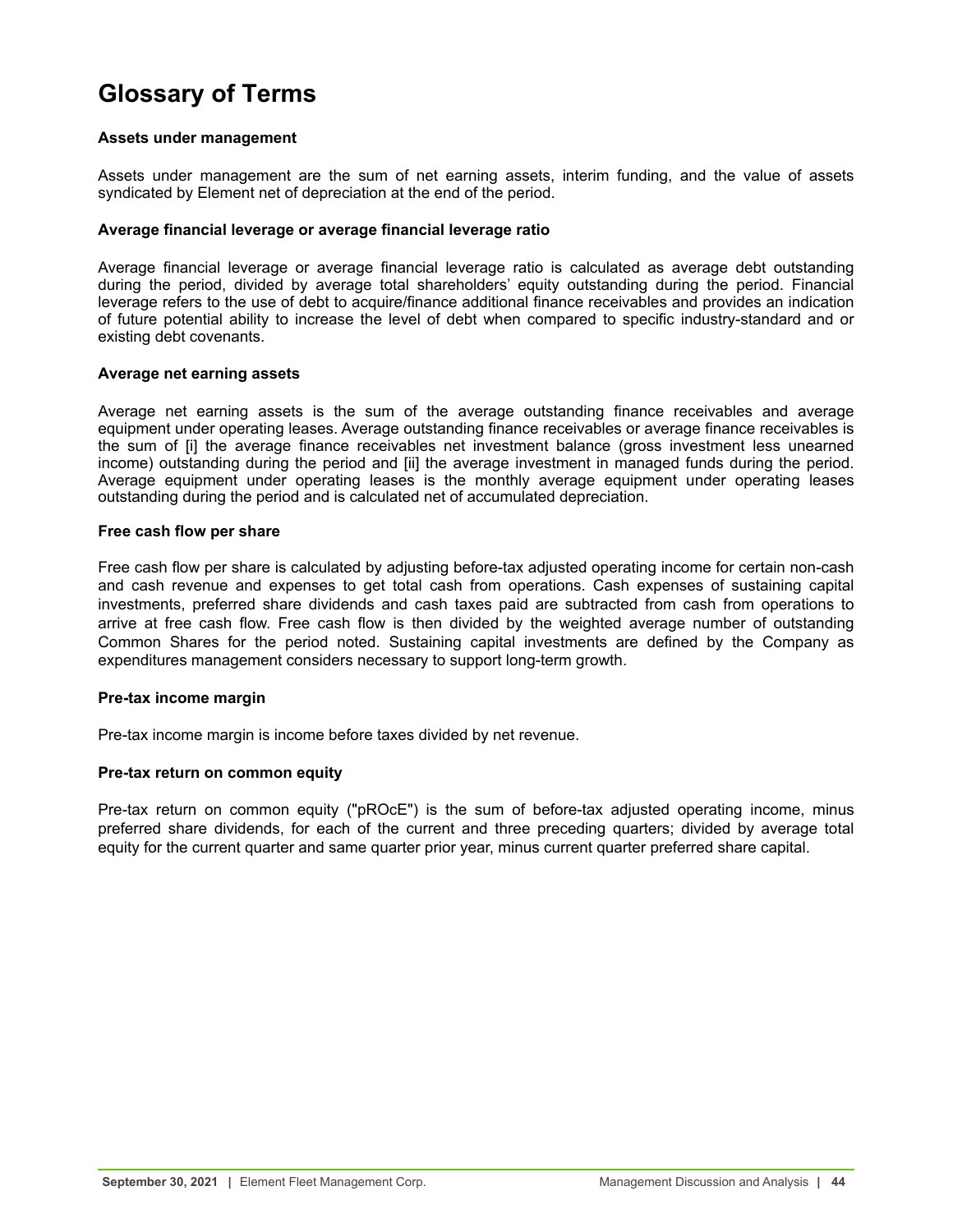# <span id="page-43-0"></span>**Glossary of Terms**

## **Assets under management**

Assets under management are the sum of net earning assets, interim funding, and the value of assets syndicated by Element net of depreciation at the end of the period.

## **Average financial leverage or average financial leverage ratio**

Average financial leverage or average financial leverage ratio is calculated as average debt outstanding during the period, divided by average total shareholders' equity outstanding during the period. Financial leverage refers to the use of debt to acquire/finance additional finance receivables and provides an indication of future potential ability to increase the level of debt when compared to specific industry-standard and or existing debt covenants.

## **Average net earning assets**

Average net earning assets is the sum of the average outstanding finance receivables and average equipment under operating leases. Average outstanding finance receivables or average finance receivables is the sum of [i] the average finance receivables net investment balance (gross investment less unearned income) outstanding during the period and [ii] the average investment in managed funds during the period. Average equipment under operating leases is the monthly average equipment under operating leases outstanding during the period and is calculated net of accumulated depreciation.

## **Free cash flow per share**

Free cash flow per share is calculated by adjusting before-tax adjusted operating income for certain non-cash and cash revenue and expenses to get total cash from operations. Cash expenses of sustaining capital investments, preferred share dividends and cash taxes paid are subtracted from cash from operations to arrive at free cash flow. Free cash flow is then divided by the weighted average number of outstanding Common Shares for the period noted. Sustaining capital investments are defined by the Company as expenditures management considers necessary to support long-term growth.

## **Pre-tax income margin**

Pre-tax income margin is income before taxes divided by net revenue.

## **Pre-tax return on common equity**

Pre-tax return on common equity ("pROcE") is the sum of before-tax adjusted operating income, minus preferred share dividends, for each of the current and three preceding quarters; divided by average total equity for the current quarter and same quarter prior year, minus current quarter preferred share capital.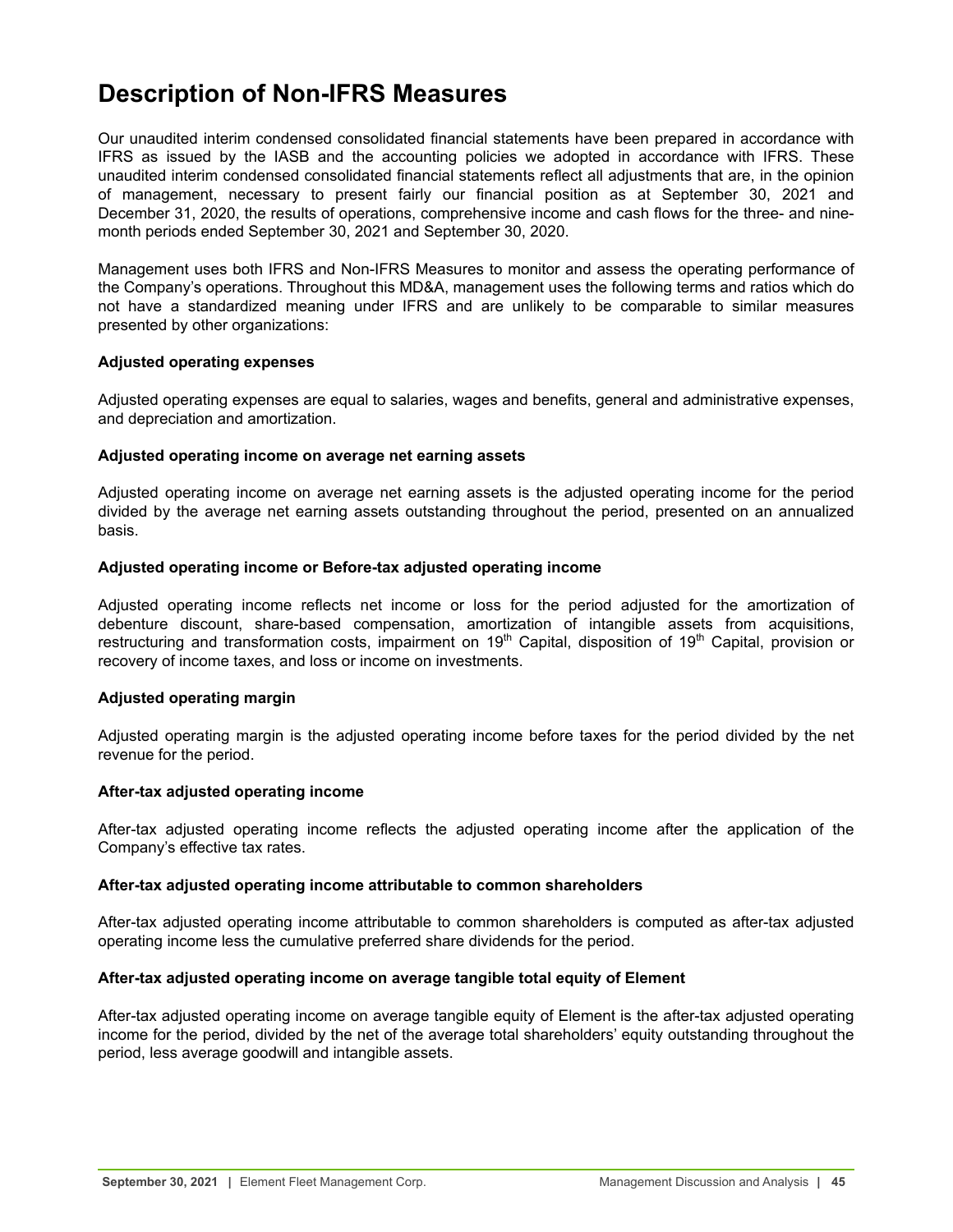# <span id="page-44-0"></span>**Description of Non-IFRS Measures**

Our unaudited interim condensed consolidated financial statements have been prepared in accordance with IFRS as issued by the IASB and the accounting policies we adopted in accordance with IFRS. These unaudited interim condensed consolidated financial statements reflect all adjustments that are, in the opinion of management, necessary to present fairly our financial position as at September 30, 2021 and December 31, 2020, the results of operations, comprehensive income and cash flows for the three- and ninemonth periods ended September 30, 2021 and September 30, 2020.

Management uses both IFRS and Non-IFRS Measures to monitor and assess the operating performance of the Company's operations. Throughout this MD&A, management uses the following terms and ratios which do not have a standardized meaning under IFRS and are unlikely to be comparable to similar measures presented by other organizations:

## **Adjusted operating expenses**

Adjusted operating expenses are equal to salaries, wages and benefits, general and administrative expenses, and depreciation and amortization.

## **Adjusted operating income on average net earning assets**

Adjusted operating income on average net earning assets is the adjusted operating income for the period divided by the average net earning assets outstanding throughout the period, presented on an annualized basis.

## **Adjusted operating income or Before-tax adjusted operating income**

Adjusted operating income reflects net income or loss for the period adjusted for the amortization of debenture discount, share-based compensation, amortization of intangible assets from acquisitions, restructuring and transformation costs, impairment on 19<sup>th</sup> Capital, disposition of 19<sup>th</sup> Capital, provision or recovery of income taxes, and loss or income on investments.

## **Adjusted operating margin**

Adjusted operating margin is the adjusted operating income before taxes for the period divided by the net revenue for the period.

## **After-tax adjusted operating income**

After-tax adjusted operating income reflects the adjusted operating income after the application of the Company's effective tax rates.

## **After-tax adjusted operating income attributable to common shareholders**

After-tax adjusted operating income attributable to common shareholders is computed as after-tax adjusted operating income less the cumulative preferred share dividends for the period.

## **After-tax adjusted operating income on average tangible total equity of Element**

After-tax adjusted operating income on average tangible equity of Element is the after-tax adjusted operating income for the period, divided by the net of the average total shareholders' equity outstanding throughout the period, less average goodwill and intangible assets.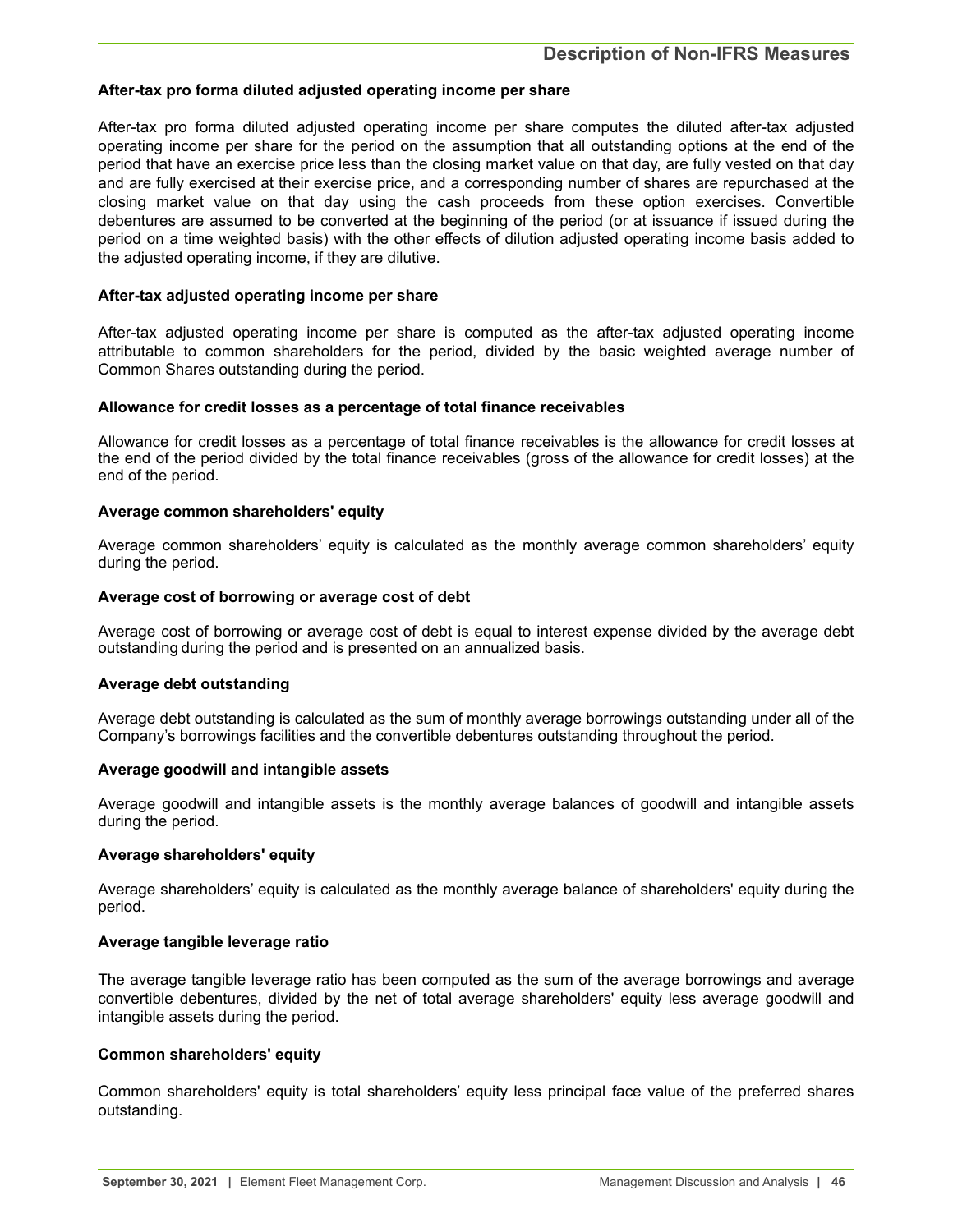## **After-tax pro forma diluted adjusted operating income per share**

After-tax pro forma diluted adjusted operating income per share computes the diluted after-tax adjusted operating income per share for the period on the assumption that all outstanding options at the end of the period that have an exercise price less than the closing market value on that day, are fully vested on that day and are fully exercised at their exercise price, and a corresponding number of shares are repurchased at the closing market value on that day using the cash proceeds from these option exercises. Convertible debentures are assumed to be converted at the beginning of the period (or at issuance if issued during the period on a time weighted basis) with the other effects of dilution adjusted operating income basis added to the adjusted operating income, if they are dilutive.

## **After-tax adjusted operating income per share**

After-tax adjusted operating income per share is computed as the after-tax adjusted operating income attributable to common shareholders for the period, divided by the basic weighted average number of Common Shares outstanding during the period.

## **Allowance for credit losses as a percentage of total finance receivables**

Allowance for credit losses as a percentage of total finance receivables is the allowance for credit losses at the end of the period divided by the total finance receivables (gross of the allowance for credit losses) at the end of the period.

## **Average common shareholders' equity**

Average common shareholders' equity is calculated as the monthly average common shareholders' equity during the period.

#### **Average cost of borrowing or average cost of debt**

Average cost of borrowing or average cost of debt is equal to interest expense divided by the average debt outstanding during the period and is presented on an annualized basis.

## **Average debt outstanding**

Average debt outstanding is calculated as the sum of monthly average borrowings outstanding under all of the Company's borrowings facilities and the convertible debentures outstanding throughout the period.

#### **Average goodwill and intangible assets**

Average goodwill and intangible assets is the monthly average balances of goodwill and intangible assets during the period.

## **Average shareholders' equity**

Average shareholders' equity is calculated as the monthly average balance of shareholders' equity during the period.

## **Average tangible leverage ratio**

The average tangible leverage ratio has been computed as the sum of the average borrowings and average convertible debentures, divided by the net of total average shareholders' equity less average goodwill and intangible assets during the period.

## **Common shareholders' equity**

Common shareholders' equity is total shareholders' equity less principal face value of the preferred shares outstanding.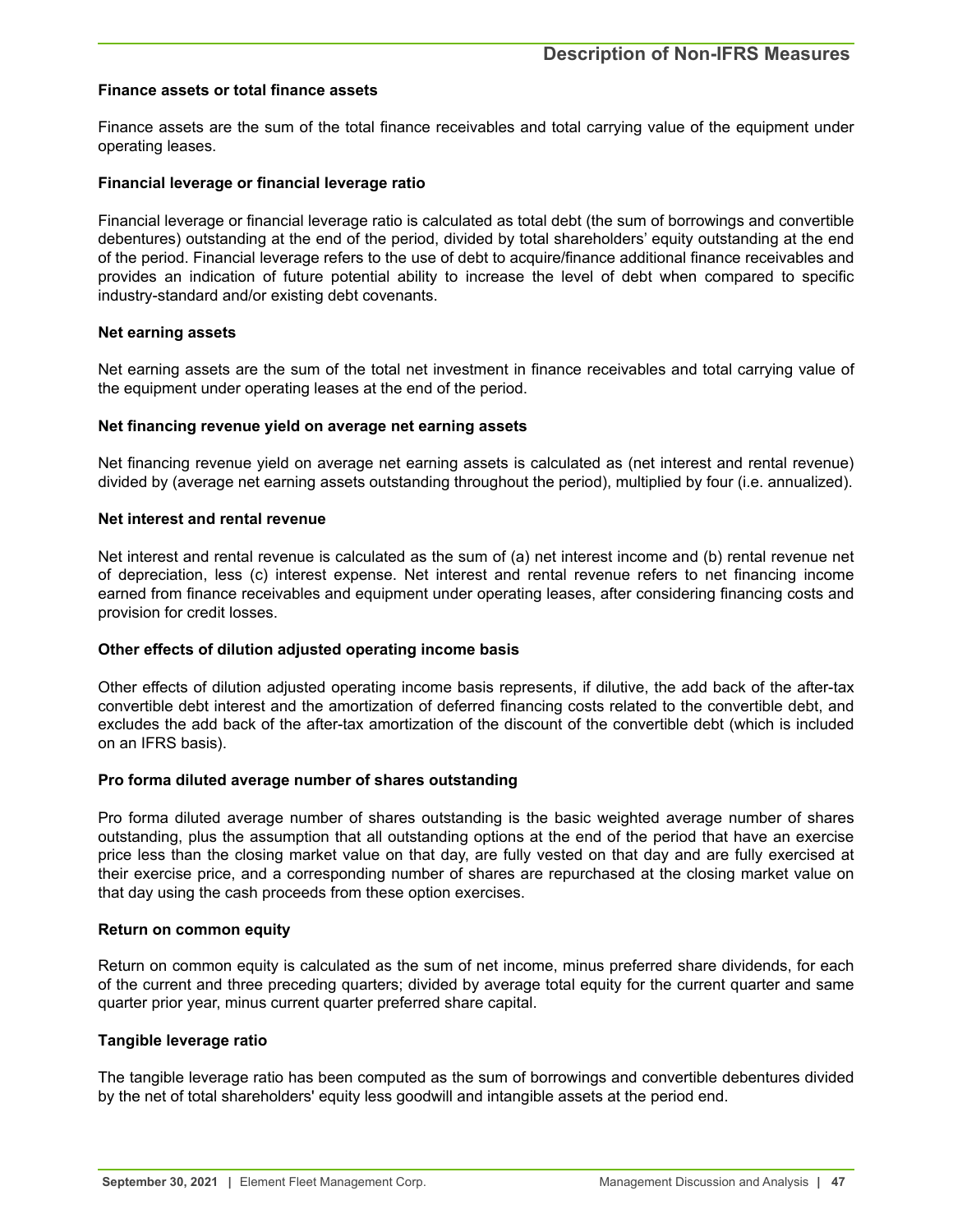#### **Finance assets or total finance assets**

Finance assets are the sum of the total finance receivables and total carrying value of the equipment under operating leases.

#### **Financial leverage or financial leverage ratio**

Financial leverage or financial leverage ratio is calculated as total debt (the sum of borrowings and convertible debentures) outstanding at the end of the period, divided by total shareholders' equity outstanding at the end of the period. Financial leverage refers to the use of debt to acquire/finance additional finance receivables and provides an indication of future potential ability to increase the level of debt when compared to specific industry-standard and/or existing debt covenants.

#### **Net earning assets**

Net earning assets are the sum of the total net investment in finance receivables and total carrying value of the equipment under operating leases at the end of the period.

#### **Net financing revenue yield on average net earning assets**

Net financing revenue yield on average net earning assets is calculated as (net interest and rental revenue) divided by (average net earning assets outstanding throughout the period), multiplied by four (i.e. annualized).

#### **Net interest and rental revenue**

Net interest and rental revenue is calculated as the sum of (a) net interest income and (b) rental revenue net of depreciation, less (c) interest expense. Net interest and rental revenue refers to net financing income earned from finance receivables and equipment under operating leases, after considering financing costs and provision for credit losses.

## **Other effects of dilution adjusted operating income basis**

Other effects of dilution adjusted operating income basis represents, if dilutive, the add back of the after-tax convertible debt interest and the amortization of deferred financing costs related to the convertible debt, and excludes the add back of the after-tax amortization of the discount of the convertible debt (which is included on an IFRS basis).

## **Pro forma diluted average number of shares outstanding**

Pro forma diluted average number of shares outstanding is the basic weighted average number of shares outstanding, plus the assumption that all outstanding options at the end of the period that have an exercise price less than the closing market value on that day, are fully vested on that day and are fully exercised at their exercise price, and a corresponding number of shares are repurchased at the closing market value on that day using the cash proceeds from these option exercises.

#### **Return on common equity**

Return on common equity is calculated as the sum of net income, minus preferred share dividends, for each of the current and three preceding quarters; divided by average total equity for the current quarter and same quarter prior year, minus current quarter preferred share capital.

## **Tangible leverage ratio**

The tangible leverage ratio has been computed as the sum of borrowings and convertible debentures divided by the net of total shareholders' equity less goodwill and intangible assets at the period end.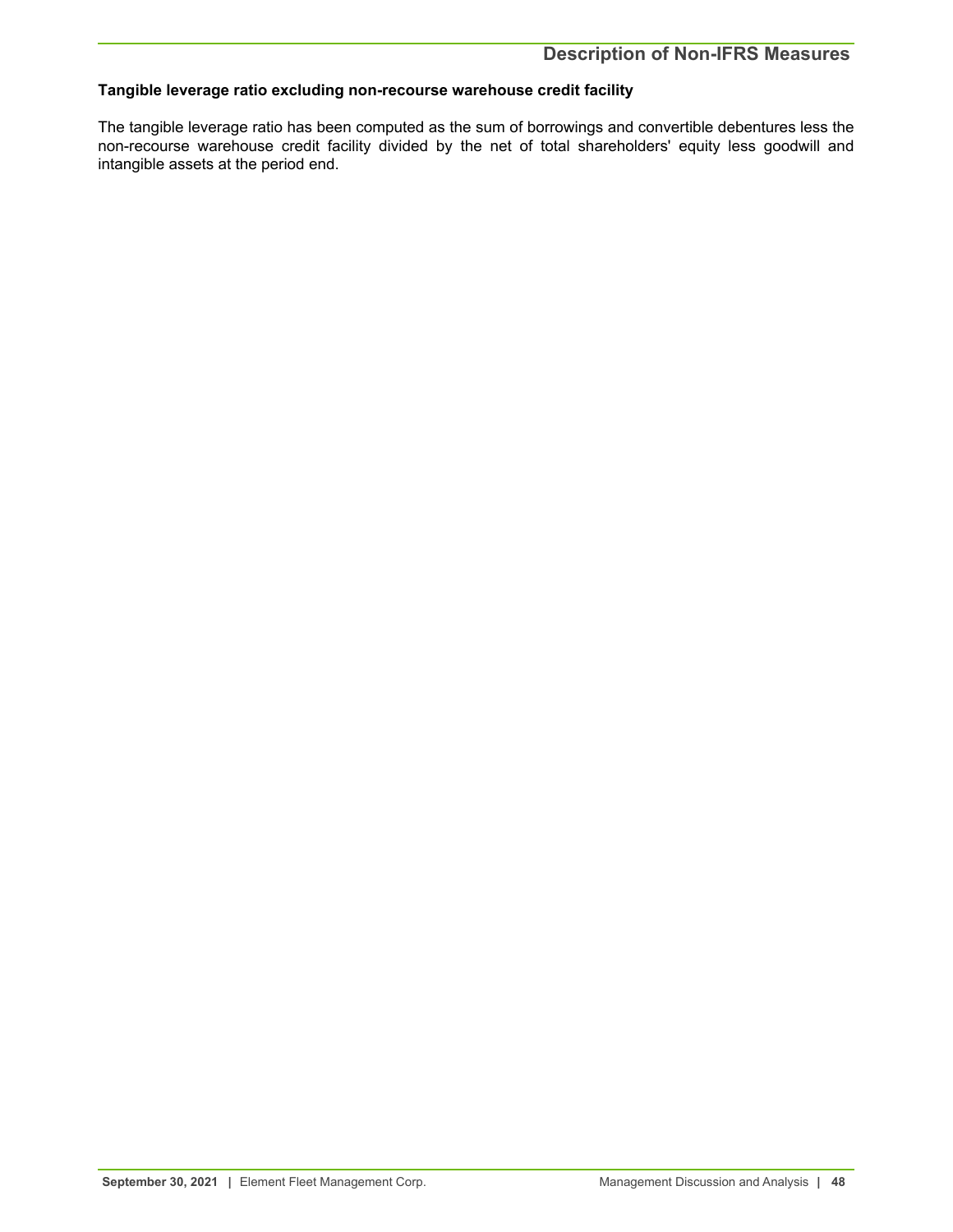## **Tangible leverage ratio excluding non-recourse warehouse credit facility**

The tangible leverage ratio has been computed as the sum of borrowings and convertible debentures less the non-recourse warehouse credit facility divided by the net of total shareholders' equity less goodwill and intangible assets at the period end.